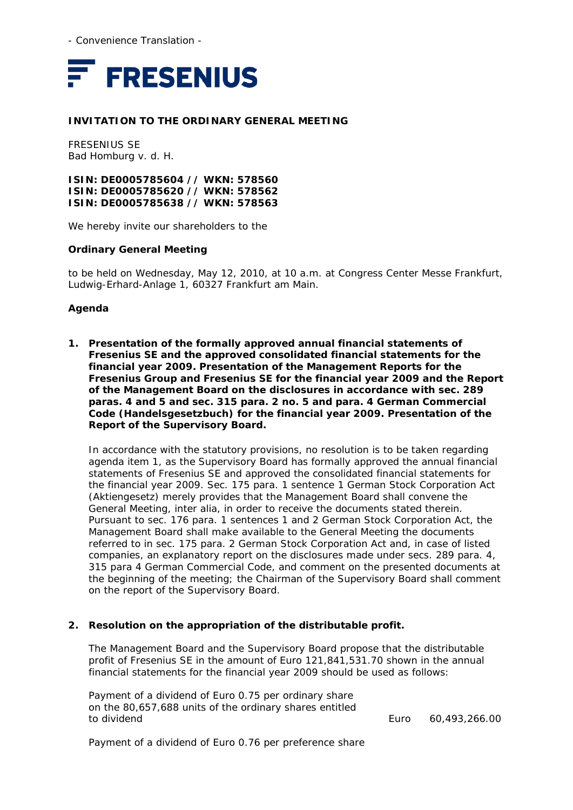- Convenience Translation -



### **INVITATION TO THE ORDINARY GENERAL MEETING**

FRESENIUS SE Bad Homburg v. d. H.

**ISIN: DE0005785604 // WKN: 578560 ISIN: DE0005785620 // WKN: 578562 ISIN: DE0005785638 // WKN: 578563** 

We hereby invite our shareholders to the

#### **Ordinary General Meeting**

to be held on Wednesday, May 12, 2010, at 10 a.m. at Congress Center Messe Frankfurt, Ludwig-Erhard-Anlage 1, 60327 Frankfurt am Main.

### **Agenda**

**1. Presentation of the formally approved annual financial statements of Fresenius SE and the approved consolidated financial statements for the financial year 2009. Presentation of the Management Reports for the Fresenius Group and Fresenius SE for the financial year 2009 and the Report of the Management Board on the disclosures in accordance with sec. 289 paras. 4 and 5 and sec. 315 para. 2 no. 5 and para. 4 German Commercial Code (***Handelsgesetzbuch***) for the financial year 2009. Presentation of the Report of the Supervisory Board.**

In accordance with the statutory provisions, no resolution is to be taken regarding agenda item 1, as the Supervisory Board has formally approved the annual financial statements of Fresenius SE and approved the consolidated financial statements for the financial year 2009. Sec. 175 para. 1 sentence 1 German Stock Corporation Act (*Aktiengesetz*) merely provides that the Management Board shall convene the General Meeting, inter alia, in order to receive the documents stated therein. Pursuant to sec. 176 para. 1 sentences 1 and 2 German Stock Corporation Act, the Management Board shall make available to the General Meeting the documents referred to in sec. 175 para. 2 German Stock Corporation Act and, in case of listed companies, an explanatory report on the disclosures made under secs. 289 para. 4, 315 para 4 German Commercial Code, and comment on the presented documents at the beginning of the meeting; the Chairman of the Supervisory Board shall comment on the report of the Supervisory Board.

### **2. Resolution on the appropriation of the distributable profit.**

The Management Board and the Supervisory Board propose that the distributable profit of Fresenius SE in the amount of Euro 121,841,531.70 shown in the annual financial statements for the financial year 2009 should be used as follows:

Payment of a dividend of Euro 0.75 per ordinary share on the 80,657,688 units of the ordinary shares entitled to dividend Euro 60,493,266.00

Payment of a dividend of Euro 0.76 per preference share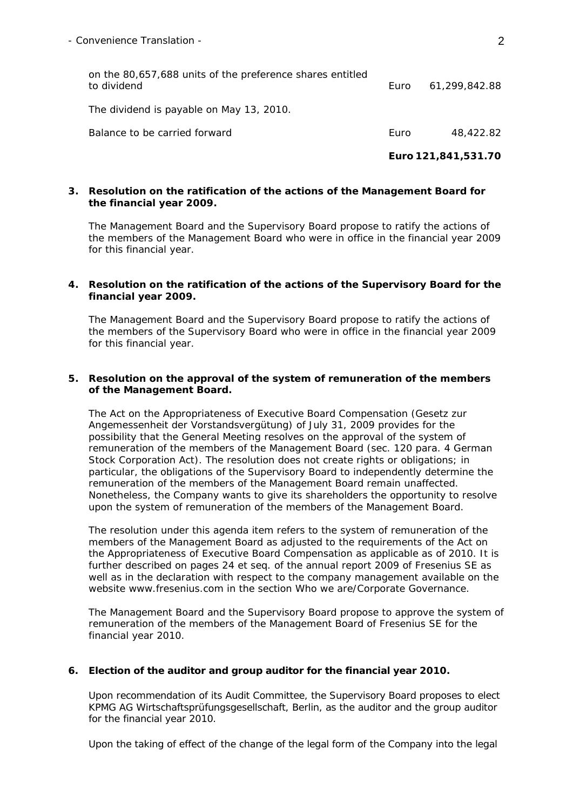|                                                                          | Euro 121,841,531.70 |               |
|--------------------------------------------------------------------------|---------------------|---------------|
| Balance to be carried forward                                            | Euro                | 48,422.82     |
| The dividend is payable on May 13, 2010.                                 |                     |               |
| on the 80,657,688 units of the preference shares entitled<br>to dividend | Euro                | 61.299.842.88 |

### **3. Resolution on the ratification of the actions of the Management Board for the financial year 2009.**

The Management Board and the Supervisory Board propose to ratify the actions of the members of the Management Board who were in office in the financial year 2009 for this financial year.

### **4. Resolution on the ratification of the actions of the Supervisory Board for the financial year 2009.**

The Management Board and the Supervisory Board propose to ratify the actions of the members of the Supervisory Board who were in office in the financial year 2009 for this financial year.

## **5. Resolution on the approval of the system of remuneration of the members of the Management Board.**

The Act on the Appropriateness of Executive Board Compensation (*Gesetz zur Angemessenheit der Vorstandsvergütung*) of July 31, 2009 provides for the possibility that the General Meeting resolves on the approval of the system of remuneration of the members of the Management Board (sec. 120 para. 4 German Stock Corporation Act). The resolution does not create rights or obligations; in particular, the obligations of the Supervisory Board to independently determine the remuneration of the members of the Management Board remain unaffected. Nonetheless, the Company wants to give its shareholders the opportunity to resolve upon the system of remuneration of the members of the Management Board.

The resolution under this agenda item refers to the system of remuneration of the members of the Management Board as adjusted to the requirements of the Act on the Appropriateness of Executive Board Compensation as applicable as of 2010. It is further described on pages 24 et seq. of the annual report 2009 of Fresenius SE as well as in the declaration with respect to the company management available on the website www.fresenius.com in the section Who we are/Corporate Governance.

The Management Board and the Supervisory Board propose to approve the system of remuneration of the members of the Management Board of Fresenius SE for the financial year 2010.

# **6. Election of the auditor and group auditor for the financial year 2010.**

Upon recommendation of its Audit Committee, the Supervisory Board proposes to elect KPMG AG Wirtschaftsprüfungsgesellschaft, Berlin, as the auditor and the group auditor for the financial year 2010.

Upon the taking of effect of the change of the legal form of the Company into the legal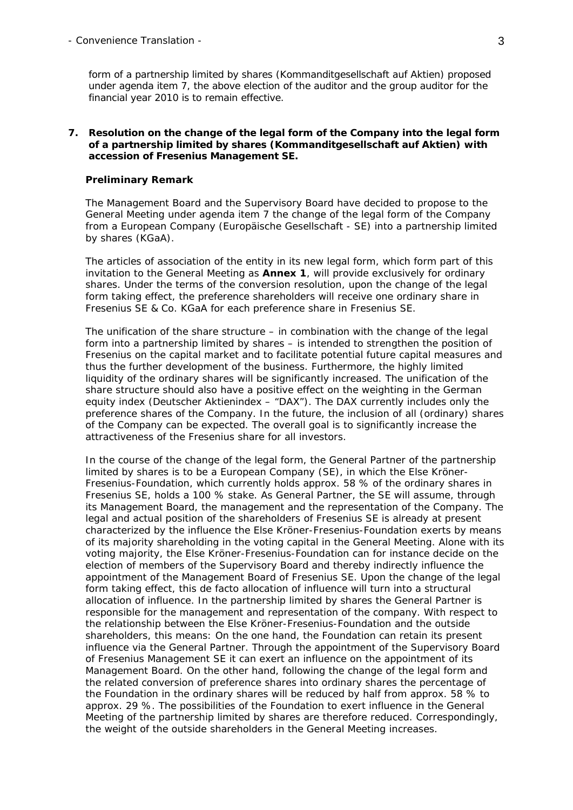form of a partnership limited by shares (*Kommanditgesellschaft auf Aktien*) proposed under agenda item 7, the above election of the auditor and the group auditor for the financial year 2010 is to remain effective.

### **7. Resolution on the change of the legal form of the Company into the legal form of a partnership limited by shares (***Kommanditgesellschaft auf Aktien***) with accession of Fresenius Management SE.**

#### *Preliminary Remark*

The Management Board and the Supervisory Board have decided to propose to the General Meeting under agenda item 7 the change of the legal form of the Company from a European Company (*Europäische Gesellschaft* - SE) into a partnership limited by shares (KGaA).

The articles of association of the entity in its new legal form, which form part of this invitation to the General Meeting as **Annex 1**, will provide exclusively for ordinary shares. Under the terms of the conversion resolution, upon the change of the legal form taking effect, the preference shareholders will receive one ordinary share in Fresenius SE & Co. KGaA for each preference share in Fresenius SE.

The unification of the share structure – in combination with the change of the legal form into a partnership limited by shares – is intended to strengthen the position of Fresenius on the capital market and to facilitate potential future capital measures and thus the further development of the business. Furthermore, the highly limited liquidity of the ordinary shares will be significantly increased. The unification of the share structure should also have a positive effect on the weighting in the German equity index (*Deutscher Aktienindex* – "DAX"). The DAX currently includes only the preference shares of the Company. In the future, the inclusion of all (ordinary) shares of the Company can be expected. The overall goal is to significantly increase the attractiveness of the Fresenius share for all investors.

In the course of the change of the legal form, the General Partner of the partnership limited by shares is to be a European Company (SE), in which the Else Kröner-Fresenius-Foundation, which currently holds approx. 58 % of the ordinary shares in Fresenius SE, holds a 100 % stake. As General Partner, the SE will assume, through its Management Board, the management and the representation of the Company. The legal and actual position of the shareholders of Fresenius SE is already at present characterized by the influence the Else Kröner-Fresenius-Foundation exerts by means of its majority shareholding in the voting capital in the General Meeting. Alone with its voting majority, the Else Kröner-Fresenius-Foundation can for instance decide on the election of members of the Supervisory Board and thereby indirectly influence the appointment of the Management Board of Fresenius SE. Upon the change of the legal form taking effect, this de facto allocation of influence will turn into a structural allocation of influence. In the partnership limited by shares the General Partner is responsible for the management and representation of the company. With respect to the relationship between the Else Kröner-Fresenius-Foundation and the outside shareholders, this means: On the one hand, the Foundation can retain its present influence via the General Partner. Through the appointment of the Supervisory Board of Fresenius Management SE it can exert an influence on the appointment of its Management Board. On the other hand, following the change of the legal form and the related conversion of preference shares into ordinary shares the percentage of the Foundation in the ordinary shares will be reduced by half from approx. 58 % to approx. 29 %. The possibilities of the Foundation to exert influence in the General Meeting of the partnership limited by shares are therefore reduced. Correspondingly, the weight of the outside shareholders in the General Meeting increases.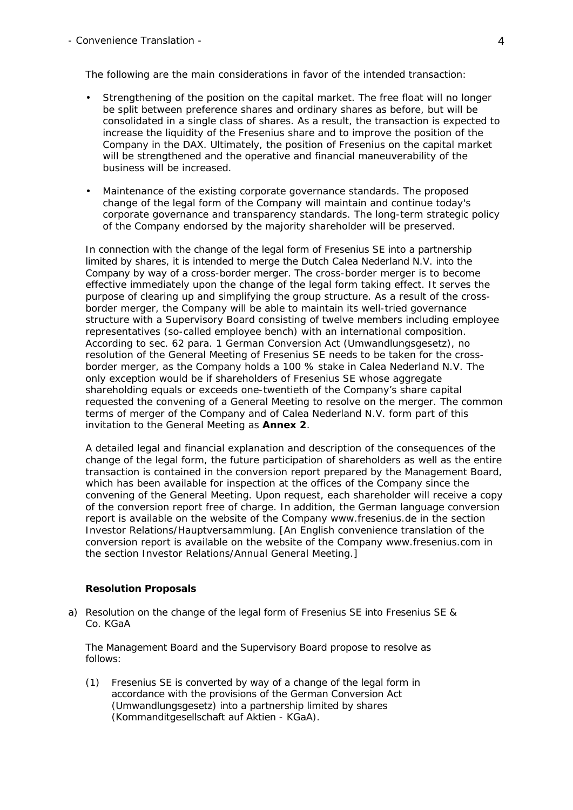- Convenience Translation - 4

The following are the main considerations in favor of the intended transaction:

- *Strengthening of the position on the capital market.* The free float will no longer be split between preference shares and ordinary shares as before, but will be consolidated in a single class of shares. As a result, the transaction is expected to increase the liquidity of the Fresenius share and to improve the position of the Company in the DAX. Ultimately, the position of Fresenius on the capital market will be strengthened and the operative and financial maneuverability of the business will be increased.
- *Maintenance of the existing corporate governance standards.* The proposed change of the legal form of the Company will maintain and continue today's corporate governance and transparency standards. The long-term strategic policy of the Company endorsed by the majority shareholder will be preserved.

In connection with the change of the legal form of Fresenius SE into a partnership limited by shares, it is intended to merge the Dutch Calea Nederland N.V. into the Company by way of a cross-border merger. The cross-border merger is to become effective immediately upon the change of the legal form taking effect. It serves the purpose of clearing up and simplifying the group structure. As a result of the crossborder merger, the Company will be able to maintain its well-tried governance structure with a Supervisory Board consisting of twelve members including employee representatives (so-called employee bench) with an international composition. According to sec. 62 para. 1 German Conversion Act (*Umwandlungsgesetz*), no resolution of the General Meeting of Fresenius SE needs to be taken for the crossborder merger, as the Company holds a 100 % stake in Calea Nederland N.V. The only exception would be if shareholders of Fresenius SE whose aggregate shareholding equals or exceeds one-twentieth of the Company's share capital requested the convening of a General Meeting to resolve on the merger. The common terms of merger of the Company and of Calea Nederland N.V. form part of this invitation to the General Meeting as **Annex 2**.

A detailed legal and financial explanation and description of the consequences of the change of the legal form, the future participation of shareholders as well as the entire transaction is contained in the conversion report prepared by the Management Board, which has been available for inspection at the offices of the Company since the convening of the General Meeting. Upon request, each shareholder will receive a copy of the conversion report free of charge. In addition, the German language conversion report is available on the website of the Company www.fresenius.de in the section Investor Relations/Hauptversammlung. [An English convenience translation of the conversion report is available on the website of the Company www.fresenius.com in the section Investor Relations/Annual General Meeting.]

#### *Resolution Proposals*

a) Resolution on the change of the legal form of Fresenius SE into Fresenius SE & Co. KGaA

 The Management Board and the Supervisory Board propose to resolve as follows:

(1) Fresenius SE is converted by way of a change of the legal form in accordance with the provisions of the German Conversion Act (*Umwandlungsgesetz*) into a partnership limited by shares (*Kommanditgesellschaft auf Aktien - KGaA*).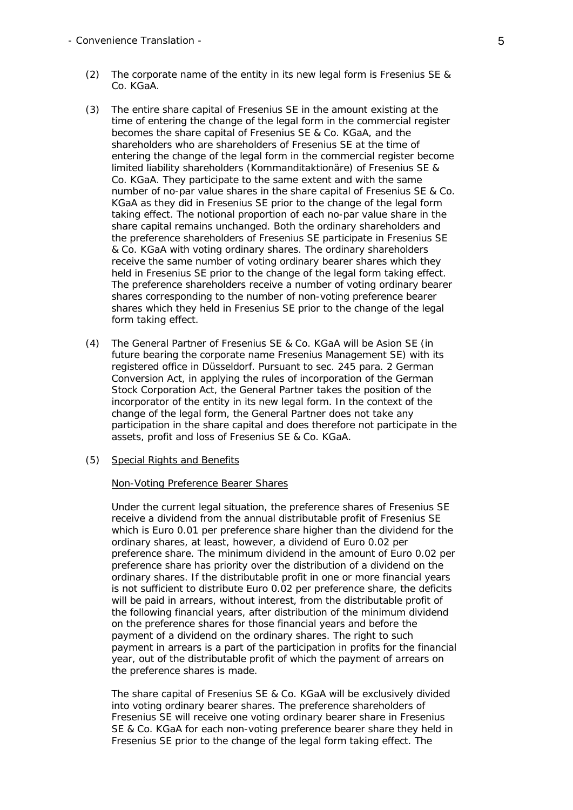- (2) The corporate name of the entity in its new legal form is Fresenius SE & Co. KGaA.
- (3) The entire share capital of Fresenius SE in the amount existing at the time of entering the change of the legal form in the commercial register becomes the share capital of Fresenius SE & Co. KGaA, and the shareholders who are shareholders of Fresenius SE at the time of entering the change of the legal form in the commercial register become limited liability shareholders (*Kommanditaktionäre*) of Fresenius SE & Co. KGaA. They participate to the same extent and with the same number of no-par value shares in the share capital of Fresenius SE & Co. KGaA as they did in Fresenius SE prior to the change of the legal form taking effect. The notional proportion of each no-par value share in the share capital remains unchanged. Both the ordinary shareholders and the preference shareholders of Fresenius SE participate in Fresenius SE & Co. KGaA with voting ordinary shares. The ordinary shareholders receive the same number of voting ordinary bearer shares which they held in Fresenius SE prior to the change of the legal form taking effect. The preference shareholders receive a number of voting ordinary bearer shares corresponding to the number of non-voting preference bearer shares which they held in Fresenius SE prior to the change of the legal form taking effect.
- (4) The General Partner of Fresenius SE & Co. KGaA will be Asion SE (in future bearing the corporate name Fresenius Management SE) with its registered office in Düsseldorf. Pursuant to sec. 245 para. 2 German Conversion Act, in applying the rules of incorporation of the German Stock Corporation Act, the General Partner takes the position of the incorporator of the entity in its new legal form. In the context of the change of the legal form, the General Partner does not take any participation in the share capital and does therefore not participate in the assets, profit and loss of Fresenius SE & Co. KGaA.
- (5) Special Rights and Benefits

#### Non-Voting Preference Bearer Shares

 Under the current legal situation, the preference shares of Fresenius SE receive a dividend from the annual distributable profit of Fresenius SE which is Euro 0.01 per preference share higher than the dividend for the ordinary shares, at least, however, a dividend of Euro 0.02 per preference share. The minimum dividend in the amount of Euro 0.02 per preference share has priority over the distribution of a dividend on the ordinary shares. If the distributable profit in one or more financial years is not sufficient to distribute Euro 0.02 per preference share, the deficits will be paid in arrears, without interest, from the distributable profit of the following financial years, after distribution of the minimum dividend on the preference shares for those financial years and before the payment of a dividend on the ordinary shares. The right to such payment in arrears is a part of the participation in profits for the financial year, out of the distributable profit of which the payment of arrears on the preference shares is made.

 The share capital of Fresenius SE & Co. KGaA will be exclusively divided into voting ordinary bearer shares. The preference shareholders of Fresenius SE will receive one voting ordinary bearer share in Fresenius SE & Co. KGaA for each non-voting preference bearer share they held in Fresenius SE prior to the change of the legal form taking effect. The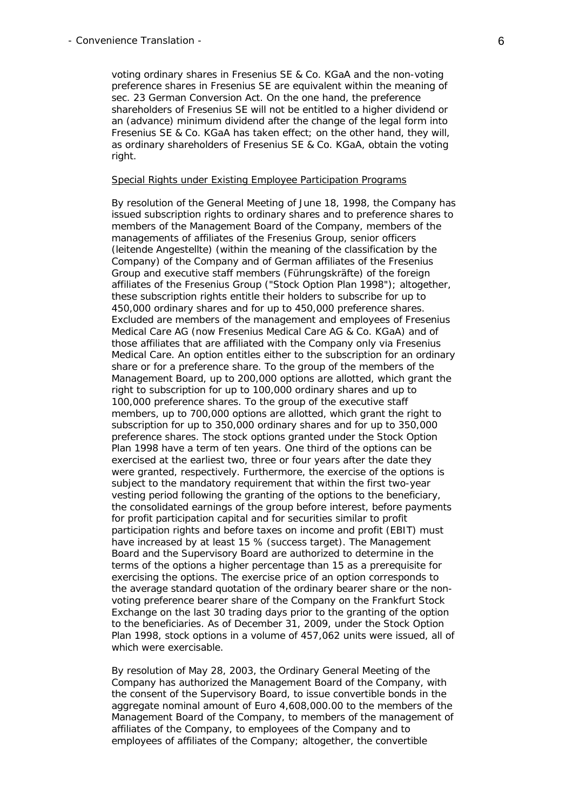voting ordinary shares in Fresenius SE & Co. KGaA and the non-voting preference shares in Fresenius SE are equivalent within the meaning of sec. 23 German Conversion Act. On the one hand, the preference shareholders of Fresenius SE will not be entitled to a higher dividend or an (advance) minimum dividend after the change of the legal form into Fresenius SE & Co. KGaA has taken effect; on the other hand, they will, as ordinary shareholders of Fresenius SE & Co. KGaA, obtain the voting right.

#### Special Rights under Existing Employee Participation Programs

 By resolution of the General Meeting of June 18, 1998, the Company has issued subscription rights to ordinary shares and to preference shares to members of the Management Board of the Company, members of the managements of affiliates of the Fresenius Group, senior officers (*leitende Angestellte*) (within the meaning of the classification by the Company) of the Company and of German affiliates of the Fresenius Group and executive staff members (*Führungskräfte*) of the foreign affiliates of the Fresenius Group ("Stock Option Plan 1998"); altogether, these subscription rights entitle their holders to subscribe for up to 450,000 ordinary shares and for up to 450,000 preference shares. Excluded are members of the management and employees of Fresenius Medical Care AG (now Fresenius Medical Care AG & Co. KGaA) and of those affiliates that are affiliated with the Company only via Fresenius Medical Care. An option entitles either to the subscription for an ordinary share or for a preference share. To the group of the members of the Management Board, up to 200,000 options are allotted, which grant the right to subscription for up to 100,000 ordinary shares and up to 100,000 preference shares. To the group of the executive staff members, up to 700,000 options are allotted, which grant the right to subscription for up to 350,000 ordinary shares and for up to 350,000 preference shares. The stock options granted under the Stock Option Plan 1998 have a term of ten years. One third of the options can be exercised at the earliest two, three or four years after the date they were granted, respectively. Furthermore, the exercise of the options is subject to the mandatory requirement that within the first two-year vesting period following the granting of the options to the beneficiary, the consolidated earnings of the group before interest, before payments for profit participation capital and for securities similar to profit participation rights and before taxes on income and profit (EBIT) must have increased by at least 15 % (success target). The Management Board and the Supervisory Board are authorized to determine in the terms of the options a higher percentage than 15 as a prerequisite for exercising the options. The exercise price of an option corresponds to the average standard quotation of the ordinary bearer share or the nonvoting preference bearer share of the Company on the Frankfurt Stock Exchange on the last 30 trading days prior to the granting of the option to the beneficiaries. As of December 31, 2009, under the Stock Option Plan 1998, stock options in a volume of 457,062 units were issued, all of which were exercisable.

 By resolution of May 28, 2003, the Ordinary General Meeting of the Company has authorized the Management Board of the Company, with the consent of the Supervisory Board, to issue convertible bonds in the aggregate nominal amount of Euro 4,608,000.00 to the members of the Management Board of the Company, to members of the management of affiliates of the Company, to employees of the Company and to employees of affiliates of the Company; altogether, the convertible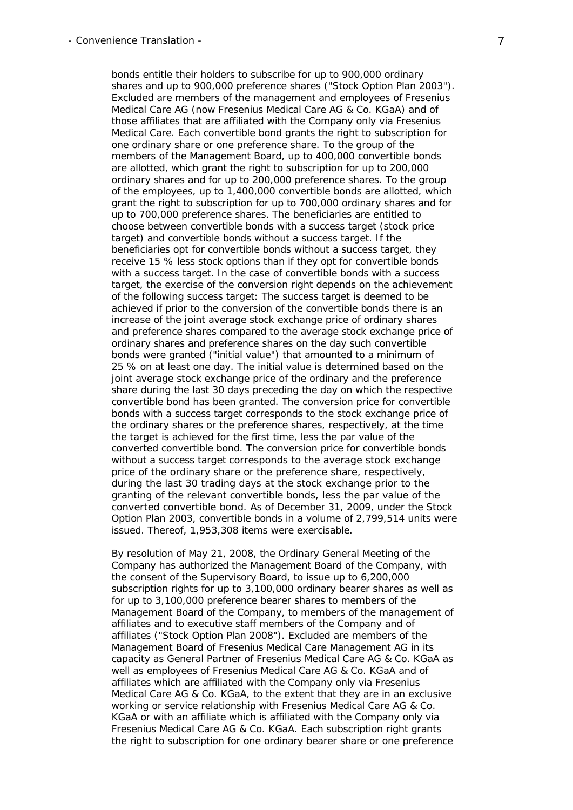bonds entitle their holders to subscribe for up to 900,000 ordinary shares and up to 900,000 preference shares ("Stock Option Plan 2003"). Excluded are members of the management and employees of Fresenius Medical Care AG (now Fresenius Medical Care AG & Co. KGaA) and of those affiliates that are affiliated with the Company only via Fresenius Medical Care. Each convertible bond grants the right to subscription for one ordinary share or one preference share. To the group of the members of the Management Board, up to 400,000 convertible bonds are allotted, which grant the right to subscription for up to 200,000 ordinary shares and for up to 200,000 preference shares. To the group of the employees, up to 1,400,000 convertible bonds are allotted, which grant the right to subscription for up to 700,000 ordinary shares and for up to 700,000 preference shares. The beneficiaries are entitled to choose between convertible bonds with a success target (stock price target) and convertible bonds without a success target. If the beneficiaries opt for convertible bonds without a success target, they receive 15 % less stock options than if they opt for convertible bonds with a success target. In the case of convertible bonds with a success target, the exercise of the conversion right depends on the achievement of the following success target: The success target is deemed to be achieved if prior to the conversion of the convertible bonds there is an increase of the joint average stock exchange price of ordinary shares and preference shares compared to the average stock exchange price of ordinary shares and preference shares on the day such convertible bonds were granted ("initial value") that amounted to a minimum of 25 % on at least one day. The initial value is determined based on the joint average stock exchange price of the ordinary and the preference share during the last 30 days preceding the day on which the respective convertible bond has been granted. The conversion price for convertible bonds with a success target corresponds to the stock exchange price of the ordinary shares or the preference shares, respectively, at the time the target is achieved for the first time, less the par value of the converted convertible bond. The conversion price for convertible bonds without a success target corresponds to the average stock exchange price of the ordinary share or the preference share, respectively, during the last 30 trading days at the stock exchange prior to the granting of the relevant convertible bonds, less the par value of the converted convertible bond. As of December 31, 2009, under the Stock Option Plan 2003, convertible bonds in a volume of 2,799,514 units were issued. Thereof, 1,953,308 items were exercisable.

 By resolution of May 21, 2008, the Ordinary General Meeting of the Company has authorized the Management Board of the Company, with the consent of the Supervisory Board, to issue up to 6,200,000 subscription rights for up to 3,100,000 ordinary bearer shares as well as for up to 3,100,000 preference bearer shares to members of the Management Board of the Company, to members of the management of affiliates and to executive staff members of the Company and of affiliates ("Stock Option Plan 2008"). Excluded are members of the Management Board of Fresenius Medical Care Management AG in its capacity as General Partner of Fresenius Medical Care AG & Co. KGaA as well as employees of Fresenius Medical Care AG & Co. KGaA and of affiliates which are affiliated with the Company only via Fresenius Medical Care AG & Co. KGaA, to the extent that they are in an exclusive working or service relationship with Fresenius Medical Care AG & Co. KGaA or with an affiliate which is affiliated with the Company only via Fresenius Medical Care AG & Co. KGaA. Each subscription right grants the right to subscription for one ordinary bearer share or one preference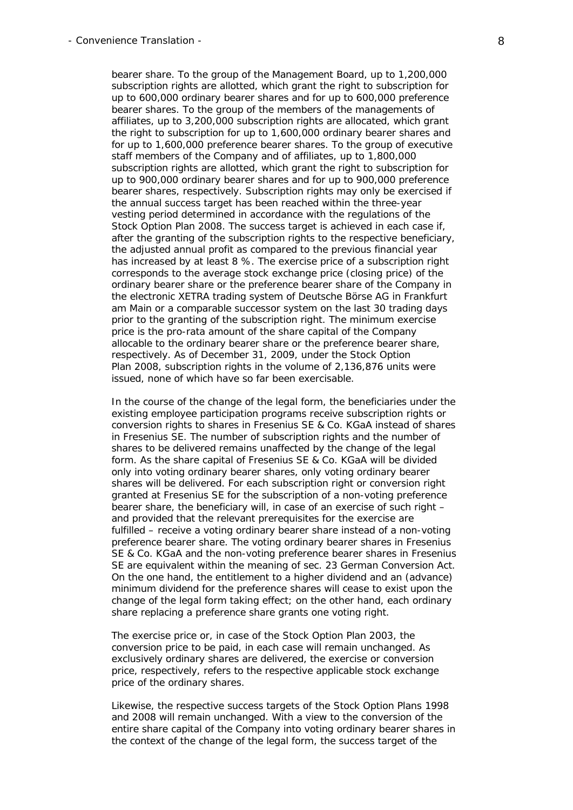bearer share. To the group of the Management Board, up to 1,200,000 subscription rights are allotted, which grant the right to subscription for up to 600,000 ordinary bearer shares and for up to 600,000 preference bearer shares. To the group of the members of the managements of affiliates, up to 3,200,000 subscription rights are allocated, which grant the right to subscription for up to 1,600,000 ordinary bearer shares and for up to 1,600,000 preference bearer shares. To the group of executive staff members of the Company and of affiliates, up to 1,800,000 subscription rights are allotted, which grant the right to subscription for up to 900,000 ordinary bearer shares and for up to 900,000 preference bearer shares, respectively. Subscription rights may only be exercised if the annual success target has been reached within the three-year vesting period determined in accordance with the regulations of the Stock Option Plan 2008. The success target is achieved in each case if, after the granting of the subscription rights to the respective beneficiary, the adjusted annual profit as compared to the previous financial year has increased by at least 8 %. The exercise price of a subscription right corresponds to the average stock exchange price (closing price) of the ordinary bearer share or the preference bearer share of the Company in the electronic XETRA trading system of Deutsche Börse AG in Frankfurt am Main or a comparable successor system on the last 30 trading days prior to the granting of the subscription right. The minimum exercise price is the pro-rata amount of the share capital of the Company allocable to the ordinary bearer share or the preference bearer share, respectively. As of December 31, 2009, under the Stock Option Plan 2008, subscription rights in the volume of 2,136,876 units were issued, none of which have so far been exercisable.

 In the course of the change of the legal form, the beneficiaries under the existing employee participation programs receive subscription rights or conversion rights to shares in Fresenius SE & Co. KGaA instead of shares in Fresenius SE. The number of subscription rights and the number of shares to be delivered remains unaffected by the change of the legal form. As the share capital of Fresenius SE & Co. KGaA will be divided only into voting ordinary bearer shares, only voting ordinary bearer shares will be delivered. For each subscription right or conversion right granted at Fresenius SE for the subscription of a non-voting preference bearer share, the beneficiary will, in case of an exercise of such right – and provided that the relevant prerequisites for the exercise are fulfilled – receive a voting ordinary bearer share instead of a non-voting preference bearer share. The voting ordinary bearer shares in Fresenius SE & Co. KGaA and the non-voting preference bearer shares in Fresenius SE are equivalent within the meaning of sec. 23 German Conversion Act. On the one hand, the entitlement to a higher dividend and an (advance) minimum dividend for the preference shares will cease to exist upon the change of the legal form taking effect; on the other hand, each ordinary share replacing a preference share grants one voting right.

 The exercise price or, in case of the Stock Option Plan 2003, the conversion price to be paid, in each case will remain unchanged. As exclusively ordinary shares are delivered, the exercise or conversion price, respectively, refers to the respective applicable stock exchange price of the ordinary shares.

 Likewise, the respective success targets of the Stock Option Plans 1998 and 2008 will remain unchanged. With a view to the conversion of the entire share capital of the Company into voting ordinary bearer shares in the context of the change of the legal form, the success target of the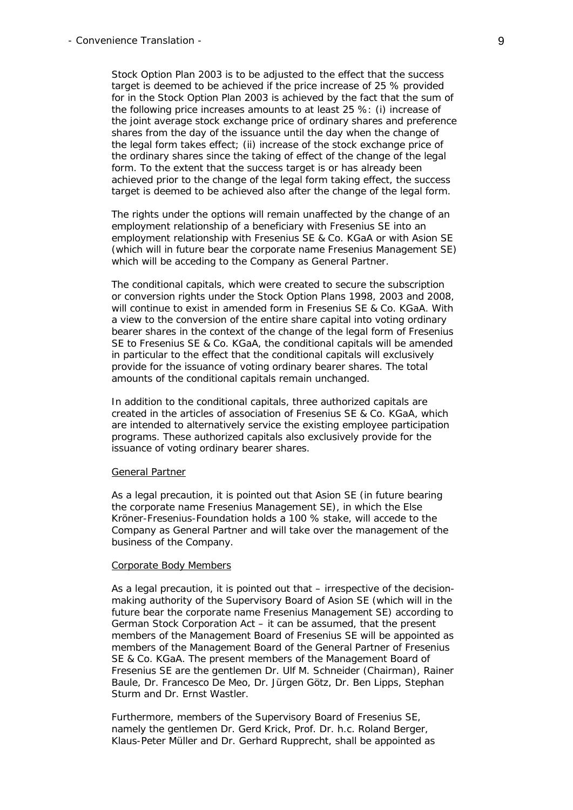Stock Option Plan 2003 is to be adjusted to the effect that the success target is deemed to be achieved if the price increase of 25 % provided for in the Stock Option Plan 2003 is achieved by the fact that the sum of the following price increases amounts to at least 25 %: (i) increase of the joint average stock exchange price of ordinary shares and preference shares from the day of the issuance until the day when the change of the legal form takes effect; (ii) increase of the stock exchange price of the ordinary shares since the taking of effect of the change of the legal form. To the extent that the success target is or has already been achieved prior to the change of the legal form taking effect, the success target is deemed to be achieved also after the change of the legal form.

 The rights under the options will remain unaffected by the change of an employment relationship of a beneficiary with Fresenius SE into an employment relationship with Fresenius SE & Co. KGaA or with Asion SE (which will in future bear the corporate name Fresenius Management SE) which will be acceding to the Company as General Partner.

 The conditional capitals, which were created to secure the subscription or conversion rights under the Stock Option Plans 1998, 2003 and 2008, will continue to exist in amended form in Fresenius SE & Co. KGaA. With a view to the conversion of the entire share capital into voting ordinary bearer shares in the context of the change of the legal form of Fresenius SE to Fresenius SE & Co. KGaA, the conditional capitals will be amended in particular to the effect that the conditional capitals will exclusively provide for the issuance of voting ordinary bearer shares. The total amounts of the conditional capitals remain unchanged.

 In addition to the conditional capitals, three authorized capitals are created in the articles of association of Fresenius SE & Co. KGaA, which are intended to alternatively service the existing employee participation programs. These authorized capitals also exclusively provide for the issuance of voting ordinary bearer shares.

#### General Partner

 As a legal precaution, it is pointed out that Asion SE (in future bearing the corporate name Fresenius Management SE), in which the Else Kröner-Fresenius-Foundation holds a 100 % stake, will accede to the Company as General Partner and will take over the management of the business of the Company.

#### Corporate Body Members

 As a legal precaution, it is pointed out that – irrespective of the decisionmaking authority of the Supervisory Board of Asion SE (which will in the future bear the corporate name Fresenius Management SE) according to German Stock Corporation Act – it can be assumed, that the present members of the Management Board of Fresenius SE will be appointed as members of the Management Board of the General Partner of Fresenius SE & Co. KGaA. The present members of the Management Board of Fresenius SE are the gentlemen Dr. Ulf M. Schneider (Chairman), Rainer Baule, Dr. Francesco De Meo, Dr. Jürgen Götz, Dr. Ben Lipps, Stephan Sturm and Dr. Ernst Wastler.

 Furthermore, members of the Supervisory Board of Fresenius SE, namely the gentlemen Dr. Gerd Krick, Prof. Dr. h.c. Roland Berger, Klaus-Peter Müller and Dr. Gerhard Rupprecht, shall be appointed as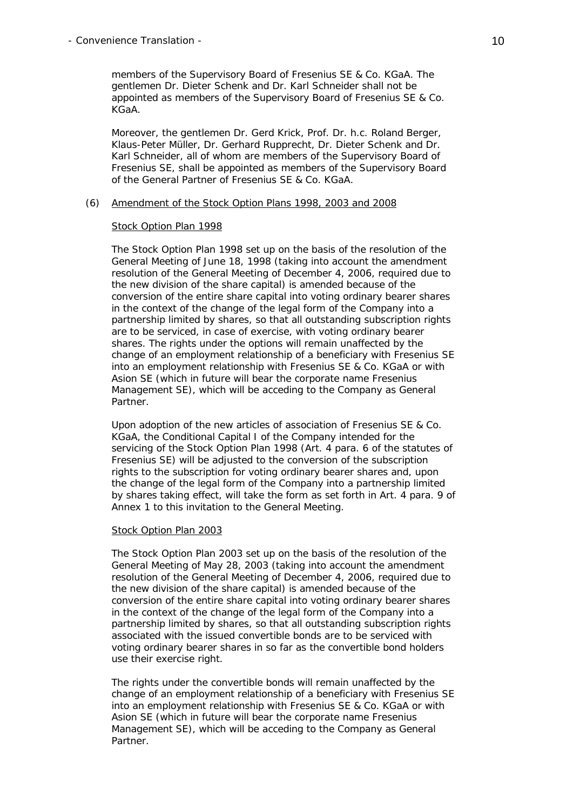members of the Supervisory Board of Fresenius SE & Co. KGaA. The gentlemen Dr. Dieter Schenk and Dr. Karl Schneider shall not be appointed as members of the Supervisory Board of Fresenius SE & Co. KGaA.

 Moreover, the gentlemen Dr. Gerd Krick, Prof. Dr. h.c. Roland Berger, Klaus-Peter Müller, Dr. Gerhard Rupprecht, Dr. Dieter Schenk and Dr. Karl Schneider, all of whom are members of the Supervisory Board of Fresenius SE, shall be appointed as members of the Supervisory Board of the General Partner of Fresenius SE & Co. KGaA.

#### (6) Amendment of the Stock Option Plans 1998, 2003 and 2008

#### Stock Option Plan 1998

 The Stock Option Plan 1998 set up on the basis of the resolution of the General Meeting of June 18, 1998 (taking into account the amendment resolution of the General Meeting of December 4, 2006, required due to the new division of the share capital) is amended because of the conversion of the entire share capital into voting ordinary bearer shares in the context of the change of the legal form of the Company into a partnership limited by shares, so that all outstanding subscription rights are to be serviced, in case of exercise, with voting ordinary bearer shares. The rights under the options will remain unaffected by the change of an employment relationship of a beneficiary with Fresenius SE into an employment relationship with Fresenius SE & Co. KGaA or with Asion SE (which in future will bear the corporate name Fresenius Management SE), which will be acceding to the Company as General Partner.

 Upon adoption of the new articles of association of Fresenius SE & Co. KGaA, the Conditional Capital I of the Company intended for the servicing of the Stock Option Plan 1998 (Art. 4 para. 6 of the statutes of Fresenius SE) will be adjusted to the conversion of the subscription rights to the subscription for voting ordinary bearer shares and, upon the change of the legal form of the Company into a partnership limited by shares taking effect, will take the form as set forth in Art. 4 para. 9 of Annex 1 to this invitation to the General Meeting.

#### Stock Option Plan 2003

 The Stock Option Plan 2003 set up on the basis of the resolution of the General Meeting of May 28, 2003 (taking into account the amendment resolution of the General Meeting of December 4, 2006, required due to the new division of the share capital) is amended because of the conversion of the entire share capital into voting ordinary bearer shares in the context of the change of the legal form of the Company into a partnership limited by shares, so that all outstanding subscription rights associated with the issued convertible bonds are to be serviced with voting ordinary bearer shares in so far as the convertible bond holders use their exercise right.

 The rights under the convertible bonds will remain unaffected by the change of an employment relationship of a beneficiary with Fresenius SE into an employment relationship with Fresenius SE & Co. KGaA or with Asion SE (which in future will bear the corporate name Fresenius Management SE), which will be acceding to the Company as General Partner.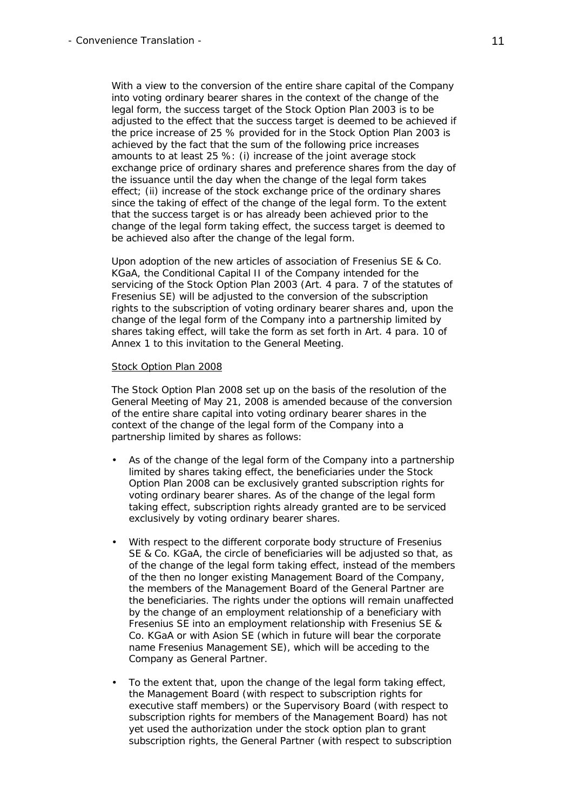With a view to the conversion of the entire share capital of the Company into voting ordinary bearer shares in the context of the change of the legal form, the success target of the Stock Option Plan 2003 is to be adjusted to the effect that the success target is deemed to be achieved if the price increase of 25 % provided for in the Stock Option Plan 2003 is achieved by the fact that the sum of the following price increases amounts to at least 25 %: (i) increase of the joint average stock exchange price of ordinary shares and preference shares from the day of the issuance until the day when the change of the legal form takes effect; (ii) increase of the stock exchange price of the ordinary shares since the taking of effect of the change of the legal form. To the extent that the success target is or has already been achieved prior to the change of the legal form taking effect, the success target is deemed to be achieved also after the change of the legal form.

 Upon adoption of the new articles of association of Fresenius SE & Co. KGaA, the Conditional Capital II of the Company intended for the servicing of the Stock Option Plan 2003 (Art. 4 para. 7 of the statutes of Fresenius SE) will be adjusted to the conversion of the subscription rights to the subscription of voting ordinary bearer shares and, upon the change of the legal form of the Company into a partnership limited by shares taking effect, will take the form as set forth in Art. 4 para. 10 of Annex 1 to this invitation to the General Meeting.

#### Stock Option Plan 2008

 The Stock Option Plan 2008 set up on the basis of the resolution of the General Meeting of May 21, 2008 is amended because of the conversion of the entire share capital into voting ordinary bearer shares in the context of the change of the legal form of the Company into a partnership limited by shares as follows:

- As of the change of the legal form of the Company into a partnership limited by shares taking effect, the beneficiaries under the Stock Option Plan 2008 can be exclusively granted subscription rights for voting ordinary bearer shares. As of the change of the legal form taking effect, subscription rights already granted are to be serviced exclusively by voting ordinary bearer shares.
- With respect to the different corporate body structure of Fresenius SE & Co. KGaA, the circle of beneficiaries will be adjusted so that, as of the change of the legal form taking effect, instead of the members of the then no longer existing Management Board of the Company, the members of the Management Board of the General Partner are the beneficiaries. The rights under the options will remain unaffected by the change of an employment relationship of a beneficiary with Fresenius SE into an employment relationship with Fresenius SE & Co. KGaA or with Asion SE (which in future will bear the corporate name Fresenius Management SE), which will be acceding to the Company as General Partner.
- To the extent that, upon the change of the legal form taking effect, the Management Board (with respect to subscription rights for executive staff members) or the Supervisory Board (with respect to subscription rights for members of the Management Board) has not yet used the authorization under the stock option plan to grant subscription rights, the General Partner (with respect to subscription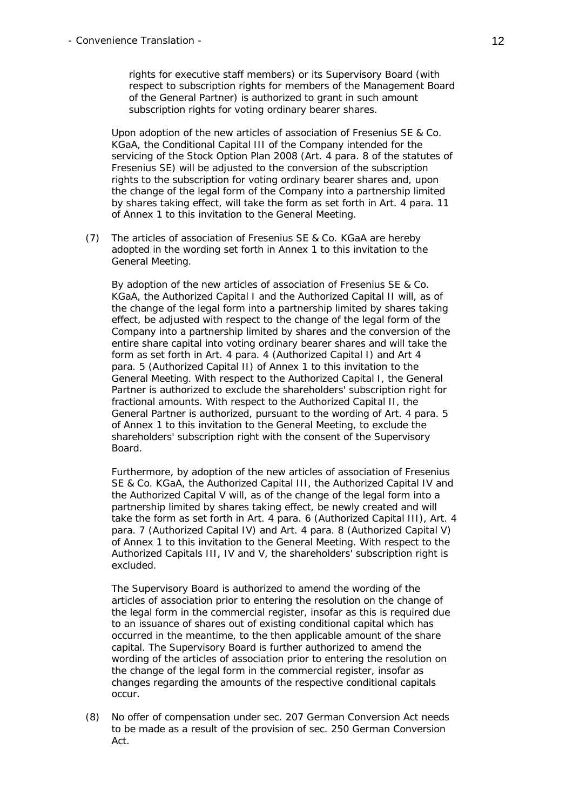rights for executive staff members) or its Supervisory Board (with respect to subscription rights for members of the Management Board of the General Partner) is authorized to grant in such amount subscription rights for voting ordinary bearer shares.

 Upon adoption of the new articles of association of Fresenius SE & Co. KGaA, the Conditional Capital III of the Company intended for the servicing of the Stock Option Plan 2008 (Art. 4 para. 8 of the statutes of Fresenius SE) will be adjusted to the conversion of the subscription rights to the subscription for voting ordinary bearer shares and, upon the change of the legal form of the Company into a partnership limited by shares taking effect, will take the form as set forth in Art. 4 para. 11 of Annex 1 to this invitation to the General Meeting.

(7) The articles of association of Fresenius SE & Co. KGaA are hereby adopted in the wording set forth in Annex 1 to this invitation to the General Meeting.

 By adoption of the new articles of association of Fresenius SE & Co. KGaA, the Authorized Capital I and the Authorized Capital II will, as of the change of the legal form into a partnership limited by shares taking effect, be adjusted with respect to the change of the legal form of the Company into a partnership limited by shares and the conversion of the entire share capital into voting ordinary bearer shares and will take the form as set forth in Art. 4 para. 4 (Authorized Capital I) and Art 4 para. 5 (Authorized Capital II) of Annex 1 to this invitation to the General Meeting. With respect to the Authorized Capital I, the General Partner is authorized to exclude the shareholders' subscription right for fractional amounts. With respect to the Authorized Capital II, the General Partner is authorized, pursuant to the wording of Art. 4 para. 5 of Annex 1 to this invitation to the General Meeting, to exclude the shareholders' subscription right with the consent of the Supervisory Board.

 Furthermore, by adoption of the new articles of association of Fresenius SE & Co. KGaA, the Authorized Capital III, the Authorized Capital IV and the Authorized Capital V will, as of the change of the legal form into a partnership limited by shares taking effect, be newly created and will take the form as set forth in Art. 4 para. 6 (Authorized Capital III), Art. 4 para. 7 (Authorized Capital IV) and Art. 4 para. 8 (Authorized Capital V) of Annex 1 to this invitation to the General Meeting. With respect to the Authorized Capitals III, IV and V, the shareholders' subscription right is excluded.

 The Supervisory Board is authorized to amend the wording of the articles of association prior to entering the resolution on the change of the legal form in the commercial register, insofar as this is required due to an issuance of shares out of existing conditional capital which has occurred in the meantime, to the then applicable amount of the share capital. The Supervisory Board is further authorized to amend the wording of the articles of association prior to entering the resolution on the change of the legal form in the commercial register, insofar as changes regarding the amounts of the respective conditional capitals occur.

(8) No offer of compensation under sec. 207 German Conversion Act needs to be made as a result of the provision of sec. 250 German Conversion Act.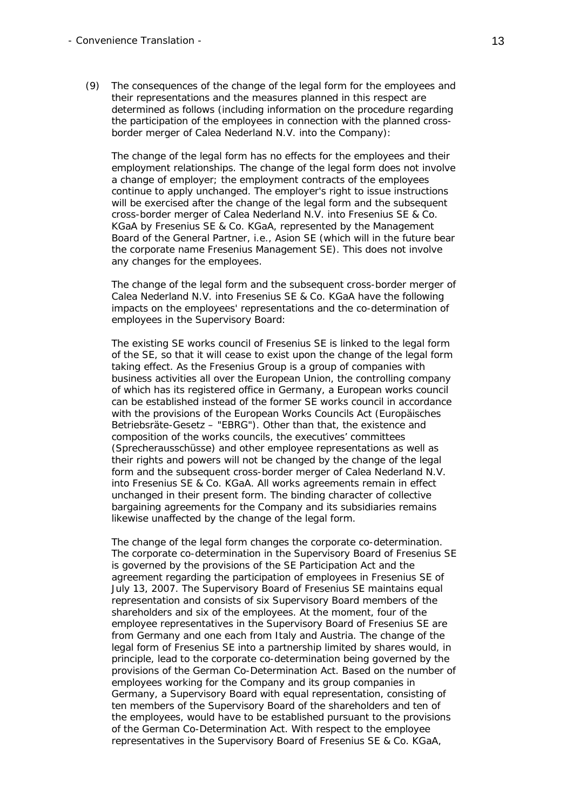(9) The consequences of the change of the legal form for the employees and their representations and the measures planned in this respect are determined as follows (including information on the procedure regarding the participation of the employees in connection with the planned crossborder merger of Calea Nederland N.V. into the Company):

 The change of the legal form has no effects for the employees and their employment relationships. The change of the legal form does not involve a change of employer; the employment contracts of the employees continue to apply unchanged. The employer's right to issue instructions will be exercised after the change of the legal form and the subsequent cross-border merger of Calea Nederland N.V. into Fresenius SE & Co. KGaA by Fresenius SE & Co. KGaA, represented by the Management Board of the General Partner, i.e., Asion SE (which will in the future bear the corporate name Fresenius Management SE). This does not involve any changes for the employees.

 The change of the legal form and the subsequent cross-border merger of Calea Nederland N.V. into Fresenius SE & Co. KGaA have the following impacts on the employees' representations and the co-determination of employees in the Supervisory Board:

 The existing SE works council of Fresenius SE is linked to the legal form of the SE, so that it will cease to exist upon the change of the legal form taking effect. As the Fresenius Group is a group of companies with business activities all over the European Union, the controlling company of which has its registered office in Germany, a European works council can be established instead of the former SE works council in accordance with the provisions of the European Works Councils Act (*Europäisches Betriebsräte-Gesetz* – "EBRG"). Other than that, the existence and composition of the works councils, the executives' committees (*Sprecherausschüsse*) and other employee representations as well as their rights and powers will not be changed by the change of the legal form and the subsequent cross-border merger of Calea Nederland N.V. into Fresenius SE & Co. KGaA. All works agreements remain in effect unchanged in their present form. The binding character of collective bargaining agreements for the Company and its subsidiaries remains likewise unaffected by the change of the legal form.

 The change of the legal form changes the corporate co-determination. The corporate co-determination in the Supervisory Board of Fresenius SE is governed by the provisions of the SE Participation Act and the agreement regarding the participation of employees in Fresenius SE of July 13, 2007. The Supervisory Board of Fresenius SE maintains equal representation and consists of six Supervisory Board members of the shareholders and six of the employees. At the moment, four of the employee representatives in the Supervisory Board of Fresenius SE are from Germany and one each from Italy and Austria. The change of the legal form of Fresenius SE into a partnership limited by shares would, in principle, lead to the corporate co-determination being governed by the provisions of the German Co-Determination Act. Based on the number of employees working for the Company and its group companies in Germany, a Supervisory Board with equal representation, consisting of ten members of the Supervisory Board of the shareholders and ten of the employees, would have to be established pursuant to the provisions of the German Co-Determination Act. With respect to the employee representatives in the Supervisory Board of Fresenius SE & Co. KGaA,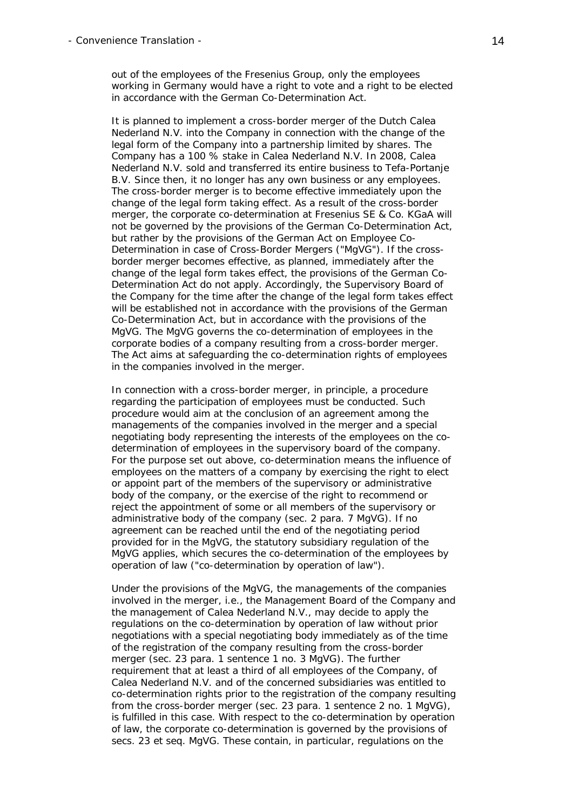out of the employees of the Fresenius Group, only the employees working in Germany would have a right to vote and a right to be elected in accordance with the German Co-Determination Act.

 It is planned to implement a cross-border merger of the Dutch Calea Nederland N.V. into the Company in connection with the change of the legal form of the Company into a partnership limited by shares. The Company has a 100 % stake in Calea Nederland N.V. In 2008, Calea Nederland N.V. sold and transferred its entire business to Tefa-Portanje B.V. Since then, it no longer has any own business or any employees. The cross-border merger is to become effective immediately upon the change of the legal form taking effect. As a result of the cross-border merger, the corporate co-determination at Fresenius SE & Co. KGaA will not be governed by the provisions of the German Co-Determination Act, but rather by the provisions of the German Act on Employee Co-Determination in case of Cross-Border Mergers ("MgVG"). If the crossborder merger becomes effective, as planned, immediately after the change of the legal form takes effect, the provisions of the German Co-Determination Act do not apply. Accordingly, the Supervisory Board of the Company for the time after the change of the legal form takes effect will be established not in accordance with the provisions of the German Co-Determination Act, but in accordance with the provisions of the MgVG. The MgVG governs the co-determination of employees in the corporate bodies of a company resulting from a cross-border merger. The Act aims at safeguarding the co-determination rights of employees in the companies involved in the merger.

 In connection with a cross-border merger, in principle, a procedure regarding the participation of employees must be conducted. Such procedure would aim at the conclusion of an agreement among the managements of the companies involved in the merger and a special negotiating body representing the interests of the employees on the codetermination of employees in the supervisory board of the company. For the purpose set out above, co-determination means the influence of employees on the matters of a company by exercising the right to elect or appoint part of the members of the supervisory or administrative body of the company, or the exercise of the right to recommend or reject the appointment of some or all members of the supervisory or administrative body of the company (sec. 2 para. 7 MgVG). If no agreement can be reached until the end of the negotiating period provided for in the MgVG, the statutory subsidiary regulation of the MgVG applies, which secures the co-determination of the employees by operation of law ("co-determination by operation of law").

 Under the provisions of the MgVG, the managements of the companies involved in the merger, i.e., the Management Board of the Company and the management of Calea Nederland N.V., may decide to apply the regulations on the co-determination by operation of law without prior negotiations with a special negotiating body immediately as of the time of the registration of the company resulting from the cross-border merger (sec. 23 para. 1 sentence 1 no. 3 MgVG). The further requirement that at least a third of all employees of the Company, of Calea Nederland N.V. and of the concerned subsidiaries was entitled to co-determination rights prior to the registration of the company resulting from the cross-border merger (sec. 23 para. 1 sentence 2 no. 1 MgVG), is fulfilled in this case. With respect to the co-determination by operation of law, the corporate co-determination is governed by the provisions of secs. 23 et seq. MgVG. These contain, in particular, regulations on the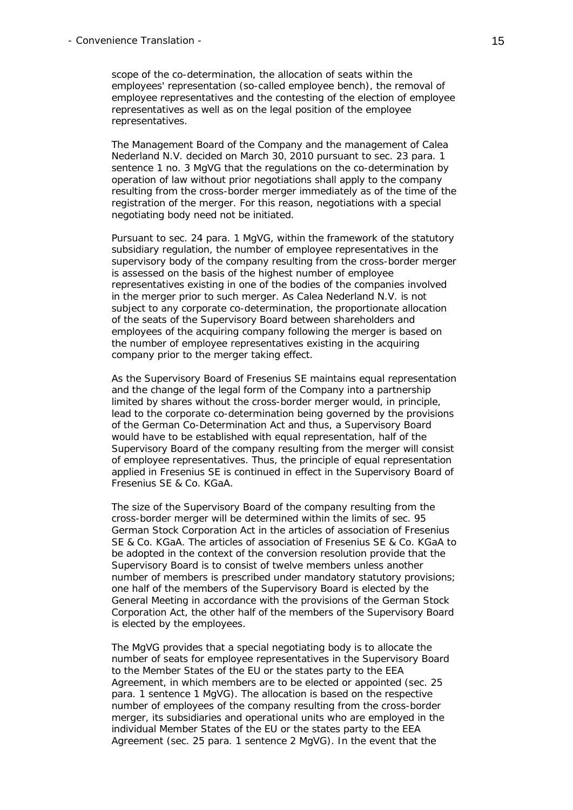scope of the co-determination, the allocation of seats within the employees' representation (so-called employee bench), the removal of employee representatives and the contesting of the election of employee representatives as well as on the legal position of the employee representatives.

 The Management Board of the Company and the management of Calea Nederland N.V. decided on March 30, 2010 pursuant to sec. 23 para. 1 sentence 1 no. 3 MgVG that the regulations on the co-determination by operation of law without prior negotiations shall apply to the company resulting from the cross-border merger immediately as of the time of the registration of the merger. For this reason, negotiations with a special negotiating body need not be initiated.

 Pursuant to sec. 24 para. 1 MgVG, within the framework of the statutory subsidiary regulation, the number of employee representatives in the supervisory body of the company resulting from the cross-border merger is assessed on the basis of the highest number of employee representatives existing in one of the bodies of the companies involved in the merger prior to such merger. As Calea Nederland N.V. is not subject to any corporate co-determination, the proportionate allocation of the seats of the Supervisory Board between shareholders and employees of the acquiring company following the merger is based on the number of employee representatives existing in the acquiring company prior to the merger taking effect.

 As the Supervisory Board of Fresenius SE maintains equal representation and the change of the legal form of the Company into a partnership limited by shares without the cross-border merger would, in principle, lead to the corporate co-determination being governed by the provisions of the German Co-Determination Act and thus, a Supervisory Board would have to be established with equal representation, half of the Supervisory Board of the company resulting from the merger will consist of employee representatives. Thus, the principle of equal representation applied in Fresenius SE is continued in effect in the Supervisory Board of Fresenius SE & Co. KGaA.

 The size of the Supervisory Board of the company resulting from the cross-border merger will be determined within the limits of sec. 95 German Stock Corporation Act in the articles of association of Fresenius SE & Co. KGaA. The articles of association of Fresenius SE & Co. KGaA to be adopted in the context of the conversion resolution provide that the Supervisory Board is to consist of twelve members unless another number of members is prescribed under mandatory statutory provisions; one half of the members of the Supervisory Board is elected by the General Meeting in accordance with the provisions of the German Stock Corporation Act, the other half of the members of the Supervisory Board is elected by the employees.

 The MgVG provides that a special negotiating body is to allocate the number of seats for employee representatives in the Supervisory Board to the Member States of the EU or the states party to the EEA Agreement, in which members are to be elected or appointed (sec. 25 para. 1 sentence 1 MgVG). The allocation is based on the respective number of employees of the company resulting from the cross-border merger, its subsidiaries and operational units who are employed in the individual Member States of the EU or the states party to the EEA Agreement (sec. 25 para. 1 sentence 2 MgVG). In the event that the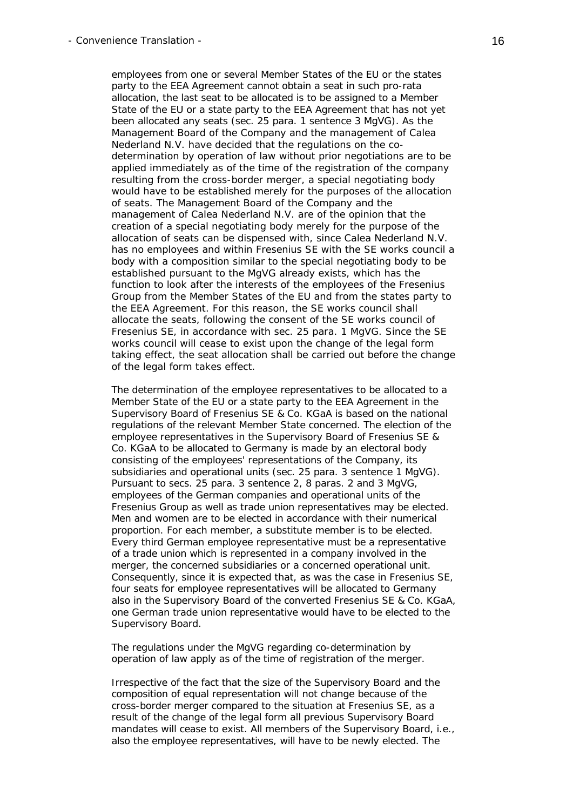employees from one or several Member States of the EU or the states party to the EEA Agreement cannot obtain a seat in such pro-rata allocation, the last seat to be allocated is to be assigned to a Member State of the EU or a state party to the EEA Agreement that has not yet been allocated any seats (sec. 25 para. 1 sentence 3 MgVG). As the Management Board of the Company and the management of Calea Nederland N.V. have decided that the regulations on the codetermination by operation of law without prior negotiations are to be applied immediately as of the time of the registration of the company resulting from the cross-border merger, a special negotiating body would have to be established merely for the purposes of the allocation of seats. The Management Board of the Company and the management of Calea Nederland N.V. are of the opinion that the creation of a special negotiating body merely for the purpose of the allocation of seats can be dispensed with, since Calea Nederland N.V. has no employees and within Fresenius SE with the SE works council a body with a composition similar to the special negotiating body to be established pursuant to the MgVG already exists, which has the function to look after the interests of the employees of the Fresenius Group from the Member States of the EU and from the states party to the EEA Agreement. For this reason, the SE works council shall allocate the seats, following the consent of the SE works council of Fresenius SE, in accordance with sec. 25 para. 1 MgVG. Since the SE works council will cease to exist upon the change of the legal form taking effect, the seat allocation shall be carried out before the change of the legal form takes effect.

 The determination of the employee representatives to be allocated to a Member State of the EU or a state party to the EEA Agreement in the Supervisory Board of Fresenius SE & Co. KGaA is based on the national regulations of the relevant Member State concerned. The election of the employee representatives in the Supervisory Board of Fresenius SE & Co. KGaA to be allocated to Germany is made by an electoral body consisting of the employees' representations of the Company, its subsidiaries and operational units (sec. 25 para. 3 sentence 1 MgVG). Pursuant to secs. 25 para. 3 sentence 2, 8 paras. 2 and 3 MgVG, employees of the German companies and operational units of the Fresenius Group as well as trade union representatives may be elected. Men and women are to be elected in accordance with their numerical proportion. For each member, a substitute member is to be elected. Every third German employee representative must be a representative of a trade union which is represented in a company involved in the merger, the concerned subsidiaries or a concerned operational unit. Consequently, since it is expected that, as was the case in Fresenius SE, four seats for employee representatives will be allocated to Germany also in the Supervisory Board of the converted Fresenius SE & Co. KGaA, one German trade union representative would have to be elected to the Supervisory Board.

 The regulations under the MgVG regarding co-determination by operation of law apply as of the time of registration of the merger.

 Irrespective of the fact that the size of the Supervisory Board and the composition of equal representation will not change because of the cross-border merger compared to the situation at Fresenius SE, as a result of the change of the legal form all previous Supervisory Board mandates will cease to exist. All members of the Supervisory Board, i.e., also the employee representatives, will have to be newly elected. The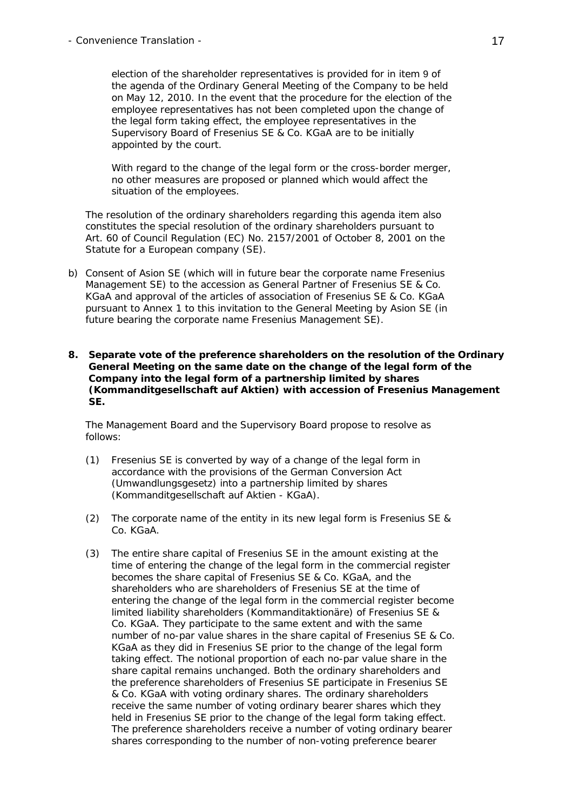election of the shareholder representatives is provided for in item 9 of the agenda of the Ordinary General Meeting of the Company to be held on May 12, 2010. In the event that the procedure for the election of the employee representatives has not been completed upon the change of the legal form taking effect, the employee representatives in the Supervisory Board of Fresenius SE & Co. KGaA are to be initially appointed by the court.

 With regard to the change of the legal form or the cross-border merger, no other measures are proposed or planned which would affect the situation of the employees.

 The resolution of the ordinary shareholders regarding this agenda item also constitutes the special resolution of the ordinary shareholders pursuant to Art. 60 of Council Regulation (EC) No. 2157/2001 of October 8, 2001 on the Statute for a European company (SE).

- b) Consent of Asion SE (which will in future bear the corporate name Fresenius Management SE) to the accession as General Partner of Fresenius SE & Co. KGaA and approval of the articles of association of Fresenius SE & Co. KGaA pursuant to Annex 1 to this invitation to the General Meeting by Asion SE (in future bearing the corporate name Fresenius Management SE).
- **8. Separate vote of the preference shareholders on the resolution of the Ordinary General Meeting on the same date on the change of the legal form of the Company into the legal form of a partnership limited by shares (***Kommanditgesellschaft auf Aktien***) with accession of Fresenius Management SE.**

 The Management Board and the Supervisory Board propose to resolve as follows:

- (1) Fresenius SE is converted by way of a change of the legal form in accordance with the provisions of the German Conversion Act (*Umwandlungsgesetz*) into a partnership limited by shares (*Kommanditgesellschaft auf Aktien - KGaA*).
- (2) The corporate name of the entity in its new legal form is Fresenius SE & Co. KGaA.
- (3) The entire share capital of Fresenius SE in the amount existing at the time of entering the change of the legal form in the commercial register becomes the share capital of Fresenius SE & Co. KGaA, and the shareholders who are shareholders of Fresenius SE at the time of entering the change of the legal form in the commercial register become limited liability shareholders (*Kommanditaktionäre*) of Fresenius SE & Co. KGaA. They participate to the same extent and with the same number of no-par value shares in the share capital of Fresenius SE & Co. KGaA as they did in Fresenius SE prior to the change of the legal form taking effect. The notional proportion of each no-par value share in the share capital remains unchanged. Both the ordinary shareholders and the preference shareholders of Fresenius SE participate in Fresenius SE & Co. KGaA with voting ordinary shares. The ordinary shareholders receive the same number of voting ordinary bearer shares which they held in Fresenius SE prior to the change of the legal form taking effect. The preference shareholders receive a number of voting ordinary bearer shares corresponding to the number of non-voting preference bearer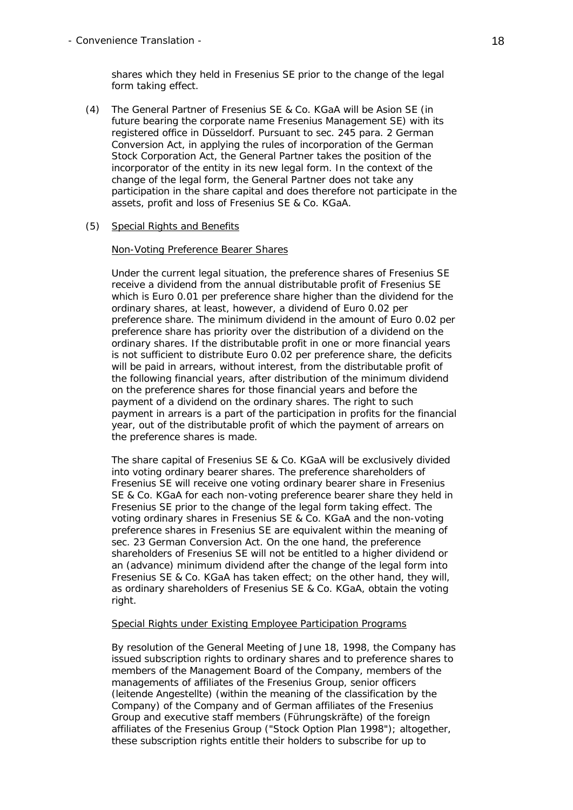shares which they held in Fresenius SE prior to the change of the legal form taking effect.

(4) The General Partner of Fresenius SE & Co. KGaA will be Asion SE (in future bearing the corporate name Fresenius Management SE) with its registered office in Düsseldorf. Pursuant to sec. 245 para. 2 German Conversion Act, in applying the rules of incorporation of the German Stock Corporation Act, the General Partner takes the position of the incorporator of the entity in its new legal form. In the context of the change of the legal form, the General Partner does not take any participation in the share capital and does therefore not participate in the assets, profit and loss of Fresenius SE & Co. KGaA.

## (5) Special Rights and Benefits

#### Non-Voting Preference Bearer Shares

 Under the current legal situation, the preference shares of Fresenius SE receive a dividend from the annual distributable profit of Fresenius SE which is Euro 0.01 per preference share higher than the dividend for the ordinary shares, at least, however, a dividend of Euro 0.02 per preference share. The minimum dividend in the amount of Euro 0.02 per preference share has priority over the distribution of a dividend on the ordinary shares. If the distributable profit in one or more financial years is not sufficient to distribute Euro 0.02 per preference share, the deficits will be paid in arrears, without interest, from the distributable profit of the following financial years, after distribution of the minimum dividend on the preference shares for those financial years and before the payment of a dividend on the ordinary shares. The right to such payment in arrears is a part of the participation in profits for the financial year, out of the distributable profit of which the payment of arrears on the preference shares is made.

 The share capital of Fresenius SE & Co. KGaA will be exclusively divided into voting ordinary bearer shares. The preference shareholders of Fresenius SE will receive one voting ordinary bearer share in Fresenius SE & Co. KGaA for each non-voting preference bearer share they held in Fresenius SE prior to the change of the legal form taking effect. The voting ordinary shares in Fresenius SE & Co. KGaA and the non-voting preference shares in Fresenius SE are equivalent within the meaning of sec. 23 German Conversion Act. On the one hand, the preference shareholders of Fresenius SE will not be entitled to a higher dividend or an (advance) minimum dividend after the change of the legal form into Fresenius SE & Co. KGaA has taken effect; on the other hand, they will, as ordinary shareholders of Fresenius SE & Co. KGaA, obtain the voting right.

#### Special Rights under Existing Employee Participation Programs

 By resolution of the General Meeting of June 18, 1998, the Company has issued subscription rights to ordinary shares and to preference shares to members of the Management Board of the Company, members of the managements of affiliates of the Fresenius Group, senior officers (*leitende Angestellte*) (within the meaning of the classification by the Company) of the Company and of German affiliates of the Fresenius Group and executive staff members (*Führungskräfte*) of the foreign affiliates of the Fresenius Group ("Stock Option Plan 1998"); altogether, these subscription rights entitle their holders to subscribe for up to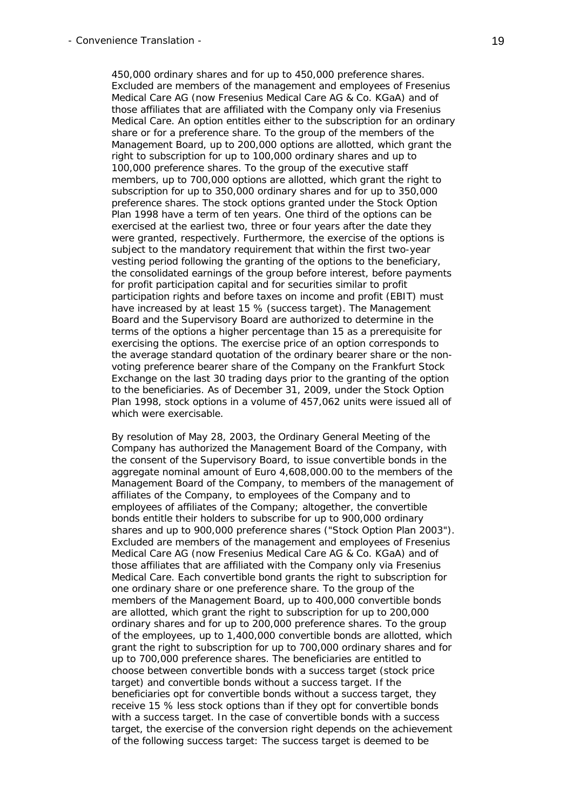450,000 ordinary shares and for up to 450,000 preference shares. Excluded are members of the management and employees of Fresenius Medical Care AG (now Fresenius Medical Care AG & Co. KGaA) and of those affiliates that are affiliated with the Company only via Fresenius Medical Care. An option entitles either to the subscription for an ordinary share or for a preference share. To the group of the members of the Management Board, up to 200,000 options are allotted, which grant the right to subscription for up to 100,000 ordinary shares and up to 100,000 preference shares. To the group of the executive staff members, up to 700,000 options are allotted, which grant the right to subscription for up to 350,000 ordinary shares and for up to 350,000 preference shares. The stock options granted under the Stock Option Plan 1998 have a term of ten years. One third of the options can be exercised at the earliest two, three or four years after the date they were granted, respectively. Furthermore, the exercise of the options is subject to the mandatory requirement that within the first two-year vesting period following the granting of the options to the beneficiary, the consolidated earnings of the group before interest, before payments for profit participation capital and for securities similar to profit participation rights and before taxes on income and profit (EBIT) must have increased by at least 15 % (success target). The Management Board and the Supervisory Board are authorized to determine in the terms of the options a higher percentage than 15 as a prerequisite for exercising the options. The exercise price of an option corresponds to the average standard quotation of the ordinary bearer share or the nonvoting preference bearer share of the Company on the Frankfurt Stock Exchange on the last 30 trading days prior to the granting of the option to the beneficiaries. As of December 31, 2009, under the Stock Option Plan 1998, stock options in a volume of 457,062 units were issued all of which were exercisable.

 By resolution of May 28, 2003, the Ordinary General Meeting of the Company has authorized the Management Board of the Company, with the consent of the Supervisory Board, to issue convertible bonds in the aggregate nominal amount of Euro 4,608,000.00 to the members of the Management Board of the Company, to members of the management of affiliates of the Company, to employees of the Company and to employees of affiliates of the Company; altogether, the convertible bonds entitle their holders to subscribe for up to 900,000 ordinary shares and up to 900,000 preference shares ("Stock Option Plan 2003"). Excluded are members of the management and employees of Fresenius Medical Care AG (now Fresenius Medical Care AG & Co. KGaA) and of those affiliates that are affiliated with the Company only via Fresenius Medical Care. Each convertible bond grants the right to subscription for one ordinary share or one preference share. To the group of the members of the Management Board, up to 400,000 convertible bonds are allotted, which grant the right to subscription for up to 200,000 ordinary shares and for up to 200,000 preference shares. To the group of the employees, up to 1,400,000 convertible bonds are allotted, which grant the right to subscription for up to 700,000 ordinary shares and for up to 700,000 preference shares. The beneficiaries are entitled to choose between convertible bonds with a success target (stock price target) and convertible bonds without a success target. If the beneficiaries opt for convertible bonds without a success target, they receive 15 % less stock options than if they opt for convertible bonds with a success target. In the case of convertible bonds with a success target, the exercise of the conversion right depends on the achievement of the following success target: The success target is deemed to be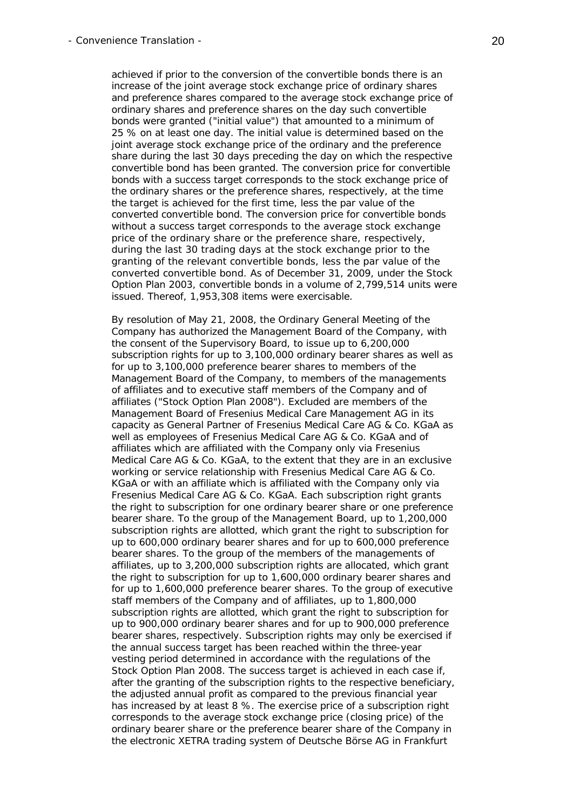achieved if prior to the conversion of the convertible bonds there is an increase of the joint average stock exchange price of ordinary shares and preference shares compared to the average stock exchange price of ordinary shares and preference shares on the day such convertible bonds were granted ("initial value") that amounted to a minimum of 25 % on at least one day. The initial value is determined based on the joint average stock exchange price of the ordinary and the preference share during the last 30 days preceding the day on which the respective convertible bond has been granted. The conversion price for convertible bonds with a success target corresponds to the stock exchange price of the ordinary shares or the preference shares, respectively, at the time the target is achieved for the first time, less the par value of the converted convertible bond. The conversion price for convertible bonds without a success target corresponds to the average stock exchange price of the ordinary share or the preference share, respectively, during the last 30 trading days at the stock exchange prior to the granting of the relevant convertible bonds, less the par value of the converted convertible bond. As of December 31, 2009, under the Stock Option Plan 2003, convertible bonds in a volume of 2,799,514 units were issued. Thereof, 1,953,308 items were exercisable.

 By resolution of May 21, 2008, the Ordinary General Meeting of the Company has authorized the Management Board of the Company, with the consent of the Supervisory Board, to issue up to 6,200,000 subscription rights for up to 3,100,000 ordinary bearer shares as well as for up to 3,100,000 preference bearer shares to members of the Management Board of the Company, to members of the managements of affiliates and to executive staff members of the Company and of affiliates ("Stock Option Plan 2008"). Excluded are members of the Management Board of Fresenius Medical Care Management AG in its capacity as General Partner of Fresenius Medical Care AG & Co. KGaA as well as employees of Fresenius Medical Care AG & Co. KGaA and of affiliates which are affiliated with the Company only via Fresenius Medical Care AG & Co. KGaA, to the extent that they are in an exclusive working or service relationship with Fresenius Medical Care AG & Co. KGaA or with an affiliate which is affiliated with the Company only via Fresenius Medical Care AG & Co. KGaA. Each subscription right grants the right to subscription for one ordinary bearer share or one preference bearer share. To the group of the Management Board, up to 1,200,000 subscription rights are allotted, which grant the right to subscription for up to 600,000 ordinary bearer shares and for up to 600,000 preference bearer shares. To the group of the members of the managements of affiliates, up to 3,200,000 subscription rights are allocated, which grant the right to subscription for up to 1,600,000 ordinary bearer shares and for up to 1,600,000 preference bearer shares. To the group of executive staff members of the Company and of affiliates, up to 1,800,000 subscription rights are allotted, which grant the right to subscription for up to 900,000 ordinary bearer shares and for up to 900,000 preference bearer shares, respectively. Subscription rights may only be exercised if the annual success target has been reached within the three-year vesting period determined in accordance with the regulations of the Stock Option Plan 2008. The success target is achieved in each case if, after the granting of the subscription rights to the respective beneficiary, the adjusted annual profit as compared to the previous financial year has increased by at least 8 %. The exercise price of a subscription right corresponds to the average stock exchange price (closing price) of the ordinary bearer share or the preference bearer share of the Company in the electronic XETRA trading system of Deutsche Börse AG in Frankfurt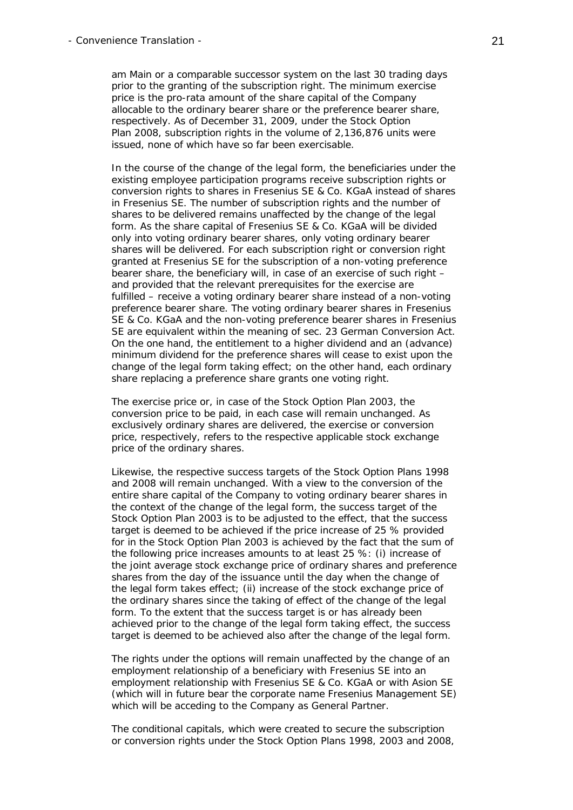am Main or a comparable successor system on the last 30 trading days prior to the granting of the subscription right. The minimum exercise price is the pro-rata amount of the share capital of the Company allocable to the ordinary bearer share or the preference bearer share, respectively. As of December 31, 2009, under the Stock Option Plan 2008, subscription rights in the volume of 2,136,876 units were issued, none of which have so far been exercisable.

 In the course of the change of the legal form, the beneficiaries under the existing employee participation programs receive subscription rights or conversion rights to shares in Fresenius SE & Co. KGaA instead of shares in Fresenius SE. The number of subscription rights and the number of shares to be delivered remains unaffected by the change of the legal form. As the share capital of Fresenius SE & Co. KGaA will be divided only into voting ordinary bearer shares, only voting ordinary bearer shares will be delivered. For each subscription right or conversion right granted at Fresenius SE for the subscription of a non-voting preference bearer share, the beneficiary will, in case of an exercise of such right – and provided that the relevant prerequisites for the exercise are fulfilled – receive a voting ordinary bearer share instead of a non-voting preference bearer share. The voting ordinary bearer shares in Fresenius SE & Co. KGaA and the non-voting preference bearer shares in Fresenius SE are equivalent within the meaning of sec. 23 German Conversion Act. On the one hand, the entitlement to a higher dividend and an (advance) minimum dividend for the preference shares will cease to exist upon the change of the legal form taking effect; on the other hand, each ordinary share replacing a preference share grants one voting right.

 The exercise price or, in case of the Stock Option Plan 2003, the conversion price to be paid, in each case will remain unchanged. As exclusively ordinary shares are delivered, the exercise or conversion price, respectively, refers to the respective applicable stock exchange price of the ordinary shares.

 Likewise, the respective success targets of the Stock Option Plans 1998 and 2008 will remain unchanged. With a view to the conversion of the entire share capital of the Company to voting ordinary bearer shares in the context of the change of the legal form, the success target of the Stock Option Plan 2003 is to be adjusted to the effect, that the success target is deemed to be achieved if the price increase of 25 % provided for in the Stock Option Plan 2003 is achieved by the fact that the sum of the following price increases amounts to at least 25 %: (i) increase of the joint average stock exchange price of ordinary shares and preference shares from the day of the issuance until the day when the change of the legal form takes effect; (ii) increase of the stock exchange price of the ordinary shares since the taking of effect of the change of the legal form. To the extent that the success target is or has already been achieved prior to the change of the legal form taking effect, the success target is deemed to be achieved also after the change of the legal form.

 The rights under the options will remain unaffected by the change of an employment relationship of a beneficiary with Fresenius SE into an employment relationship with Fresenius SE & Co. KGaA or with Asion SE (which will in future bear the corporate name Fresenius Management SE) which will be acceding to the Company as General Partner.

 The conditional capitals, which were created to secure the subscription or conversion rights under the Stock Option Plans 1998, 2003 and 2008,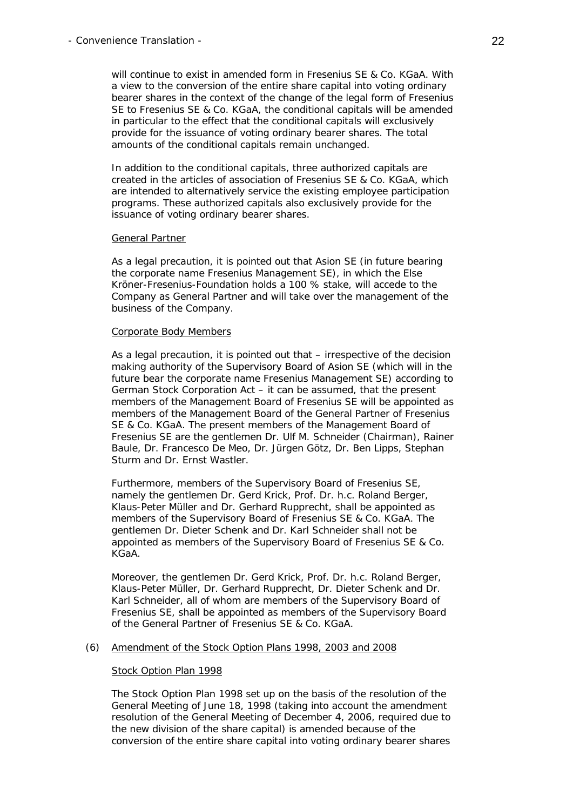will continue to exist in amended form in Fresenius SE & Co. KGaA. With a view to the conversion of the entire share capital into voting ordinary bearer shares in the context of the change of the legal form of Fresenius SE to Fresenius SE & Co. KGaA, the conditional capitals will be amended in particular to the effect that the conditional capitals will exclusively provide for the issuance of voting ordinary bearer shares. The total amounts of the conditional capitals remain unchanged.

 In addition to the conditional capitals, three authorized capitals are created in the articles of association of Fresenius SE & Co. KGaA, which are intended to alternatively service the existing employee participation programs. These authorized capitals also exclusively provide for the issuance of voting ordinary bearer shares.

#### General Partner

As a legal precaution, it is pointed out that Asion SE (in future bearing the corporate name Fresenius Management SE), in which the Else Kröner-Fresenius-Foundation holds a 100 % stake, will accede to the Company as General Partner and will take over the management of the business of the Company.

#### Corporate Body Members

 As a legal precaution, it is pointed out that – irrespective of the decision making authority of the Supervisory Board of Asion SE (which will in the future bear the corporate name Fresenius Management SE) according to German Stock Corporation Act – it can be assumed, that the present members of the Management Board of Fresenius SE will be appointed as members of the Management Board of the General Partner of Fresenius SE & Co. KGaA. The present members of the Management Board of Fresenius SE are the gentlemen Dr. Ulf M. Schneider (Chairman), Rainer Baule, Dr. Francesco De Meo, Dr. Jürgen Götz, Dr. Ben Lipps, Stephan Sturm and Dr. Ernst Wastler.

 Furthermore, members of the Supervisory Board of Fresenius SE, namely the gentlemen Dr. Gerd Krick, Prof. Dr. h.c. Roland Berger, Klaus-Peter Müller and Dr. Gerhard Rupprecht, shall be appointed as members of the Supervisory Board of Fresenius SE & Co. KGaA. The gentlemen Dr. Dieter Schenk and Dr. Karl Schneider shall not be appointed as members of the Supervisory Board of Fresenius SE & Co. KGaA.

 Moreover, the gentlemen Dr. Gerd Krick, Prof. Dr. h.c. Roland Berger, Klaus-Peter Müller, Dr. Gerhard Rupprecht, Dr. Dieter Schenk and Dr. Karl Schneider, all of whom are members of the Supervisory Board of Fresenius SE, shall be appointed as members of the Supervisory Board of the General Partner of Fresenius SE & Co. KGaA.

#### (6) Amendment of the Stock Option Plans 1998, 2003 and 2008

#### Stock Option Plan 1998

 The Stock Option Plan 1998 set up on the basis of the resolution of the General Meeting of June 18, 1998 (taking into account the amendment resolution of the General Meeting of December 4, 2006, required due to the new division of the share capital) is amended because of the conversion of the entire share capital into voting ordinary bearer shares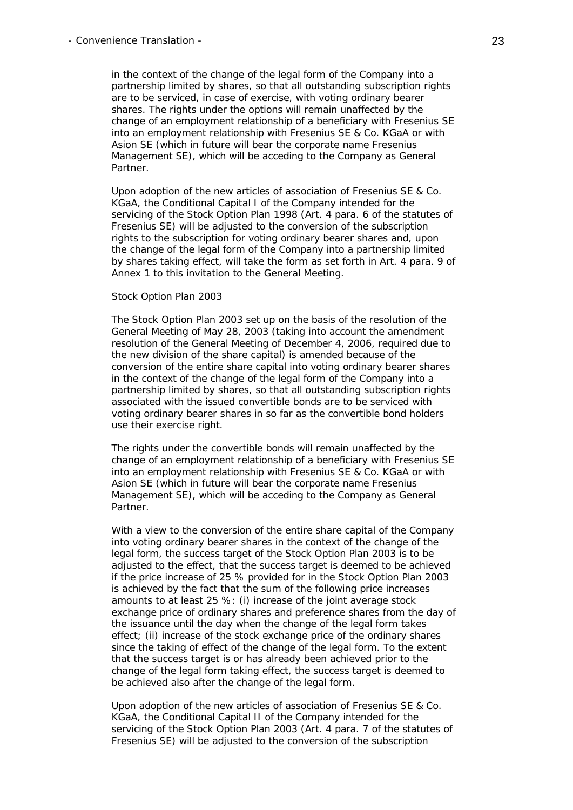in the context of the change of the legal form of the Company into a partnership limited by shares, so that all outstanding subscription rights are to be serviced, in case of exercise, with voting ordinary bearer shares. The rights under the options will remain unaffected by the change of an employment relationship of a beneficiary with Fresenius SE into an employment relationship with Fresenius SE & Co. KGaA or with Asion SE (which in future will bear the corporate name Fresenius Management SE), which will be acceding to the Company as General Partner.

 Upon adoption of the new articles of association of Fresenius SE & Co. KGaA, the Conditional Capital I of the Company intended for the servicing of the Stock Option Plan 1998 (Art. 4 para. 6 of the statutes of Fresenius SE) will be adjusted to the conversion of the subscription rights to the subscription for voting ordinary bearer shares and, upon the change of the legal form of the Company into a partnership limited by shares taking effect, will take the form as set forth in Art. 4 para. 9 of Annex 1 to this invitation to the General Meeting.

#### Stock Option Plan 2003

 The Stock Option Plan 2003 set up on the basis of the resolution of the General Meeting of May 28, 2003 (taking into account the amendment resolution of the General Meeting of December 4, 2006, required due to the new division of the share capital) is amended because of the conversion of the entire share capital into voting ordinary bearer shares in the context of the change of the legal form of the Company into a partnership limited by shares, so that all outstanding subscription rights associated with the issued convertible bonds are to be serviced with voting ordinary bearer shares in so far as the convertible bond holders use their exercise right.

 The rights under the convertible bonds will remain unaffected by the change of an employment relationship of a beneficiary with Fresenius SE into an employment relationship with Fresenius SE & Co. KGaA or with Asion SE (which in future will bear the corporate name Fresenius Management SE), which will be acceding to the Company as General Partner.

 With a view to the conversion of the entire share capital of the Company into voting ordinary bearer shares in the context of the change of the legal form, the success target of the Stock Option Plan 2003 is to be adjusted to the effect, that the success target is deemed to be achieved if the price increase of 25 % provided for in the Stock Option Plan 2003 is achieved by the fact that the sum of the following price increases amounts to at least 25 %: (i) increase of the joint average stock exchange price of ordinary shares and preference shares from the day of the issuance until the day when the change of the legal form takes effect; (ii) increase of the stock exchange price of the ordinary shares since the taking of effect of the change of the legal form. To the extent that the success target is or has already been achieved prior to the change of the legal form taking effect, the success target is deemed to be achieved also after the change of the legal form.

 Upon adoption of the new articles of association of Fresenius SE & Co. KGaA, the Conditional Capital II of the Company intended for the servicing of the Stock Option Plan 2003 (Art. 4 para. 7 of the statutes of Fresenius SE) will be adjusted to the conversion of the subscription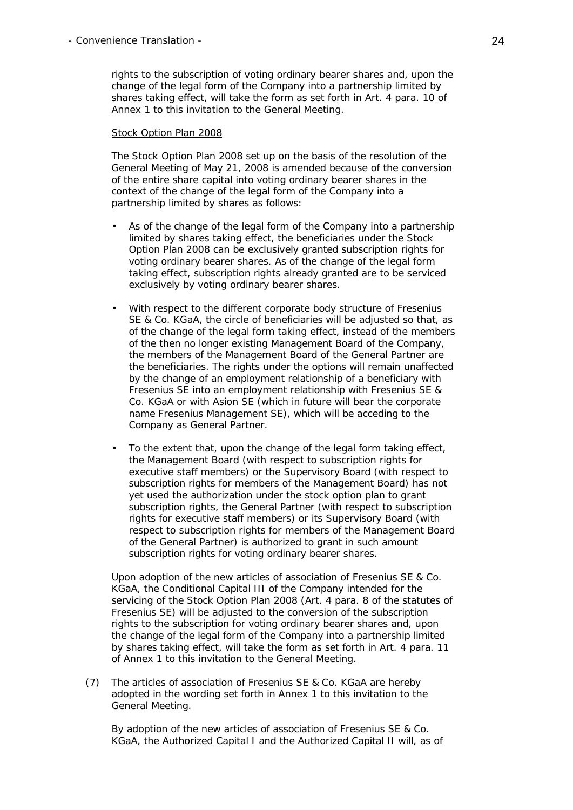rights to the subscription of voting ordinary bearer shares and, upon the change of the legal form of the Company into a partnership limited by shares taking effect, will take the form as set forth in Art. 4 para. 10 of Annex 1 to this invitation to the General Meeting.

### Stock Option Plan 2008

 The Stock Option Plan 2008 set up on the basis of the resolution of the General Meeting of May 21, 2008 is amended because of the conversion of the entire share capital into voting ordinary bearer shares in the context of the change of the legal form of the Company into a partnership limited by shares as follows:

- As of the change of the legal form of the Company into a partnership limited by shares taking effect, the beneficiaries under the Stock Option Plan 2008 can be exclusively granted subscription rights for voting ordinary bearer shares. As of the change of the legal form taking effect, subscription rights already granted are to be serviced exclusively by voting ordinary bearer shares.
- With respect to the different corporate body structure of Fresenius SE & Co. KGaA, the circle of beneficiaries will be adjusted so that, as of the change of the legal form taking effect, instead of the members of the then no longer existing Management Board of the Company, the members of the Management Board of the General Partner are the beneficiaries. The rights under the options will remain unaffected by the change of an employment relationship of a beneficiary with Fresenius SE into an employment relationship with Fresenius SE & Co. KGaA or with Asion SE (which in future will bear the corporate name Fresenius Management SE), which will be acceding to the Company as General Partner.
- To the extent that, upon the change of the legal form taking effect, the Management Board (with respect to subscription rights for executive staff members) or the Supervisory Board (with respect to subscription rights for members of the Management Board) has not yet used the authorization under the stock option plan to grant subscription rights, the General Partner (with respect to subscription rights for executive staff members) or its Supervisory Board (with respect to subscription rights for members of the Management Board of the General Partner) is authorized to grant in such amount subscription rights for voting ordinary bearer shares.

 Upon adoption of the new articles of association of Fresenius SE & Co. KGaA, the Conditional Capital III of the Company intended for the servicing of the Stock Option Plan 2008 (Art. 4 para. 8 of the statutes of Fresenius SE) will be adjusted to the conversion of the subscription rights to the subscription for voting ordinary bearer shares and, upon the change of the legal form of the Company into a partnership limited by shares taking effect, will take the form as set forth in Art. 4 para. 11 of Annex 1 to this invitation to the General Meeting.

(7) The articles of association of Fresenius SE & Co. KGaA are hereby adopted in the wording set forth in Annex 1 to this invitation to the General Meeting.

 By adoption of the new articles of association of Fresenius SE & Co. KGaA, the Authorized Capital I and the Authorized Capital II will, as of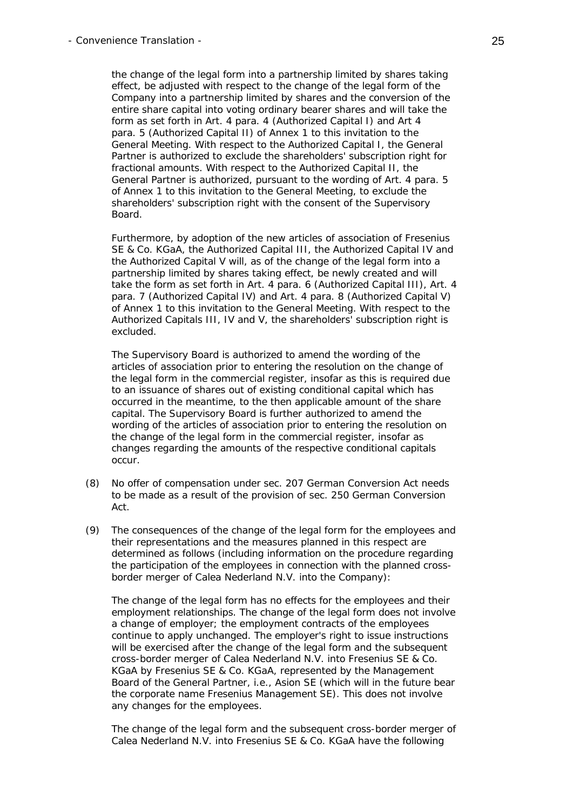the change of the legal form into a partnership limited by shares taking effect, be adjusted with respect to the change of the legal form of the Company into a partnership limited by shares and the conversion of the entire share capital into voting ordinary bearer shares and will take the form as set forth in Art. 4 para. 4 (Authorized Capital I) and Art 4 para. 5 (Authorized Capital II) of Annex 1 to this invitation to the General Meeting. With respect to the Authorized Capital I, the General Partner is authorized to exclude the shareholders' subscription right for fractional amounts. With respect to the Authorized Capital II, the General Partner is authorized, pursuant to the wording of Art. 4 para. 5 of Annex 1 to this invitation to the General Meeting, to exclude the shareholders' subscription right with the consent of the Supervisory Board.

 Furthermore, by adoption of the new articles of association of Fresenius SE & Co. KGaA, the Authorized Capital III, the Authorized Capital IV and the Authorized Capital V will, as of the change of the legal form into a partnership limited by shares taking effect, be newly created and will take the form as set forth in Art. 4 para. 6 (Authorized Capital III), Art. 4 para. 7 (Authorized Capital IV) and Art. 4 para. 8 (Authorized Capital V) of Annex 1 to this invitation to the General Meeting. With respect to the Authorized Capitals III, IV and V, the shareholders' subscription right is excluded.

 The Supervisory Board is authorized to amend the wording of the articles of association prior to entering the resolution on the change of the legal form in the commercial register, insofar as this is required due to an issuance of shares out of existing conditional capital which has occurred in the meantime, to the then applicable amount of the share capital. The Supervisory Board is further authorized to amend the wording of the articles of association prior to entering the resolution on the change of the legal form in the commercial register, insofar as changes regarding the amounts of the respective conditional capitals occur.

- (8) No offer of compensation under sec. 207 German Conversion Act needs to be made as a result of the provision of sec. 250 German Conversion Act.
- (9) The consequences of the change of the legal form for the employees and their representations and the measures planned in this respect are determined as follows (including information on the procedure regarding the participation of the employees in connection with the planned crossborder merger of Calea Nederland N.V. into the Company):

 The change of the legal form has no effects for the employees and their employment relationships. The change of the legal form does not involve a change of employer; the employment contracts of the employees continue to apply unchanged. The employer's right to issue instructions will be exercised after the change of the legal form and the subsequent cross-border merger of Calea Nederland N.V. into Fresenius SE & Co. KGaA by Fresenius SE & Co. KGaA, represented by the Management Board of the General Partner, i.e., Asion SE (which will in the future bear the corporate name Fresenius Management SE). This does not involve any changes for the employees.

 The change of the legal form and the subsequent cross-border merger of Calea Nederland N.V. into Fresenius SE & Co. KGaA have the following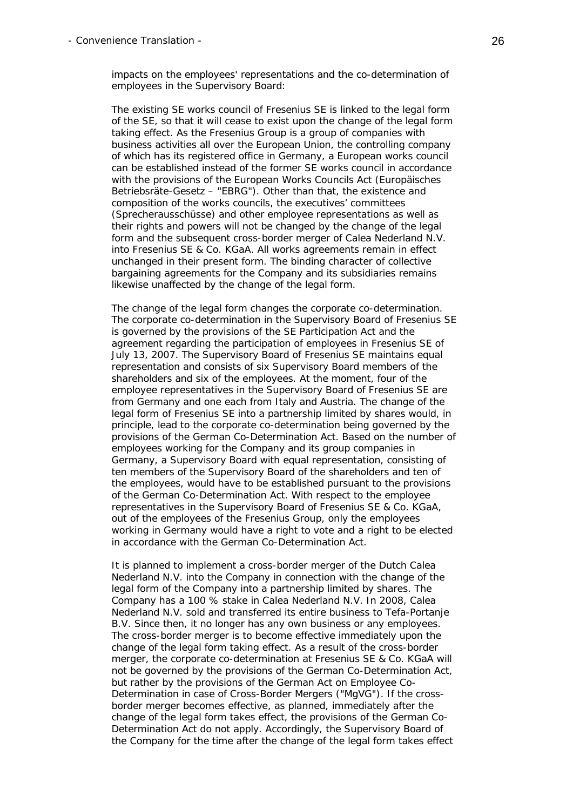impacts on the employees' representations and the co-determination of employees in the Supervisory Board:

 The existing SE works council of Fresenius SE is linked to the legal form of the SE, so that it will cease to exist upon the change of the legal form taking effect. As the Fresenius Group is a group of companies with business activities all over the European Union, the controlling company of which has its registered office in Germany, a European works council can be established instead of the former SE works council in accordance with the provisions of the European Works Councils Act (*Europäisches Betriebsräte-Gesetz* – "EBRG"). Other than that, the existence and composition of the works councils, the executives' committees (*Sprecherausschüsse*) and other employee representations as well as their rights and powers will not be changed by the change of the legal form and the subsequent cross-border merger of Calea Nederland N.V. into Fresenius SE & Co. KGaA. All works agreements remain in effect unchanged in their present form. The binding character of collective bargaining agreements for the Company and its subsidiaries remains likewise unaffected by the change of the legal form.

 The change of the legal form changes the corporate co-determination. The corporate co-determination in the Supervisory Board of Fresenius SE is governed by the provisions of the SE Participation Act and the agreement regarding the participation of employees in Fresenius SE of July 13, 2007. The Supervisory Board of Fresenius SE maintains equal representation and consists of six Supervisory Board members of the shareholders and six of the employees. At the moment, four of the employee representatives in the Supervisory Board of Fresenius SE are from Germany and one each from Italy and Austria. The change of the legal form of Fresenius SE into a partnership limited by shares would, in principle, lead to the corporate co-determination being governed by the provisions of the German Co-Determination Act. Based on the number of employees working for the Company and its group companies in Germany, a Supervisory Board with equal representation, consisting of ten members of the Supervisory Board of the shareholders and ten of the employees, would have to be established pursuant to the provisions of the German Co-Determination Act. With respect to the employee representatives in the Supervisory Board of Fresenius SE & Co. KGaA, out of the employees of the Fresenius Group, only the employees working in Germany would have a right to vote and a right to be elected in accordance with the German Co-Determination Act.

 It is planned to implement a cross-border merger of the Dutch Calea Nederland N.V. into the Company in connection with the change of the legal form of the Company into a partnership limited by shares. The Company has a 100 % stake in Calea Nederland N.V. In 2008, Calea Nederland N.V. sold and transferred its entire business to Tefa-Portanje B.V. Since then, it no longer has any own business or any employees. The cross-border merger is to become effective immediately upon the change of the legal form taking effect. As a result of the cross-border merger, the corporate co-determination at Fresenius SE & Co. KGaA will not be governed by the provisions of the German Co-Determination Act, but rather by the provisions of the German Act on Employee Co-Determination in case of Cross-Border Mergers ("MgVG"). If the crossborder merger becomes effective, as planned, immediately after the change of the legal form takes effect, the provisions of the German Co-Determination Act do not apply. Accordingly, the Supervisory Board of the Company for the time after the change of the legal form takes effect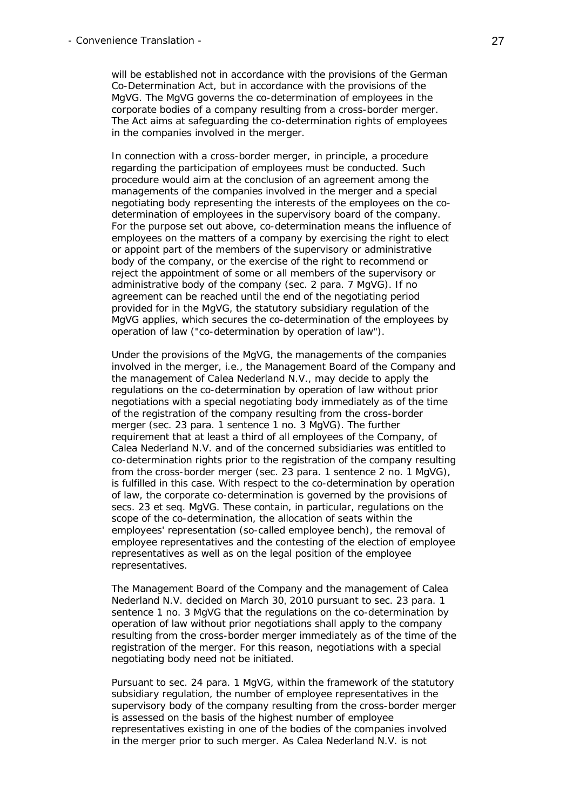will be established not in accordance with the provisions of the German Co-Determination Act, but in accordance with the provisions of the MgVG. The MgVG governs the co-determination of employees in the corporate bodies of a company resulting from a cross-border merger. The Act aims at safeguarding the co-determination rights of employees in the companies involved in the merger.

 In connection with a cross-border merger, in principle, a procedure regarding the participation of employees must be conducted. Such procedure would aim at the conclusion of an agreement among the managements of the companies involved in the merger and a special negotiating body representing the interests of the employees on the codetermination of employees in the supervisory board of the company. For the purpose set out above, co-determination means the influence of employees on the matters of a company by exercising the right to elect or appoint part of the members of the supervisory or administrative body of the company, or the exercise of the right to recommend or reject the appointment of some or all members of the supervisory or administrative body of the company (sec. 2 para. 7 MgVG). If no agreement can be reached until the end of the negotiating period provided for in the MgVG, the statutory subsidiary regulation of the MgVG applies, which secures the co-determination of the employees by operation of law ("co-determination by operation of law").

 Under the provisions of the MgVG, the managements of the companies involved in the merger, i.e., the Management Board of the Company and the management of Calea Nederland N.V., may decide to apply the regulations on the co-determination by operation of law without prior negotiations with a special negotiating body immediately as of the time of the registration of the company resulting from the cross-border merger (sec. 23 para. 1 sentence 1 no. 3 MgVG). The further requirement that at least a third of all employees of the Company, of Calea Nederland N.V. and of the concerned subsidiaries was entitled to co-determination rights prior to the registration of the company resulting from the cross-border merger (sec. 23 para. 1 sentence 2 no. 1 MgVG), is fulfilled in this case. With respect to the co-determination by operation of law, the corporate co-determination is governed by the provisions of secs. 23 et seq. MgVG. These contain, in particular, regulations on the scope of the co-determination, the allocation of seats within the employees' representation (so-called employee bench), the removal of employee representatives and the contesting of the election of employee representatives as well as on the legal position of the employee representatives.

 The Management Board of the Company and the management of Calea Nederland N.V. decided on March 30, 2010 pursuant to sec. 23 para. 1 sentence 1 no. 3 MgVG that the regulations on the co-determination by operation of law without prior negotiations shall apply to the company resulting from the cross-border merger immediately as of the time of the registration of the merger. For this reason, negotiations with a special negotiating body need not be initiated.

 Pursuant to sec. 24 para. 1 MgVG, within the framework of the statutory subsidiary regulation, the number of employee representatives in the supervisory body of the company resulting from the cross-border merger is assessed on the basis of the highest number of employee representatives existing in one of the bodies of the companies involved in the merger prior to such merger. As Calea Nederland N.V. is not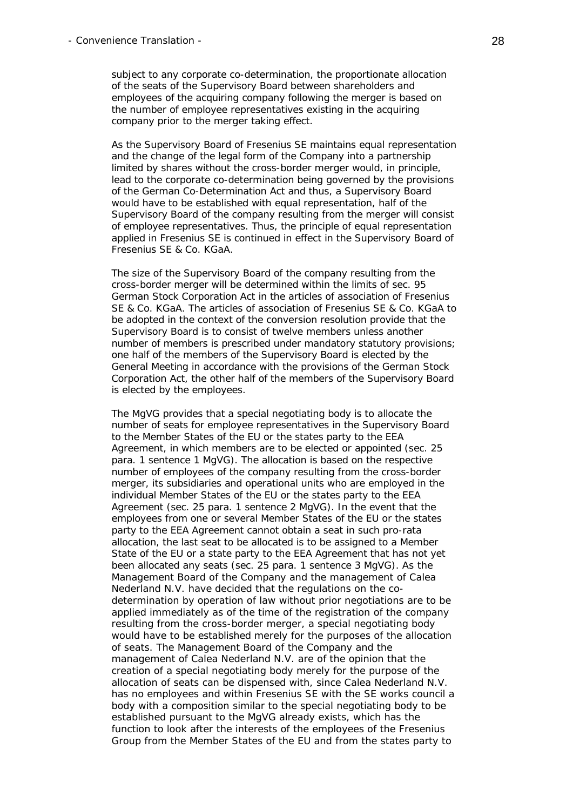subject to any corporate co-determination, the proportionate allocation of the seats of the Supervisory Board between shareholders and employees of the acquiring company following the merger is based on the number of employee representatives existing in the acquiring company prior to the merger taking effect.

 As the Supervisory Board of Fresenius SE maintains equal representation and the change of the legal form of the Company into a partnership limited by shares without the cross-border merger would, in principle, lead to the corporate co-determination being governed by the provisions of the German Co-Determination Act and thus, a Supervisory Board would have to be established with equal representation, half of the Supervisory Board of the company resulting from the merger will consist of employee representatives. Thus, the principle of equal representation applied in Fresenius SE is continued in effect in the Supervisory Board of Fresenius SE & Co. KGaA.

 The size of the Supervisory Board of the company resulting from the cross-border merger will be determined within the limits of sec. 95 German Stock Corporation Act in the articles of association of Fresenius SE & Co. KGaA. The articles of association of Fresenius SE & Co. KGaA to be adopted in the context of the conversion resolution provide that the Supervisory Board is to consist of twelve members unless another number of members is prescribed under mandatory statutory provisions; one half of the members of the Supervisory Board is elected by the General Meeting in accordance with the provisions of the German Stock Corporation Act, the other half of the members of the Supervisory Board is elected by the employees.

 The MgVG provides that a special negotiating body is to allocate the number of seats for employee representatives in the Supervisory Board to the Member States of the EU or the states party to the EEA Agreement, in which members are to be elected or appointed (sec. 25 para. 1 sentence 1 MgVG). The allocation is based on the respective number of employees of the company resulting from the cross-border merger, its subsidiaries and operational units who are employed in the individual Member States of the EU or the states party to the EEA Agreement (sec. 25 para. 1 sentence 2 MgVG). In the event that the employees from one or several Member States of the EU or the states party to the EEA Agreement cannot obtain a seat in such pro-rata allocation, the last seat to be allocated is to be assigned to a Member State of the EU or a state party to the EEA Agreement that has not yet been allocated any seats (sec. 25 para. 1 sentence 3 MgVG). As the Management Board of the Company and the management of Calea Nederland N.V. have decided that the regulations on the codetermination by operation of law without prior negotiations are to be applied immediately as of the time of the registration of the company resulting from the cross-border merger, a special negotiating body would have to be established merely for the purposes of the allocation of seats. The Management Board of the Company and the management of Calea Nederland N.V. are of the opinion that the creation of a special negotiating body merely for the purpose of the allocation of seats can be dispensed with, since Calea Nederland N.V. has no employees and within Fresenius SE with the SE works council a body with a composition similar to the special negotiating body to be established pursuant to the MgVG already exists, which has the function to look after the interests of the employees of the Fresenius Group from the Member States of the EU and from the states party to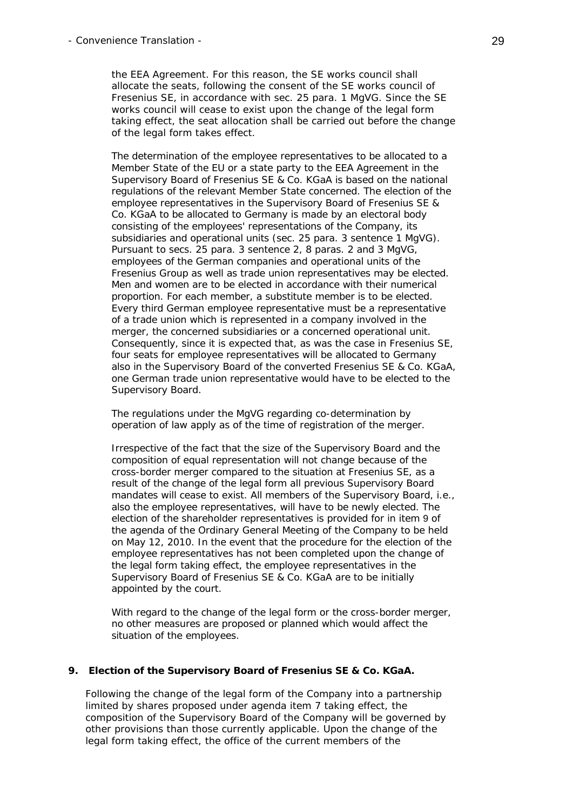the EEA Agreement. For this reason, the SE works council shall allocate the seats, following the consent of the SE works council of Fresenius SE, in accordance with sec. 25 para. 1 MgVG. Since the SE works council will cease to exist upon the change of the legal form taking effect, the seat allocation shall be carried out before the change of the legal form takes effect.

 The determination of the employee representatives to be allocated to a Member State of the EU or a state party to the EEA Agreement in the Supervisory Board of Fresenius SE & Co. KGaA is based on the national regulations of the relevant Member State concerned. The election of the employee representatives in the Supervisory Board of Fresenius SE & Co. KGaA to be allocated to Germany is made by an electoral body consisting of the employees' representations of the Company, its subsidiaries and operational units (sec. 25 para. 3 sentence 1 MgVG). Pursuant to secs. 25 para. 3 sentence 2, 8 paras. 2 and 3 MgVG, employees of the German companies and operational units of the Fresenius Group as well as trade union representatives may be elected. Men and women are to be elected in accordance with their numerical proportion. For each member, a substitute member is to be elected. Every third German employee representative must be a representative of a trade union which is represented in a company involved in the merger, the concerned subsidiaries or a concerned operational unit. Consequently, since it is expected that, as was the case in Fresenius SE, four seats for employee representatives will be allocated to Germany also in the Supervisory Board of the converted Fresenius SE & Co. KGaA, one German trade union representative would have to be elected to the Supervisory Board.

 The regulations under the MgVG regarding co-determination by operation of law apply as of the time of registration of the merger.

 Irrespective of the fact that the size of the Supervisory Board and the composition of equal representation will not change because of the cross-border merger compared to the situation at Fresenius SE, as a result of the change of the legal form all previous Supervisory Board mandates will cease to exist. All members of the Supervisory Board, i.e., also the employee representatives, will have to be newly elected. The election of the shareholder representatives is provided for in item 9 of the agenda of the Ordinary General Meeting of the Company to be held on May 12, 2010. In the event that the procedure for the election of the employee representatives has not been completed upon the change of the legal form taking effect, the employee representatives in the Supervisory Board of Fresenius SE & Co. KGaA are to be initially appointed by the court.

 With regard to the change of the legal form or the cross-border merger, no other measures are proposed or planned which would affect the situation of the employees.

#### **9. Election of the Supervisory Board of Fresenius SE & Co. KGaA.**

 Following the change of the legal form of the Company into a partnership limited by shares proposed under agenda item 7 taking effect, the composition of the Supervisory Board of the Company will be governed by other provisions than those currently applicable. Upon the change of the legal form taking effect, the office of the current members of the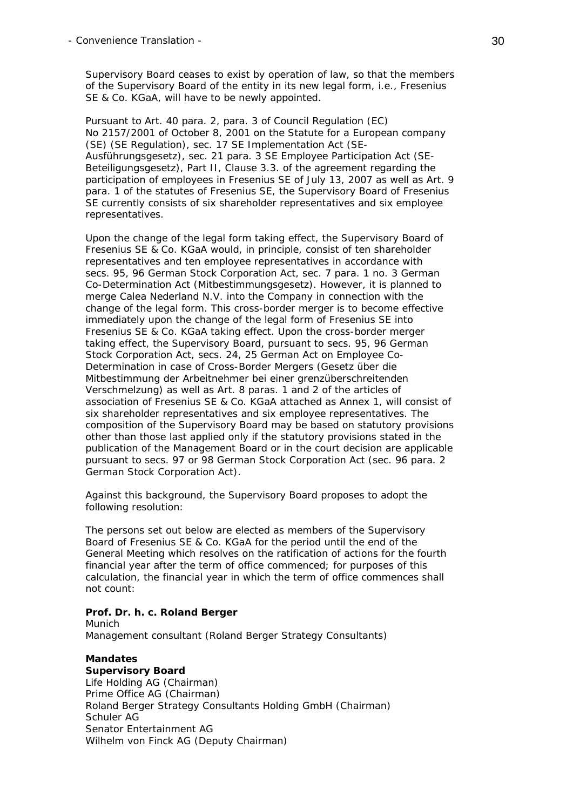Supervisory Board ceases to exist by operation of law, so that the members of the Supervisory Board of the entity in its new legal form, i.e., Fresenius SE & Co. KGaA, will have to be newly appointed.

 Pursuant to Art. 40 para. 2, para. 3 of Council Regulation (EC) No 2157/2001 of October 8, 2001 on the Statute for a European company (SE) (SE Regulation), sec. 17 SE Implementation Act (*SE-Ausführungsgesetz*), sec. 21 para. 3 SE Employee Participation Act (*SE-Beteiligungsgesetz*), Part II, Clause 3.3. of the agreement regarding the participation of employees in Fresenius SE of July 13, 2007 as well as Art. 9 para. 1 of the statutes of Fresenius SE, the Supervisory Board of Fresenius SE currently consists of six shareholder representatives and six employee representatives.

 Upon the change of the legal form taking effect, the Supervisory Board of Fresenius SE & Co. KGaA would, in principle, consist of ten shareholder representatives and ten employee representatives in accordance with secs. 95, 96 German Stock Corporation Act, sec. 7 para. 1 no. 3 German Co-Determination Act (*Mitbestimmungsgesetz*). However, it is planned to merge Calea Nederland N.V. into the Company in connection with the change of the legal form. This cross-border merger is to become effective immediately upon the change of the legal form of Fresenius SE into Fresenius SE & Co. KGaA taking effect. Upon the cross-border merger taking effect, the Supervisory Board, pursuant to secs. 95, 96 German Stock Corporation Act, secs. 24, 25 German Act on Employee Co-Determination in case of Cross-Border Mergers (*Gesetz über die Mitbestimmung der Arbeitnehmer bei einer grenzüberschreitenden Verschmelzung*) as well as Art. 8 paras. 1 and 2 of the articles of association of Fresenius SE & Co. KGaA attached as Annex 1, will consist of six shareholder representatives and six employee representatives. The composition of the Supervisory Board may be based on statutory provisions other than those last applied only if the statutory provisions stated in the publication of the Management Board or in the court decision are applicable pursuant to secs. 97 or 98 German Stock Corporation Act (sec. 96 para. 2 German Stock Corporation Act).

 Against this background, the Supervisory Board proposes to adopt the following resolution:

 The persons set out below are elected as members of the Supervisory Board of Fresenius SE & Co. KGaA for the period until the end of the General Meeting which resolves on the ratification of actions for the fourth financial year after the term of office commenced; for purposes of this calculation, the financial year in which the term of office commences shall not count:

## **Prof. Dr. h. c. Roland Berger**

**Munich** Management consultant (Roland Berger Strategy Consultants)

# **Mandates**

**Supervisory Board**  Life Holding AG (Chairman) Prime Office AG (Chairman) Roland Berger Strategy Consultants Holding GmbH (Chairman) Schuler AG Senator Entertainment AG Wilhelm von Finck AG (Deputy Chairman)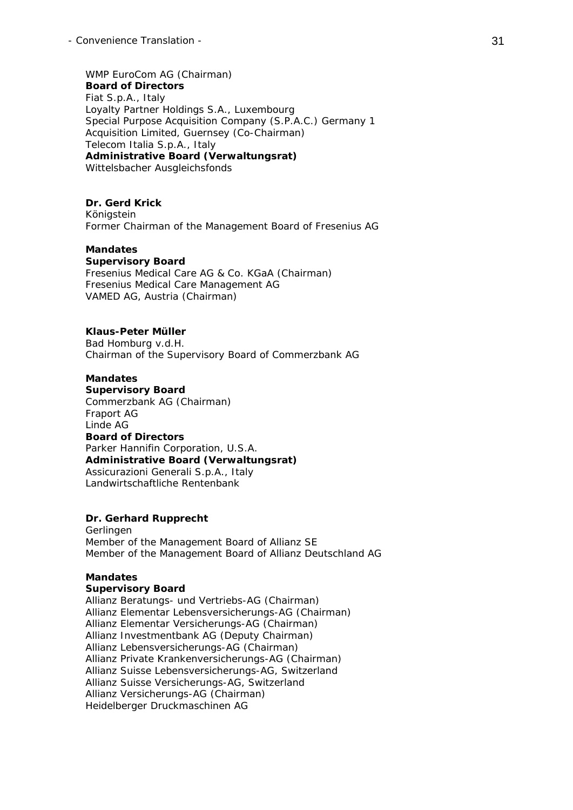WMP EuroCom AG (Chairman) **Board of Directors**  Fiat S.p.A., Italy Loyalty Partner Holdings S.A., Luxembourg Special Purpose Acquisition Company (S.P.A.C.) Germany 1 Acquisition Limited, Guernsey (Co-Chairman) Telecom Italia S.p.A., Italy **Administrative Board (***Verwaltungsrat***)**  Wittelsbacher Ausgleichsfonds

#### **Dr. Gerd Krick**

 Königstein Former Chairman of the Management Board of Fresenius AG

### **Mandates**

**Supervisory Board**  Fresenius Medical Care AG & Co. KGaA (Chairman) Fresenius Medical Care Management AG VAMED AG, Austria (Chairman)

#### **Klaus-Peter Müller**

 Bad Homburg v.d.H. Chairman of the Supervisory Board of Commerzbank AG

### **Mandates**

**Supervisory Board**  Commerzbank AG (Chairman) Fraport AG Linde AG **Board of Directors**  Parker Hannifin Corporation, U.S.A. **Administrative Board (***Verwaltungsrat***)**  Assicurazioni Generali S.p.A., Italy Landwirtschaftliche Rentenbank

### **Dr. Gerhard Rupprecht**

 Gerlingen Member of the Management Board of Allianz SE Member of the Management Board of Allianz Deutschland AG

#### **Mandates**

#### **Supervisory Board**

 Allianz Beratungs- und Vertriebs-AG (Chairman) Allianz Elementar Lebensversicherungs-AG (Chairman) Allianz Elementar Versicherungs-AG (Chairman) Allianz Investmentbank AG (Deputy Chairman) Allianz Lebensversicherungs-AG (Chairman) Allianz Private Krankenversicherungs-AG (Chairman) Allianz Suisse Lebensversicherungs-AG, Switzerland Allianz Suisse Versicherungs-AG, Switzerland Allianz Versicherungs-AG (Chairman) Heidelberger Druckmaschinen AG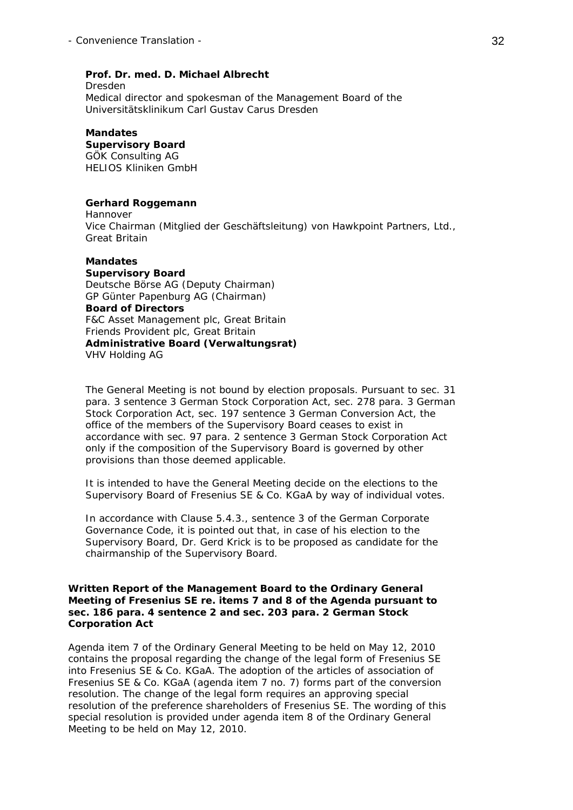## **Prof. Dr. med. D. Michael Albrecht**

 Dresden Medical director and spokesman of the Management Board of the Universitätsklinikum Carl Gustav Carus Dresden

## **Mandates**

 **Supervisory Board**  GÖK Consulting AG

HELIOS Kliniken GmbH

## **Gerhard Roggemann**

 Hannover Vice Chairman (*Mitglied der Geschäftsleitung*) von Hawkpoint Partners, Ltd., Great Britain

#### **Mandates**

 **Supervisory Board**  Deutsche Börse AG (Deputy Chairman) GP Günter Papenburg AG (Chairman) **Board of Directors**  F&C Asset Management plc, Great Britain Friends Provident plc, Great Britain **Administrative Board (***Verwaltungsrat***)**  VHV Holding AG

 The General Meeting is not bound by election proposals. Pursuant to sec. 31 para. 3 sentence 3 German Stock Corporation Act, sec. 278 para. 3 German Stock Corporation Act, sec. 197 sentence 3 German Conversion Act, the office of the members of the Supervisory Board ceases to exist in accordance with sec. 97 para. 2 sentence 3 German Stock Corporation Act only if the composition of the Supervisory Board is governed by other provisions than those deemed applicable.

 It is intended to have the General Meeting decide on the elections to the Supervisory Board of Fresenius SE & Co. KGaA by way of individual votes.

 In accordance with Clause 5.4.3., sentence 3 of the German Corporate Governance Code, it is pointed out that, in case of his election to the Supervisory Board, Dr. Gerd Krick is to be proposed as candidate for the chairmanship of the Supervisory Board.

### **Written Report of the Management Board to the Ordinary General Meeting of Fresenius SE re. items 7 and 8 of the Agenda pursuant to sec. 186 para. 4 sentence 2 and sec. 203 para. 2 German Stock Corporation Act**

Agenda item 7 of the Ordinary General Meeting to be held on May 12, 2010 contains the proposal regarding the change of the legal form of Fresenius SE into Fresenius SE & Co. KGaA. The adoption of the articles of association of Fresenius SE & Co. KGaA (agenda item 7 no. 7) forms part of the conversion resolution. The change of the legal form requires an approving special resolution of the preference shareholders of Fresenius SE. The wording of this special resolution is provided under agenda item 8 of the Ordinary General Meeting to be held on May 12, 2010.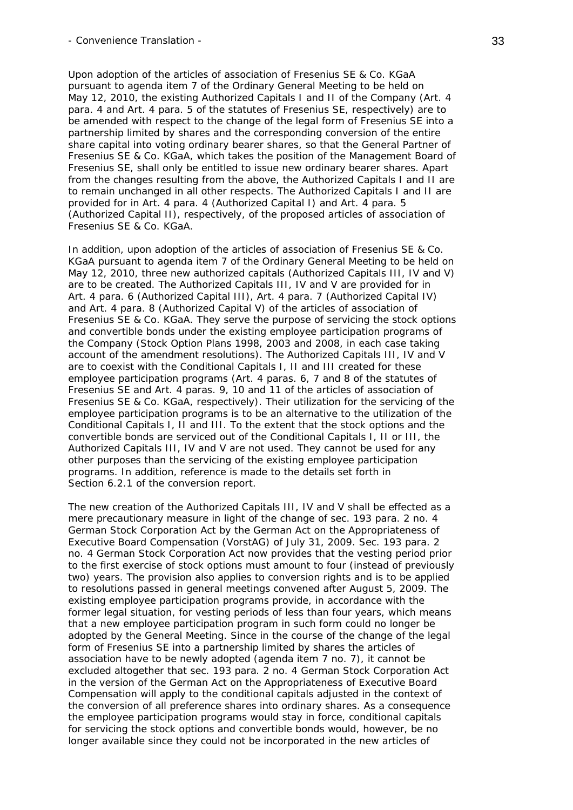Upon adoption of the articles of association of Fresenius SE & Co. KGaA pursuant to agenda item 7 of the Ordinary General Meeting to be held on May 12, 2010, the existing Authorized Capitals I and II of the Company (Art. 4 para. 4 and Art. 4 para. 5 of the statutes of Fresenius SE, respectively) are to be amended with respect to the change of the legal form of Fresenius SE into a partnership limited by shares and the corresponding conversion of the entire share capital into voting ordinary bearer shares, so that the General Partner of Fresenius SE & Co. KGaA, which takes the position of the Management Board of Fresenius SE, shall only be entitled to issue new ordinary bearer shares. Apart from the changes resulting from the above, the Authorized Capitals I and II are to remain unchanged in all other respects. The Authorized Capitals I and II are provided for in Art. 4 para. 4 (Authorized Capital I) and Art. 4 para. 5 (Authorized Capital II), respectively, of the proposed articles of association of Fresenius SE & Co. KGaA.

In addition, upon adoption of the articles of association of Fresenius SE & Co. KGaA pursuant to agenda item 7 of the Ordinary General Meeting to be held on May 12, 2010, three new authorized capitals (Authorized Capitals III, IV and V) are to be created. The Authorized Capitals III, IV and V are provided for in Art. 4 para. 6 (Authorized Capital III), Art. 4 para. 7 (Authorized Capital IV) and Art. 4 para. 8 (Authorized Capital V) of the articles of association of Fresenius SE & Co. KGaA. They serve the purpose of servicing the stock options and convertible bonds under the existing employee participation programs of the Company (Stock Option Plans 1998, 2003 and 2008, in each case taking account of the amendment resolutions). The Authorized Capitals III, IV and V are to coexist with the Conditional Capitals I, II and III created for these employee participation programs (Art. 4 paras. 6, 7 and 8 of the statutes of Fresenius SE and Art. 4 paras. 9, 10 and 11 of the articles of association of Fresenius SE & Co. KGaA, respectively). Their utilization for the servicing of the employee participation programs is to be an alternative to the utilization of the Conditional Capitals I, II and III. To the extent that the stock options and the convertible bonds are serviced out of the Conditional Capitals I, II or III, the Authorized Capitals III, IV and V are not used. They cannot be used for any other purposes than the servicing of the existing employee participation programs. In addition, reference is made to the details set forth in Section 6.2.1 of the conversion report.

The new creation of the Authorized Capitals III, IV and V shall be effected as a mere precautionary measure in light of the change of sec. 193 para. 2 no. 4 German Stock Corporation Act by the German Act on the Appropriateness of Executive Board Compensation (VorstAG) of July 31, 2009. Sec. 193 para. 2 no. 4 German Stock Corporation Act now provides that the vesting period prior to the first exercise of stock options must amount to four (instead of previously two) years. The provision also applies to conversion rights and is to be applied to resolutions passed in general meetings convened after August 5, 2009. The existing employee participation programs provide, in accordance with the former legal situation, for vesting periods of less than four years, which means that a new employee participation program in such form could no longer be adopted by the General Meeting. Since in the course of the change of the legal form of Fresenius SE into a partnership limited by shares the articles of association have to be newly adopted (agenda item 7 no. 7), it cannot be excluded altogether that sec. 193 para. 2 no. 4 German Stock Corporation Act in the version of the German Act on the Appropriateness of Executive Board Compensation will apply to the conditional capitals adjusted in the context of the conversion of all preference shares into ordinary shares. As a consequence the employee participation programs would stay in force, conditional capitals for servicing the stock options and convertible bonds would, however, be no longer available since they could not be incorporated in the new articles of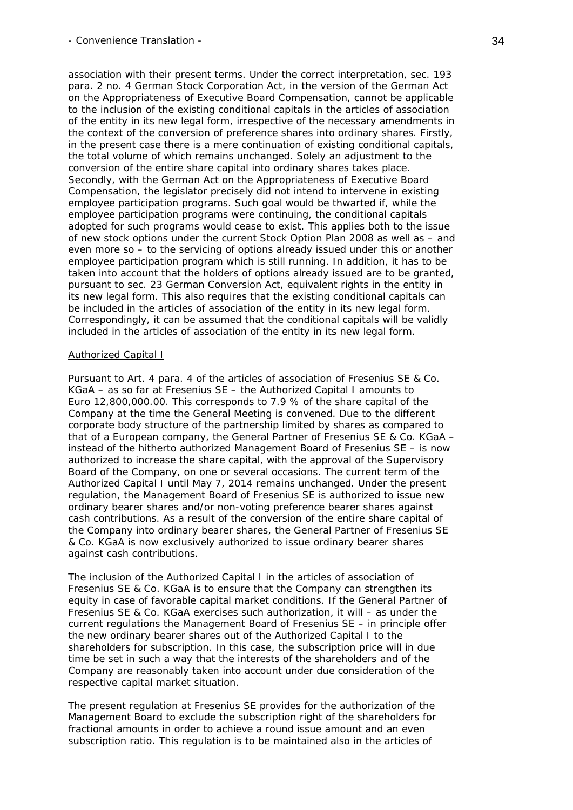association with their present terms. Under the correct interpretation, sec. 193 para. 2 no. 4 German Stock Corporation Act, in the version of the German Act on the Appropriateness of Executive Board Compensation, cannot be applicable to the inclusion of the existing conditional capitals in the articles of association of the entity in its new legal form, irrespective of the necessary amendments in the context of the conversion of preference shares into ordinary shares. Firstly, in the present case there is a mere continuation of existing conditional capitals, the total volume of which remains unchanged. Solely an adjustment to the conversion of the entire share capital into ordinary shares takes place. Secondly, with the German Act on the Appropriateness of Executive Board Compensation, the legislator precisely did not intend to intervene in existing employee participation programs. Such goal would be thwarted if, while the employee participation programs were continuing, the conditional capitals adopted for such programs would cease to exist. This applies both to the issue of new stock options under the current Stock Option Plan 2008 as well as – and even more so – to the servicing of options already issued under this or another employee participation program which is still running. In addition, it has to be taken into account that the holders of options already issued are to be granted, pursuant to sec. 23 German Conversion Act, equivalent rights in the entity in its new legal form. This also requires that the existing conditional capitals can be included in the articles of association of the entity in its new legal form. Correspondingly, it can be assumed that the conditional capitals will be validly included in the articles of association of the entity in its new legal form.

### Authorized Capital I

Pursuant to Art. 4 para. 4 of the articles of association of Fresenius SE & Co. KGaA – as so far at Fresenius SE – the Authorized Capital I amounts to Euro 12,800,000.00. This corresponds to 7.9 % of the share capital of the Company at the time the General Meeting is convened. Due to the different corporate body structure of the partnership limited by shares as compared to that of a European company, the General Partner of Fresenius SE & Co. KGaA – instead of the hitherto authorized Management Board of Fresenius SE – is now authorized to increase the share capital, with the approval of the Supervisory Board of the Company, on one or several occasions. The current term of the Authorized Capital I until May 7, 2014 remains unchanged. Under the present regulation, the Management Board of Fresenius SE is authorized to issue new ordinary bearer shares and/or non-voting preference bearer shares against cash contributions. As a result of the conversion of the entire share capital of the Company into ordinary bearer shares, the General Partner of Fresenius SE & Co. KGaA is now exclusively authorized to issue ordinary bearer shares against cash contributions.

The inclusion of the Authorized Capital I in the articles of association of Fresenius SE & Co. KGaA is to ensure that the Company can strengthen its equity in case of favorable capital market conditions. If the General Partner of Fresenius SE & Co. KGaA exercises such authorization, it will – as under the current regulations the Management Board of Fresenius SE – in principle offer the new ordinary bearer shares out of the Authorized Capital I to the shareholders for subscription. In this case, the subscription price will in due time be set in such a way that the interests of the shareholders and of the Company are reasonably taken into account under due consideration of the respective capital market situation.

The present regulation at Fresenius SE provides for the authorization of the Management Board to exclude the subscription right of the shareholders for fractional amounts in order to achieve a round issue amount and an even subscription ratio. This regulation is to be maintained also in the articles of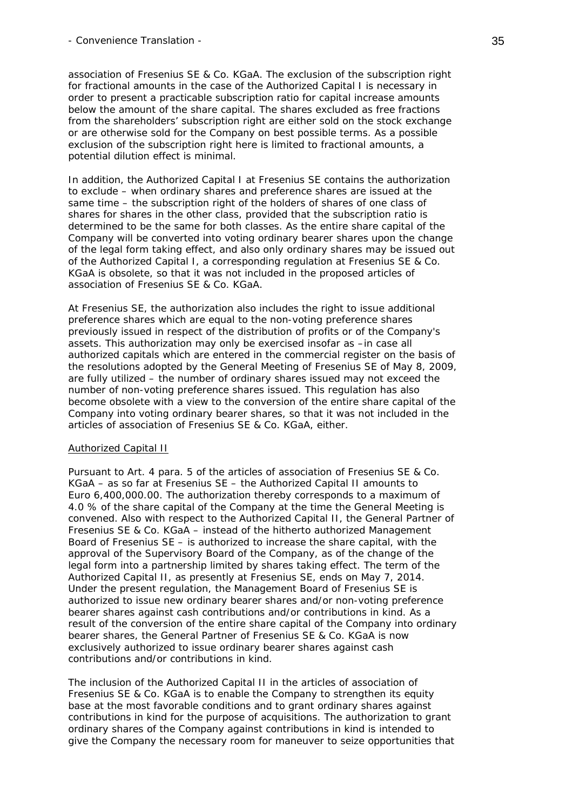association of Fresenius SE & Co. KGaA. The exclusion of the subscription right for fractional amounts in the case of the Authorized Capital I is necessary in order to present a practicable subscription ratio for capital increase amounts below the amount of the share capital. The shares excluded as free fractions from the shareholders' subscription right are either sold on the stock exchange or are otherwise sold for the Company on best possible terms. As a possible exclusion of the subscription right here is limited to fractional amounts, a potential dilution effect is minimal.

In addition, the Authorized Capital I at Fresenius SE contains the authorization to exclude – when ordinary shares and preference shares are issued at the same time – the subscription right of the holders of shares of one class of shares for shares in the other class, provided that the subscription ratio is determined to be the same for both classes. As the entire share capital of the Company will be converted into voting ordinary bearer shares upon the change of the legal form taking effect, and also only ordinary shares may be issued out of the Authorized Capital I, a corresponding regulation at Fresenius SE & Co. KGaA is obsolete, so that it was not included in the proposed articles of association of Fresenius SE & Co. KGaA.

At Fresenius SE, the authorization also includes the right to issue additional preference shares which are equal to the non-voting preference shares previously issued in respect of the distribution of profits or of the Company's assets. This authorization may only be exercised insofar as –in case all authorized capitals which are entered in the commercial register on the basis of the resolutions adopted by the General Meeting of Fresenius SE of May 8, 2009, are fully utilized – the number of ordinary shares issued may not exceed the number of non-voting preference shares issued. This regulation has also become obsolete with a view to the conversion of the entire share capital of the Company into voting ordinary bearer shares, so that it was not included in the articles of association of Fresenius SE & Co. KGaA, either.

## Authorized Capital II

Pursuant to Art. 4 para. 5 of the articles of association of Fresenius SE & Co. KGaA – as so far at Fresenius SE – the Authorized Capital II amounts to Euro 6,400,000.00. The authorization thereby corresponds to a maximum of 4.0 % of the share capital of the Company at the time the General Meeting is convened. Also with respect to the Authorized Capital II, the General Partner of Fresenius SE & Co. KGaA – instead of the hitherto authorized Management Board of Fresenius SE – is authorized to increase the share capital, with the approval of the Supervisory Board of the Company, as of the change of the legal form into a partnership limited by shares taking effect. The term of the Authorized Capital II, as presently at Fresenius SE, ends on May 7, 2014. Under the present regulation, the Management Board of Fresenius SE is authorized to issue new ordinary bearer shares and/or non-voting preference bearer shares against cash contributions and/or contributions in kind. As a result of the conversion of the entire share capital of the Company into ordinary bearer shares, the General Partner of Fresenius SE & Co. KGaA is now exclusively authorized to issue ordinary bearer shares against cash contributions and/or contributions in kind.

The inclusion of the Authorized Capital II in the articles of association of Fresenius SE & Co. KGaA is to enable the Company to strengthen its equity base at the most favorable conditions and to grant ordinary shares against contributions in kind for the purpose of acquisitions. The authorization to grant ordinary shares of the Company against contributions in kind is intended to give the Company the necessary room for maneuver to seize opportunities that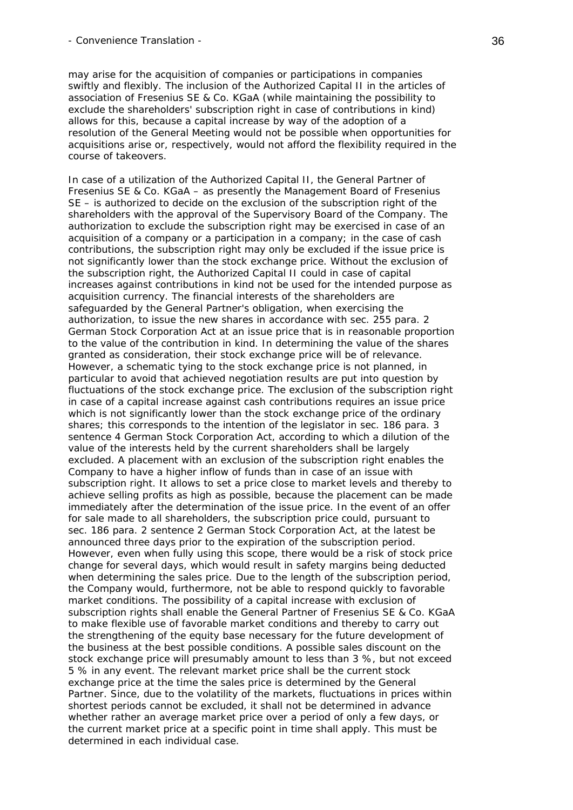may arise for the acquisition of companies or participations in companies swiftly and flexibly. The inclusion of the Authorized Capital II in the articles of association of Fresenius SE & Co. KGaA (while maintaining the possibility to exclude the shareholders' subscription right in case of contributions in kind) allows for this, because a capital increase by way of the adoption of a resolution of the General Meeting would not be possible when opportunities for acquisitions arise or, respectively, would not afford the flexibility required in the course of takeovers.

In case of a utilization of the Authorized Capital II, the General Partner of Fresenius SE & Co. KGaA – as presently the Management Board of Fresenius SE – is authorized to decide on the exclusion of the subscription right of the shareholders with the approval of the Supervisory Board of the Company. The authorization to exclude the subscription right may be exercised in case of an acquisition of a company or a participation in a company; in the case of cash contributions, the subscription right may only be excluded if the issue price is not significantly lower than the stock exchange price. Without the exclusion of the subscription right, the Authorized Capital II could in case of capital increases against contributions in kind not be used for the intended purpose as acquisition currency. The financial interests of the shareholders are safeguarded by the General Partner's obligation, when exercising the authorization, to issue the new shares in accordance with sec. 255 para. 2 German Stock Corporation Act at an issue price that is in reasonable proportion to the value of the contribution in kind. In determining the value of the shares granted as consideration, their stock exchange price will be of relevance. However, a schematic tying to the stock exchange price is not planned, in particular to avoid that achieved negotiation results are put into question by fluctuations of the stock exchange price. The exclusion of the subscription right in case of a capital increase against cash contributions requires an issue price which is not significantly lower than the stock exchange price of the ordinary shares; this corresponds to the intention of the legislator in sec. 186 para. 3 sentence 4 German Stock Corporation Act, according to which a dilution of the value of the interests held by the current shareholders shall be largely excluded. A placement with an exclusion of the subscription right enables the Company to have a higher inflow of funds than in case of an issue with subscription right. It allows to set a price close to market levels and thereby to achieve selling profits as high as possible, because the placement can be made immediately after the determination of the issue price. In the event of an offer for sale made to all shareholders, the subscription price could, pursuant to sec. 186 para. 2 sentence 2 German Stock Corporation Act, at the latest be announced three days prior to the expiration of the subscription period. However, even when fully using this scope, there would be a risk of stock price change for several days, which would result in safety margins being deducted when determining the sales price. Due to the length of the subscription period, the Company would, furthermore, not be able to respond quickly to favorable market conditions. The possibility of a capital increase with exclusion of subscription rights shall enable the General Partner of Fresenius SE & Co. KGaA to make flexible use of favorable market conditions and thereby to carry out the strengthening of the equity base necessary for the future development of the business at the best possible conditions. A possible sales discount on the stock exchange price will presumably amount to less than 3 %, but not exceed 5 % in any event. The relevant market price shall be the current stock exchange price at the time the sales price is determined by the General Partner. Since, due to the volatility of the markets, fluctuations in prices within shortest periods cannot be excluded, it shall not be determined in advance whether rather an average market price over a period of only a few days, or the current market price at a specific point in time shall apply. This must be determined in each individual case.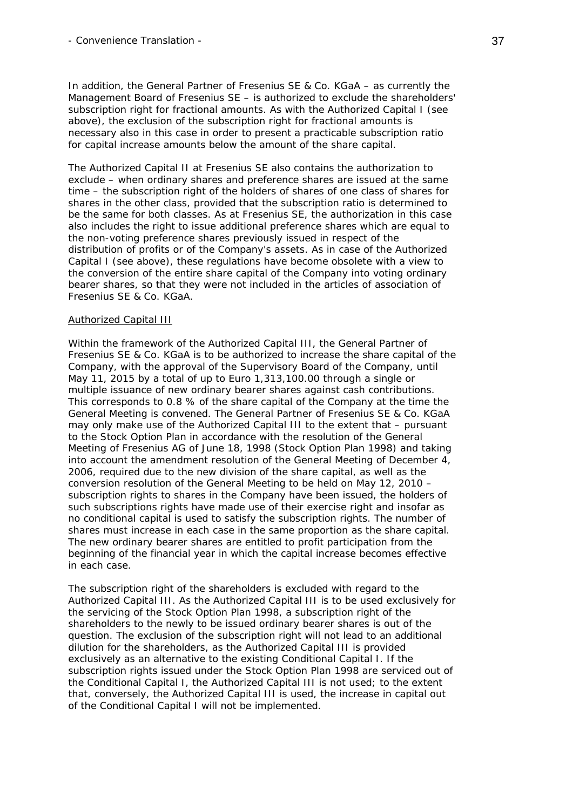In addition, the General Partner of Fresenius SE & Co. KGaA – as currently the Management Board of Fresenius SE – is authorized to exclude the shareholders' subscription right for fractional amounts. As with the Authorized Capital I (see above), the exclusion of the subscription right for fractional amounts is necessary also in this case in order to present a practicable subscription ratio for capital increase amounts below the amount of the share capital.

The Authorized Capital II at Fresenius SE also contains the authorization to exclude – when ordinary shares and preference shares are issued at the same time – the subscription right of the holders of shares of one class of shares for shares in the other class, provided that the subscription ratio is determined to be the same for both classes. As at Fresenius SE, the authorization in this case also includes the right to issue additional preference shares which are equal to the non-voting preference shares previously issued in respect of the distribution of profits or of the Company's assets. As in case of the Authorized Capital I (see above), these regulations have become obsolete with a view to the conversion of the entire share capital of the Company into voting ordinary bearer shares, so that they were not included in the articles of association of Fresenius SE & Co. KGaA.

#### Authorized Capital III

Within the framework of the Authorized Capital III, the General Partner of Fresenius SE & Co. KGaA is to be authorized to increase the share capital of the Company, with the approval of the Supervisory Board of the Company, until May 11, 2015 by a total of up to Euro 1,313,100.00 through a single or multiple issuance of new ordinary bearer shares against cash contributions. This corresponds to 0.8 % of the share capital of the Company at the time the General Meeting is convened. The General Partner of Fresenius SE & Co. KGaA may only make use of the Authorized Capital III to the extent that – pursuant to the Stock Option Plan in accordance with the resolution of the General Meeting of Fresenius AG of June 18, 1998 (Stock Option Plan 1998) and taking into account the amendment resolution of the General Meeting of December 4, 2006, required due to the new division of the share capital, as well as the conversion resolution of the General Meeting to be held on May 12, 2010 – subscription rights to shares in the Company have been issued, the holders of such subscriptions rights have made use of their exercise right and insofar as no conditional capital is used to satisfy the subscription rights. The number of shares must increase in each case in the same proportion as the share capital. The new ordinary bearer shares are entitled to profit participation from the beginning of the financial year in which the capital increase becomes effective in each case.

The subscription right of the shareholders is excluded with regard to the Authorized Capital III. As the Authorized Capital III is to be used exclusively for the servicing of the Stock Option Plan 1998, a subscription right of the shareholders to the newly to be issued ordinary bearer shares is out of the question. The exclusion of the subscription right will not lead to an additional dilution for the shareholders, as the Authorized Capital III is provided exclusively as an alternative to the existing Conditional Capital I. If the subscription rights issued under the Stock Option Plan 1998 are serviced out of the Conditional Capital I, the Authorized Capital III is not used; to the extent that, conversely, the Authorized Capital III is used, the increase in capital out of the Conditional Capital I will not be implemented.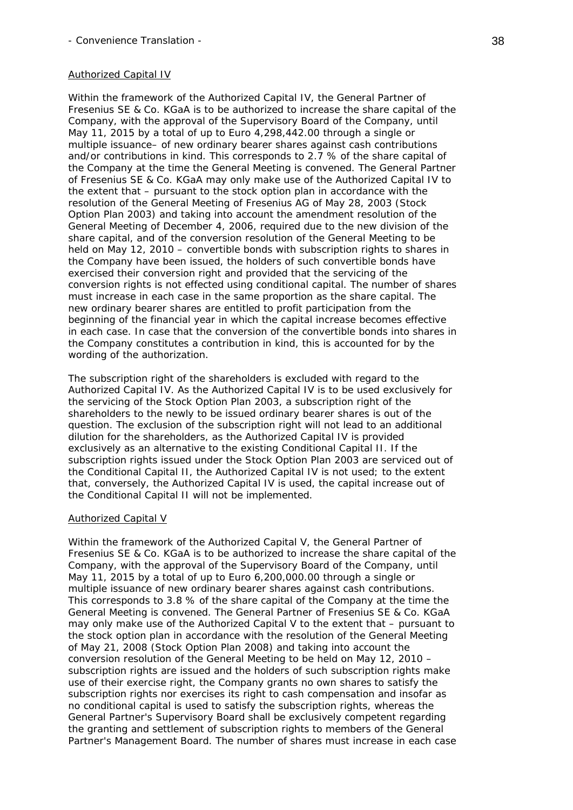### Authorized Capital IV

Within the framework of the Authorized Capital IV, the General Partner of Fresenius SE & Co. KGaA is to be authorized to increase the share capital of the Company, with the approval of the Supervisory Board of the Company, until May 11, 2015 by a total of up to Euro 4,298,442.00 through a single or multiple issuance– of new ordinary bearer shares against cash contributions and/or contributions in kind. This corresponds to 2.7 % of the share capital of the Company at the time the General Meeting is convened. The General Partner of Fresenius SE & Co. KGaA may only make use of the Authorized Capital IV to the extent that – pursuant to the stock option plan in accordance with the resolution of the General Meeting of Fresenius AG of May 28, 2003 (Stock Option Plan 2003) and taking into account the amendment resolution of the General Meeting of December 4, 2006, required due to the new division of the share capital, and of the conversion resolution of the General Meeting to be held on May 12, 2010 – convertible bonds with subscription rights to shares in the Company have been issued, the holders of such convertible bonds have exercised their conversion right and provided that the servicing of the conversion rights is not effected using conditional capital. The number of shares must increase in each case in the same proportion as the share capital. The new ordinary bearer shares are entitled to profit participation from the beginning of the financial year in which the capital increase becomes effective in each case. In case that the conversion of the convertible bonds into shares in the Company constitutes a contribution in kind, this is accounted for by the wording of the authorization.

The subscription right of the shareholders is excluded with regard to the Authorized Capital IV. As the Authorized Capital IV is to be used exclusively for the servicing of the Stock Option Plan 2003, a subscription right of the shareholders to the newly to be issued ordinary bearer shares is out of the question. The exclusion of the subscription right will not lead to an additional dilution for the shareholders, as the Authorized Capital IV is provided exclusively as an alternative to the existing Conditional Capital II. If the subscription rights issued under the Stock Option Plan 2003 are serviced out of the Conditional Capital II, the Authorized Capital IV is not used; to the extent that, conversely, the Authorized Capital IV is used, the capital increase out of the Conditional Capital II will not be implemented.

#### Authorized Capital V

Within the framework of the Authorized Capital V, the General Partner of Fresenius SE & Co. KGaA is to be authorized to increase the share capital of the Company, with the approval of the Supervisory Board of the Company, until May 11, 2015 by a total of up to Euro 6,200,000.00 through a single or multiple issuance of new ordinary bearer shares against cash contributions. This corresponds to 3.8 % of the share capital of the Company at the time the General Meeting is convened. The General Partner of Fresenius SE & Co. KGaA may only make use of the Authorized Capital V to the extent that – pursuant to the stock option plan in accordance with the resolution of the General Meeting of May 21, 2008 (Stock Option Plan 2008) and taking into account the conversion resolution of the General Meeting to be held on May 12, 2010 – subscription rights are issued and the holders of such subscription rights make use of their exercise right, the Company grants no own shares to satisfy the subscription rights nor exercises its right to cash compensation and insofar as no conditional capital is used to satisfy the subscription rights, whereas the General Partner's Supervisory Board shall be exclusively competent regarding the granting and settlement of subscription rights to members of the General Partner's Management Board. The number of shares must increase in each case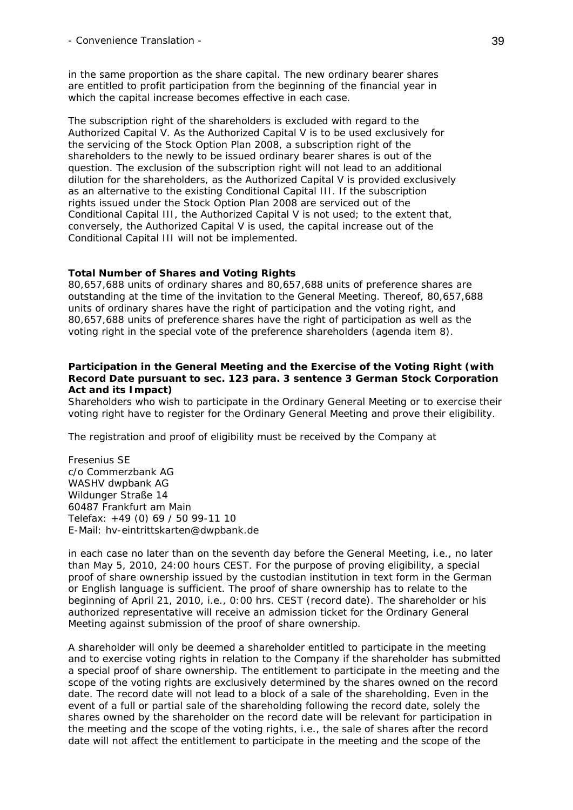in the same proportion as the share capital. The new ordinary bearer shares are entitled to profit participation from the beginning of the financial year in which the capital increase becomes effective in each case.

The subscription right of the shareholders is excluded with regard to the Authorized Capital V. As the Authorized Capital V is to be used exclusively for the servicing of the Stock Option Plan 2008, a subscription right of the shareholders to the newly to be issued ordinary bearer shares is out of the question. The exclusion of the subscription right will not lead to an additional dilution for the shareholders, as the Authorized Capital V is provided exclusively as an alternative to the existing Conditional Capital III. If the subscription rights issued under the Stock Option Plan 2008 are serviced out of the Conditional Capital III, the Authorized Capital V is not used; to the extent that, conversely, the Authorized Capital V is used, the capital increase out of the Conditional Capital III will not be implemented.

#### **Total Number of Shares and Voting Rights**

80,657,688 units of ordinary shares and 80,657,688 units of preference shares are outstanding at the time of the invitation to the General Meeting. Thereof, 80,657,688 units of ordinary shares have the right of participation and the voting right, and 80,657,688 units of preference shares have the right of participation as well as the voting right in the special vote of the preference shareholders (agenda item 8).

### **Participation in the General Meeting and the Exercise of the Voting Right (with Record Date pursuant to sec. 123 para. 3 sentence 3 German Stock Corporation Act and its Impact)**

Shareholders who wish to participate in the Ordinary General Meeting or to exercise their voting right have to register for the Ordinary General Meeting and prove their eligibility.

The registration and proof of eligibility must be received by the Company at

Fresenius SE c/o Commerzbank AG WASHV dwpbank AG Wildunger Straße 14 60487 Frankfurt am Main Telefax: +49 (0) 69 / 50 99-11 10 E-Mail: hv-eintrittskarten@dwpbank.de

in each case no later than on the seventh day before the General Meeting, i.e., no later than May 5, 2010, 24:00 hours CEST. For the purpose of proving eligibility, a special proof of share ownership issued by the custodian institution in text form in the German or English language is sufficient. The proof of share ownership has to relate to the beginning of April 21, 2010, i.e., 0:00 hrs. CEST (record date). The shareholder or his authorized representative will receive an admission ticket for the Ordinary General Meeting against submission of the proof of share ownership.

A shareholder will only be deemed a shareholder entitled to participate in the meeting and to exercise voting rights in relation to the Company if the shareholder has submitted a special proof of share ownership. The entitlement to participate in the meeting and the scope of the voting rights are exclusively determined by the shares owned on the record date. The record date will not lead to a block of a sale of the shareholding. Even in the event of a full or partial sale of the shareholding following the record date, solely the shares owned by the shareholder on the record date will be relevant for participation in the meeting and the scope of the voting rights, i.e., the sale of shares after the record date will not affect the entitlement to participate in the meeting and the scope of the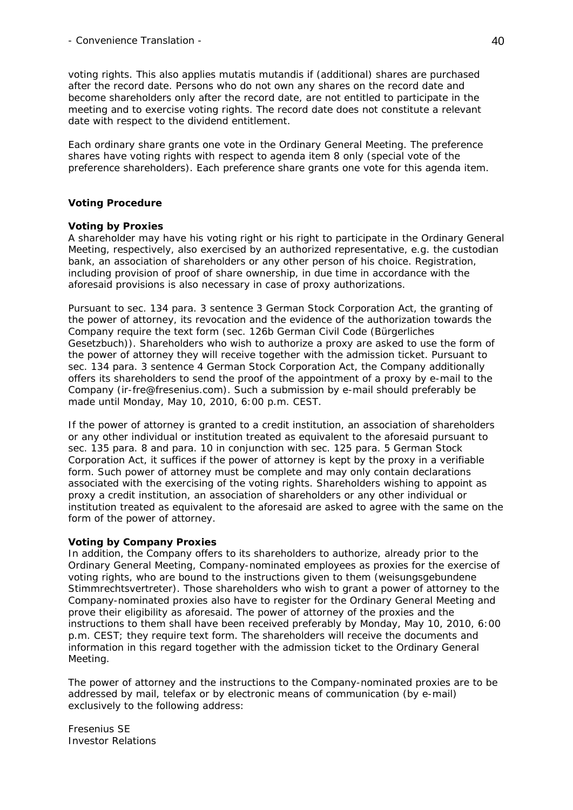voting rights. This also applies *mutatis mutandis* if (additional) shares are purchased after the record date. Persons who do not own any shares on the record date and become shareholders only after the record date, are not entitled to participate in the meeting and to exercise voting rights. The record date does not constitute a relevant date with respect to the dividend entitlement.

Each ordinary share grants one vote in the Ordinary General Meeting. The preference shares have voting rights with respect to agenda item 8 only (special vote of the preference shareholders). Each preference share grants one vote for this agenda item.

# **Voting Procedure**

# *Voting by Proxies*

A shareholder may have his voting right or his right to participate in the Ordinary General Meeting, respectively, also exercised by an authorized representative, e.g. the custodian bank, an association of shareholders or any other person of his choice. Registration, including provision of proof of share ownership, in due time in accordance with the aforesaid provisions is also necessary in case of proxy authorizations.

Pursuant to sec. 134 para. 3 sentence 3 German Stock Corporation Act, the granting of the power of attorney, its revocation and the evidence of the authorization towards the Company require the text form (sec. 126b German Civil Code (*Bürgerliches Gesetzbuch*)). Shareholders who wish to authorize a proxy are asked to use the form of the power of attorney they will receive together with the admission ticket. Pursuant to sec. 134 para. 3 sentence 4 German Stock Corporation Act, the Company additionally offers its shareholders to send the proof of the appointment of a proxy by e-mail to the Company (ir-fre@fresenius.com). Such a submission by e-mail should preferably be made until Monday, May 10, 2010, 6:00 p.m. CEST.

If the power of attorney is granted to a credit institution, an association of shareholders or any other individual or institution treated as equivalent to the aforesaid pursuant to sec. 135 para. 8 and para. 10 in conjunction with sec. 125 para. 5 German Stock Corporation Act, it suffices if the power of attorney is kept by the proxy in a verifiable form. Such power of attorney must be complete and may only contain declarations associated with the exercising of the voting rights. Shareholders wishing to appoint as proxy a credit institution, an association of shareholders or any other individual or institution treated as equivalent to the aforesaid are asked to agree with the same on the form of the power of attorney.

# *Voting by Company Proxies*

In addition, the Company offers to its shareholders to authorize, already prior to the Ordinary General Meeting, Company-nominated employees as proxies for the exercise of voting rights, who are bound to the instructions given to them (*weisungsgebundene Stimmrechtsvertreter*). Those shareholders who wish to grant a power of attorney to the Company-nominated proxies also have to register for the Ordinary General Meeting and prove their eligibility as aforesaid. The power of attorney of the proxies and the instructions to them shall have been received preferably by Monday, May 10, 2010, 6:00 p.m. CEST; they require text form. The shareholders will receive the documents and information in this regard together with the admission ticket to the Ordinary General Meeting.

The power of attorney and the instructions to the Company-nominated proxies are to be addressed by mail, telefax or by electronic means of communication (by e-mail) exclusively to the following address:

Fresenius SE Investor Relations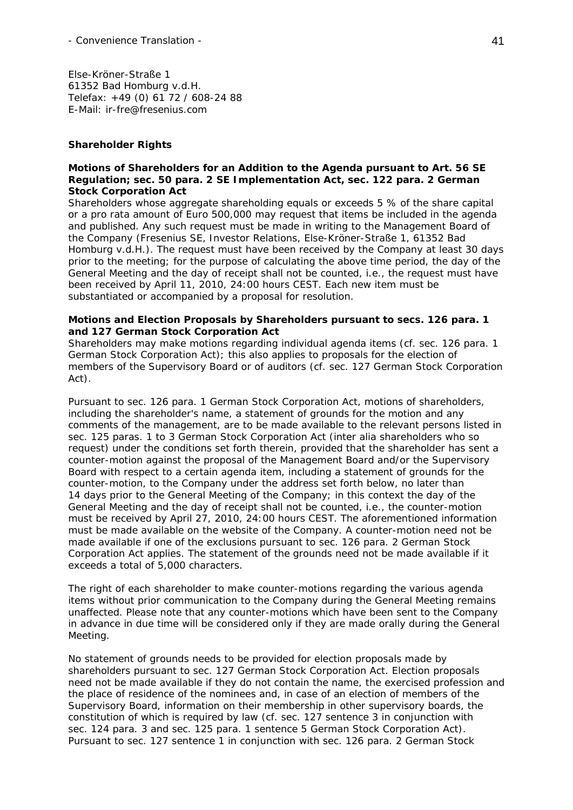Else-Kröner-Straße 1 61352 Bad Homburg v.d.H. Telefax: +49 (0) 61 72 / 608-24 88 E-Mail: ir-fre@fresenius.com

#### **Shareholder Rights**

#### *Motions of Shareholders for an Addition to the Agenda pursuant to Art. 56 SE Regulation; sec. 50 para. 2 SE Implementation Act, sec. 122 para. 2 German Stock Corporation Act*

Shareholders whose aggregate shareholding equals or exceeds 5 % of the share capital or a pro rata amount of Euro 500,000 may request that items be included in the agenda and published. Any such request must be made in writing to the Management Board of the Company (Fresenius SE, Investor Relations, Else-Kröner-Straße 1, 61352 Bad Homburg v.d.H.). The request must have been received by the Company at least 30 days prior to the meeting; for the purpose of calculating the above time period, the day of the General Meeting and the day of receipt shall not be counted, i.e., the request must have been received by April 11, 2010, 24:00 hours CEST. Each new item must be substantiated or accompanied by a proposal for resolution.

#### *Motions and Election Proposals by Shareholders pursuant to secs. 126 para. 1 and 127 German Stock Corporation Act*

Shareholders may make motions regarding individual agenda items (cf. sec. 126 para. 1 German Stock Corporation Act); this also applies to proposals for the election of members of the Supervisory Board or of auditors (cf. sec. 127 German Stock Corporation Act).

Pursuant to sec. 126 para. 1 German Stock Corporation Act, motions of shareholders, including the shareholder's name, a statement of grounds for the motion and any comments of the management, are to be made available to the relevant persons listed in sec. 125 paras. 1 to 3 German Stock Corporation Act (inter alia shareholders who so request) under the conditions set forth therein, provided that the shareholder has sent a counter-motion against the proposal of the Management Board and/or the Supervisory Board with respect to a certain agenda item, including a statement of grounds for the counter-motion, to the Company under the address set forth below, no later than 14 days prior to the General Meeting of the Company; in this context the day of the General Meeting and the day of receipt shall not be counted, i.e., the counter-motion must be received by April 27, 2010, 24:00 hours CEST. The aforementioned information must be made available on the website of the Company. A counter-motion need not be made available if one of the exclusions pursuant to sec. 126 para. 2 German Stock Corporation Act applies. The statement of the grounds need not be made available if it exceeds a total of 5,000 characters.

The right of each shareholder to make counter-motions regarding the various agenda items without prior communication to the Company during the General Meeting remains unaffected. Please note that any counter-motions which have been sent to the Company in advance in due time will be considered only if they are made orally during the General Meeting.

No statement of grounds needs to be provided for election proposals made by shareholders pursuant to sec. 127 German Stock Corporation Act. Election proposals need not be made available if they do not contain the name, the exercised profession and the place of residence of the nominees and, in case of an election of members of the Supervisory Board, information on their membership in other supervisory boards, the constitution of which is required by law (cf. sec. 127 sentence 3 in conjunction with sec. 124 para. 3 and sec. 125 para. 1 sentence 5 German Stock Corporation Act). Pursuant to sec. 127 sentence 1 in conjunction with sec. 126 para. 2 German Stock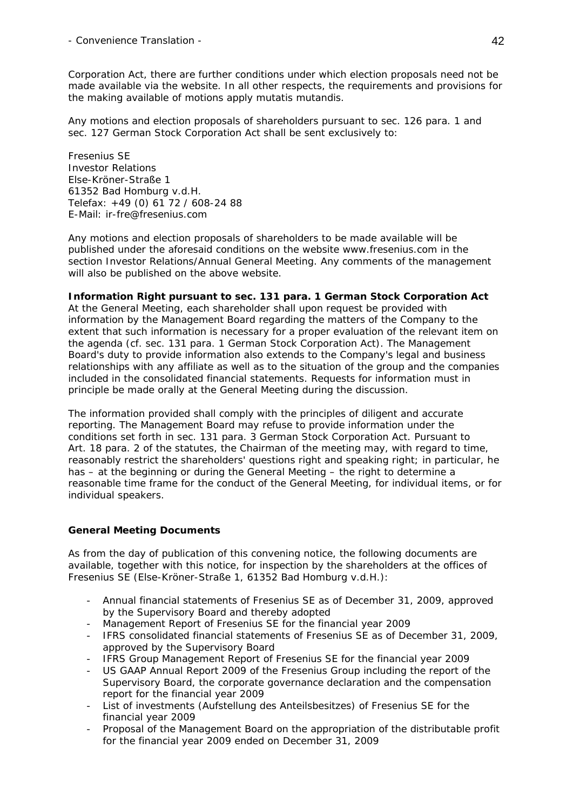Corporation Act, there are further conditions under which election proposals need not be made available via the website. In all other respects, the requirements and provisions for the making available of motions apply *mutatis mutandis*.

Any motions and election proposals of shareholders pursuant to sec. 126 para. 1 and sec. 127 German Stock Corporation Act shall be sent exclusively to:

Fresenius SE Investor Relations Else-Kröner-Straße 1 61352 Bad Homburg v.d.H. Telefax: +49 (0) 61 72 / 608-24 88 E-Mail: ir-fre@fresenius.com

Any motions and election proposals of shareholders to be made available will be published under the aforesaid conditions on the website www.fresenius.com in the section Investor Relations/Annual General Meeting. Any comments of the management will also be published on the above website.

# *Information Right pursuant to sec. 131 para. 1 German Stock Corporation Act*

At the General Meeting, each shareholder shall upon request be provided with information by the Management Board regarding the matters of the Company to the extent that such information is necessary for a proper evaluation of the relevant item on the agenda (cf. sec. 131 para. 1 German Stock Corporation Act). The Management Board's duty to provide information also extends to the Company's legal and business relationships with any affiliate as well as to the situation of the group and the companies included in the consolidated financial statements. Requests for information must in principle be made orally at the General Meeting during the discussion.

The information provided shall comply with the principles of diligent and accurate reporting. The Management Board may refuse to provide information under the conditions set forth in sec. 131 para. 3 German Stock Corporation Act. Pursuant to Art. 18 para. 2 of the statutes, the Chairman of the meeting may, with regard to time, reasonably restrict the shareholders' questions right and speaking right; in particular, he has – at the beginning or during the General Meeting – the right to determine a reasonable time frame for the conduct of the General Meeting, for individual items, or for individual speakers.

# **General Meeting Documents**

As from the day of publication of this convening notice, the following documents are available, together with this notice, for inspection by the shareholders at the offices of Fresenius SE (Else-Kröner-Straße 1, 61352 Bad Homburg v.d.H.):

- Annual financial statements of Fresenius SE as of December 31, 2009, approved by the Supervisory Board and thereby adopted
- Management Report of Fresenius SE for the financial year 2009
- IFRS consolidated financial statements of Fresenius SE as of December 31, 2009, approved by the Supervisory Board
- IFRS Group Management Report of Fresenius SE for the financial year 2009
- US GAAP Annual Report 2009 of the Fresenius Group including the report of the Supervisory Board, the corporate governance declaration and the compensation report for the financial year 2009
- List of investments (*Aufstellung des Anteilsbesitzes*) of Fresenius SE for the financial year 2009
- Proposal of the Management Board on the appropriation of the distributable profit for the financial year 2009 ended on December 31, 2009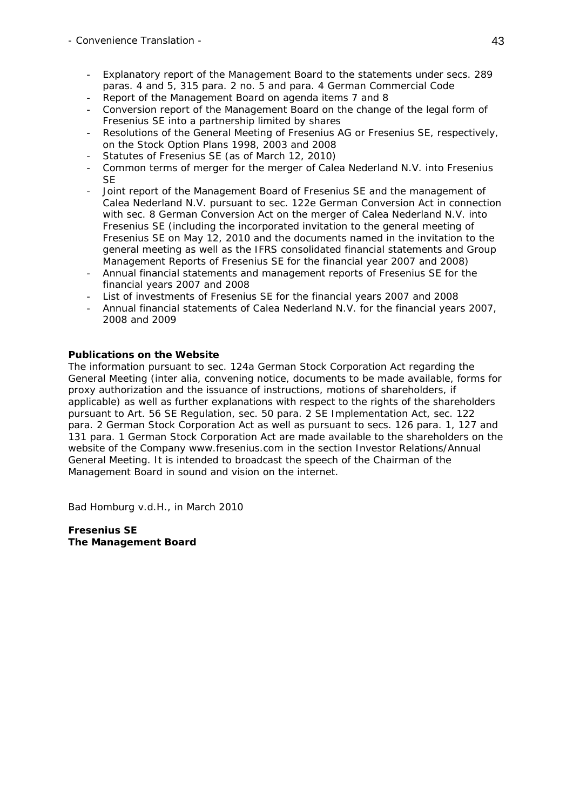- Convenience Translation 43
	- Explanatory report of the Management Board to the statements under secs. 289 paras. 4 and 5, 315 para. 2 no. 5 and para. 4 German Commercial Code
	- Report of the Management Board on agenda items 7 and 8
	- Conversion report of the Management Board on the change of the legal form of Fresenius SE into a partnership limited by shares
	- Resolutions of the General Meeting of Fresenius AG or Fresenius SE, respectively, on the Stock Option Plans 1998, 2003 and 2008
	- Statutes of Fresenius SE (as of March 12, 2010)
	- Common terms of merger for the merger of Calea Nederland N.V. into Fresenius **SE**
	- Joint report of the Management Board of Fresenius SE and the management of Calea Nederland N.V. pursuant to sec. 122e German Conversion Act in connection with sec. 8 German Conversion Act on the merger of Calea Nederland N.V. into Fresenius SE (including the incorporated invitation to the general meeting of Fresenius SE on May 12, 2010 and the documents named in the invitation to the general meeting as well as the IFRS consolidated financial statements and Group Management Reports of Fresenius SE for the financial year 2007 and 2008)
	- Annual financial statements and management reports of Fresenius SE for the financial years 2007 and 2008
	- List of investments of Fresenius SE for the financial years 2007 and 2008
	- Annual financial statements of Calea Nederland N.V. for the financial years 2007, 2008 and 2009

### **Publications on the Website**

The information pursuant to sec. 124a German Stock Corporation Act regarding the General Meeting (inter alia, convening notice, documents to be made available, forms for proxy authorization and the issuance of instructions, motions of shareholders, if applicable) as well as further explanations with respect to the rights of the shareholders pursuant to Art. 56 SE Regulation, sec. 50 para. 2 SE Implementation Act, sec. 122 para. 2 German Stock Corporation Act as well as pursuant to secs. 126 para. 1, 127 and 131 para. 1 German Stock Corporation Act are made available to the shareholders on the website of the Company www.fresenius.com in the section Investor Relations/Annual General Meeting. It is intended to broadcast the speech of the Chairman of the Management Board in sound and vision on the internet.

Bad Homburg v.d.H., in March 2010

**Fresenius SE The Management Board**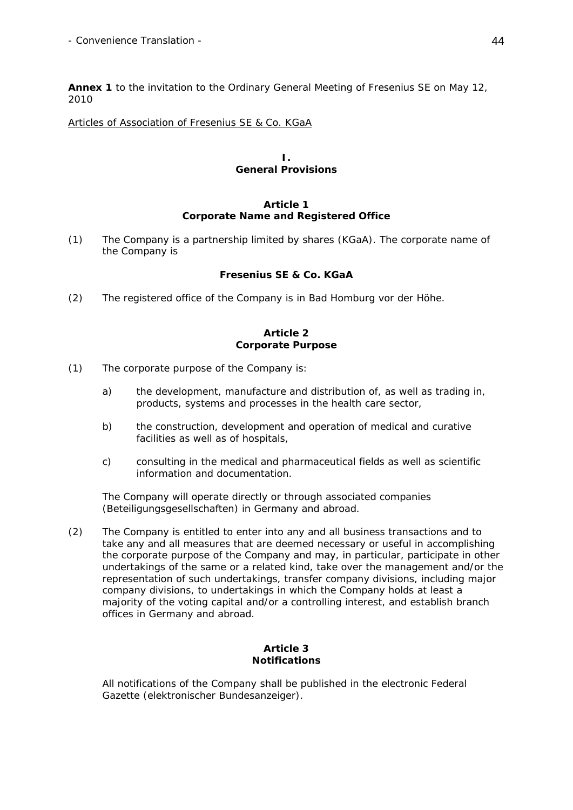**Annex 1** to the invitation to the Ordinary General Meeting of Fresenius SE on May 12, 2010

### Articles of Association of Fresenius SE & Co. KGaA

#### **I. General Provisions**

### **Article 1 Corporate Name and Registered Office**

(1) The Company is a partnership limited by shares (*KGaA*). The corporate name of the Company is

### **Fresenius SE & Co. KGaA**

(2) The registered office of the Company is in Bad Homburg vor der Höhe.

### **Article 2 Corporate Purpose**

- (1) The corporate purpose of the Company is:
	- a) the development, manufacture and distribution of, as well as trading in, products, systems and processes in the health care sector,
	- b) the construction, development and operation of medical and curative facilities as well as of hospitals,
	- c) consulting in the medical and pharmaceutical fields as well as scientific information and documentation.

The Company will operate directly or through associated companies (*Beteiligungsgesellschaften*) in Germany and abroad.

(2) The Company is entitled to enter into any and all business transactions and to take any and all measures that are deemed necessary or useful in accomplishing the corporate purpose of the Company and may, in particular, participate in other undertakings of the same or a related kind, take over the management and/or the representation of such undertakings, transfer company divisions, including major company divisions, to undertakings in which the Company holds at least a majority of the voting capital and/or a controlling interest, and establish branch offices in Germany and abroad.

# **Article 3 Notifications**

 All notifications of the Company shall be published in the electronic Federal Gazette (*elektronischer Bundesanzeiger*).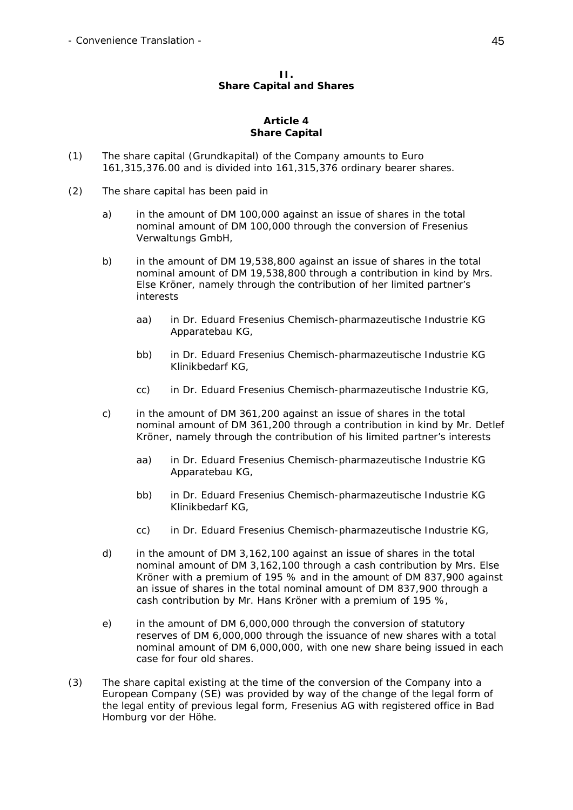### **II. Share Capital and Shares**

#### **Article 4 Share Capital**

- (1) The share capital (*Grundkapital*) of the Company amounts to Euro 161,315,376.00 and is divided into 161,315,376 ordinary bearer shares.
- (2) The share capital has been paid in
	- a) in the amount of DM 100,000 against an issue of shares in the total nominal amount of DM 100,000 through the conversion of Fresenius Verwaltungs GmbH,
	- b) in the amount of DM 19,538,800 against an issue of shares in the total nominal amount of DM 19,538,800 through a contribution in kind by Mrs. Else Kröner, namely through the contribution of her limited partner's interests
		- aa) in Dr. Eduard Fresenius Chemisch-pharmazeutische Industrie KG Apparatebau KG,
		- bb) in Dr. Eduard Fresenius Chemisch-pharmazeutische Industrie KG Klinikbedarf KG,
		- cc) in Dr. Eduard Fresenius Chemisch-pharmazeutische Industrie KG,
	- c) in the amount of DM 361,200 against an issue of shares in the total nominal amount of DM 361,200 through a contribution in kind by Mr. Detlef Kröner, namely through the contribution of his limited partner's interests
		- aa) in Dr. Eduard Fresenius Chemisch-pharmazeutische Industrie KG Apparatebau KG,
		- bb) in Dr. Eduard Fresenius Chemisch-pharmazeutische Industrie KG Klinikbedarf KG,
		- cc) in Dr. Eduard Fresenius Chemisch-pharmazeutische Industrie KG,
	- d) in the amount of DM 3,162,100 against an issue of shares in the total nominal amount of DM 3,162,100 through a cash contribution by Mrs. Else Kröner with a premium of 195 % and in the amount of DM 837,900 against an issue of shares in the total nominal amount of DM 837,900 through a cash contribution by Mr. Hans Kröner with a premium of 195 %,
	- e) in the amount of DM 6,000,000 through the conversion of statutory reserves of DM 6,000,000 through the issuance of new shares with a total nominal amount of DM 6,000,000, with one new share being issued in each case for four old shares.
- (3) The share capital existing at the time of the conversion of the Company into a European Company (SE) was provided by way of the change of the legal form of the legal entity of previous legal form, Fresenius AG with registered office in Bad Homburg vor der Höhe.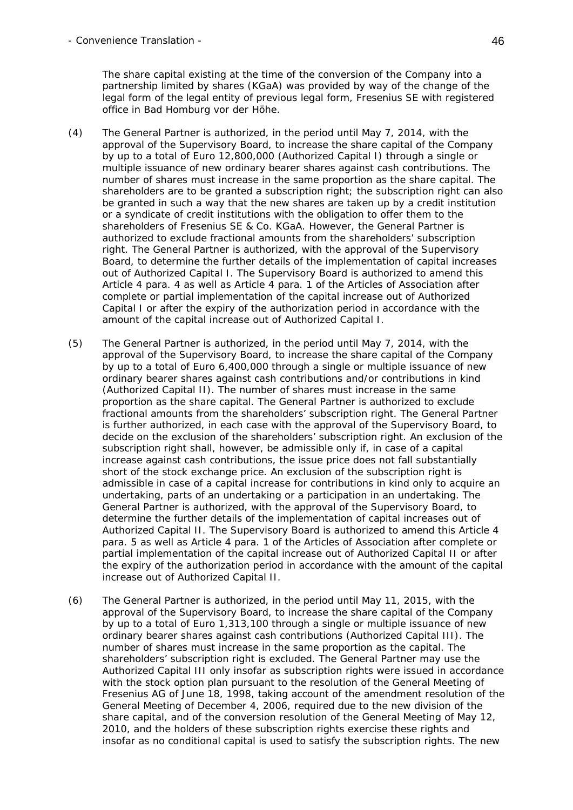The share capital existing at the time of the conversion of the Company into a partnership limited by shares (KGaA) was provided by way of the change of the legal form of the legal entity of previous legal form, Fresenius SE with registered office in Bad Homburg vor der Höhe.

- (4) The General Partner is authorized, in the period until May 7, 2014, with the approval of the Supervisory Board, to increase the share capital of the Company by up to a total of Euro 12,800,000 (Authorized Capital I) through a single or multiple issuance of new ordinary bearer shares against cash contributions. The number of shares must increase in the same proportion as the share capital. The shareholders are to be granted a subscription right; the subscription right can also be granted in such a way that the new shares are taken up by a credit institution or a syndicate of credit institutions with the obligation to offer them to the shareholders of Fresenius SE & Co. KGaA. However, the General Partner is authorized to exclude fractional amounts from the shareholders' subscription right. The General Partner is authorized, with the approval of the Supervisory Board, to determine the further details of the implementation of capital increases out of Authorized Capital I. The Supervisory Board is authorized to amend this Article 4 para. 4 as well as Article 4 para. 1 of the Articles of Association after complete or partial implementation of the capital increase out of Authorized Capital I or after the expiry of the authorization period in accordance with the amount of the capital increase out of Authorized Capital I.
- (5) The General Partner is authorized, in the period until May 7, 2014, with the approval of the Supervisory Board, to increase the share capital of the Company by up to a total of Euro 6,400,000 through a single or multiple issuance of new ordinary bearer shares against cash contributions and/or contributions in kind (Authorized Capital II). The number of shares must increase in the same proportion as the share capital. The General Partner is authorized to exclude fractional amounts from the shareholders' subscription right. The General Partner is further authorized, in each case with the approval of the Supervisory Board, to decide on the exclusion of the shareholders' subscription right. An exclusion of the subscription right shall, however, be admissible only if, in case of a capital increase against cash contributions, the issue price does not fall substantially short of the stock exchange price. An exclusion of the subscription right is admissible in case of a capital increase for contributions in kind only to acquire an undertaking, parts of an undertaking or a participation in an undertaking. The General Partner is authorized, with the approval of the Supervisory Board, to determine the further details of the implementation of capital increases out of Authorized Capital II. The Supervisory Board is authorized to amend this Article 4 para. 5 as well as Article 4 para. 1 of the Articles of Association after complete or partial implementation of the capital increase out of Authorized Capital II or after the expiry of the authorization period in accordance with the amount of the capital increase out of Authorized Capital II.
- (6) The General Partner is authorized, in the period until May 11, 2015, with the approval of the Supervisory Board, to increase the share capital of the Company by up to a total of Euro 1,313,100 through a single or multiple issuance of new ordinary bearer shares against cash contributions (Authorized Capital III). The number of shares must increase in the same proportion as the capital. The shareholders' subscription right is excluded. The General Partner may use the Authorized Capital III only insofar as subscription rights were issued in accordance with the stock option plan pursuant to the resolution of the General Meeting of Fresenius AG of June 18, 1998, taking account of the amendment resolution of the General Meeting of December 4, 2006, required due to the new division of the share capital, and of the conversion resolution of the General Meeting of May 12, 2010, and the holders of these subscription rights exercise these rights and insofar as no conditional capital is used to satisfy the subscription rights. The new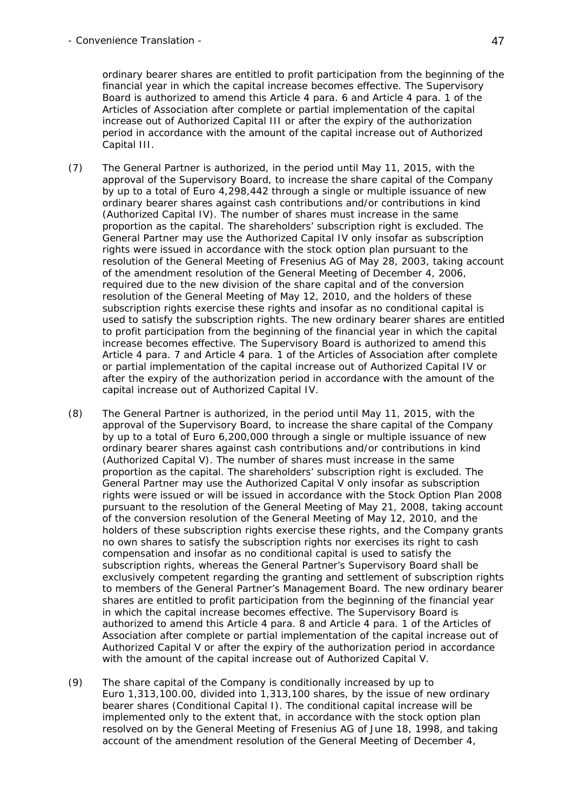ordinary bearer shares are entitled to profit participation from the beginning of the financial year in which the capital increase becomes effective. The Supervisory Board is authorized to amend this Article 4 para. 6 and Article 4 para. 1 of the Articles of Association after complete or partial implementation of the capital increase out of Authorized Capital III or after the expiry of the authorization period in accordance with the amount of the capital increase out of Authorized Capital III.

- (7) The General Partner is authorized, in the period until May 11, 2015, with the approval of the Supervisory Board, to increase the share capital of the Company by up to a total of Euro 4,298,442 through a single or multiple issuance of new ordinary bearer shares against cash contributions and/or contributions in kind (Authorized Capital IV). The number of shares must increase in the same proportion as the capital. The shareholders' subscription right is excluded. The General Partner may use the Authorized Capital IV only insofar as subscription rights were issued in accordance with the stock option plan pursuant to the resolution of the General Meeting of Fresenius AG of May 28, 2003, taking account of the amendment resolution of the General Meeting of December 4, 2006, required due to the new division of the share capital and of the conversion resolution of the General Meeting of May 12, 2010, and the holders of these subscription rights exercise these rights and insofar as no conditional capital is used to satisfy the subscription rights. The new ordinary bearer shares are entitled to profit participation from the beginning of the financial year in which the capital increase becomes effective. The Supervisory Board is authorized to amend this Article 4 para. 7 and Article 4 para. 1 of the Articles of Association after complete or partial implementation of the capital increase out of Authorized Capital IV or after the expiry of the authorization period in accordance with the amount of the capital increase out of Authorized Capital IV.
- (8) The General Partner is authorized, in the period until May 11, 2015, with the approval of the Supervisory Board, to increase the share capital of the Company by up to a total of Euro 6,200,000 through a single or multiple issuance of new ordinary bearer shares against cash contributions and/or contributions in kind (Authorized Capital V). The number of shares must increase in the same proportion as the capital. The shareholders' subscription right is excluded. The General Partner may use the Authorized Capital V only insofar as subscription rights were issued or will be issued in accordance with the Stock Option Plan 2008 pursuant to the resolution of the General Meeting of May 21, 2008, taking account of the conversion resolution of the General Meeting of May 12, 2010, and the holders of these subscription rights exercise these rights, and the Company grants no own shares to satisfy the subscription rights nor exercises its right to cash compensation and insofar as no conditional capital is used to satisfy the subscription rights, whereas the General Partner's Supervisory Board shall be exclusively competent regarding the granting and settlement of subscription rights to members of the General Partner's Management Board. The new ordinary bearer shares are entitled to profit participation from the beginning of the financial year in which the capital increase becomes effective. The Supervisory Board is authorized to amend this Article 4 para. 8 and Article 4 para. 1 of the Articles of Association after complete or partial implementation of the capital increase out of Authorized Capital V or after the expiry of the authorization period in accordance with the amount of the capital increase out of Authorized Capital V.
- (9) The share capital of the Company is conditionally increased by up to Euro 1,313,100.00, divided into 1,313,100 shares, by the issue of new ordinary bearer shares (Conditional Capital I). The conditional capital increase will be implemented only to the extent that, in accordance with the stock option plan resolved on by the General Meeting of Fresenius AG of June 18, 1998, and taking account of the amendment resolution of the General Meeting of December 4,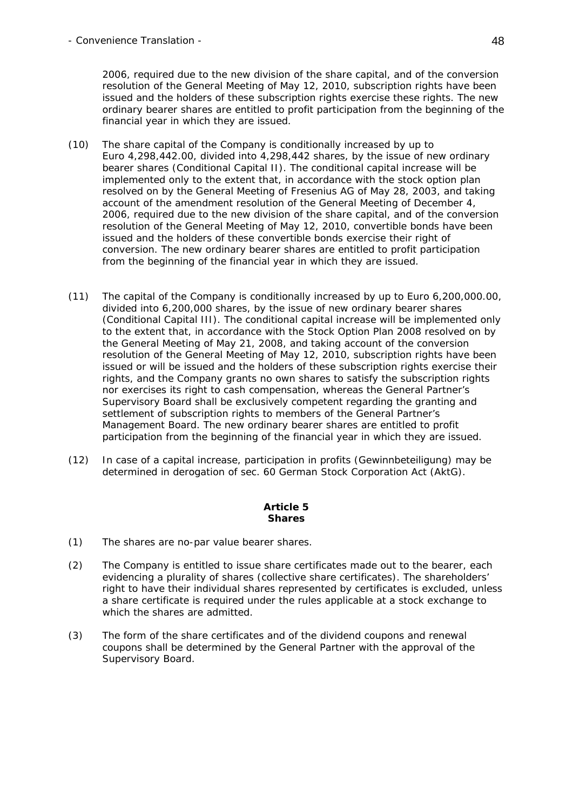- Convenience Translation - 48

2006, required due to the new division of the share capital, and of the conversion resolution of the General Meeting of May 12, 2010, subscription rights have been issued and the holders of these subscription rights exercise these rights. The new ordinary bearer shares are entitled to profit participation from the beginning of the financial year in which they are issued.

- (10) The share capital of the Company is conditionally increased by up to Euro 4,298,442.00, divided into 4,298,442 shares, by the issue of new ordinary bearer shares (Conditional Capital II). The conditional capital increase will be implemented only to the extent that, in accordance with the stock option plan resolved on by the General Meeting of Fresenius AG of May 28, 2003, and taking account of the amendment resolution of the General Meeting of December 4, 2006, required due to the new division of the share capital, and of the conversion resolution of the General Meeting of May 12, 2010, convertible bonds have been issued and the holders of these convertible bonds exercise their right of conversion. The new ordinary bearer shares are entitled to profit participation from the beginning of the financial year in which they are issued.
- (11) The capital of the Company is conditionally increased by up to Euro 6,200,000.00, divided into 6,200,000 shares, by the issue of new ordinary bearer shares (Conditional Capital III). The conditional capital increase will be implemented only to the extent that, in accordance with the Stock Option Plan 2008 resolved on by the General Meeting of May 21, 2008, and taking account of the conversion resolution of the General Meeting of May 12, 2010, subscription rights have been issued or will be issued and the holders of these subscription rights exercise their rights, and the Company grants no own shares to satisfy the subscription rights nor exercises its right to cash compensation, whereas the General Partner's Supervisory Board shall be exclusively competent regarding the granting and settlement of subscription rights to members of the General Partner's Management Board. The new ordinary bearer shares are entitled to profit participation from the beginning of the financial year in which they are issued.
- (12) In case of a capital increase, participation in profits (*Gewinnbeteiligung*) may be determined in derogation of sec. 60 German Stock Corporation Act (AktG).

#### **Article 5 Shares**

- (1) The shares are no-par value bearer shares.
- (2) The Company is entitled to issue share certificates made out to the bearer, each evidencing a plurality of shares (collective share certificates). The shareholders' right to have their individual shares represented by certificates is excluded, unless a share certificate is required under the rules applicable at a stock exchange to which the shares are admitted.
- (3) The form of the share certificates and of the dividend coupons and renewal coupons shall be determined by the General Partner with the approval of the Supervisory Board.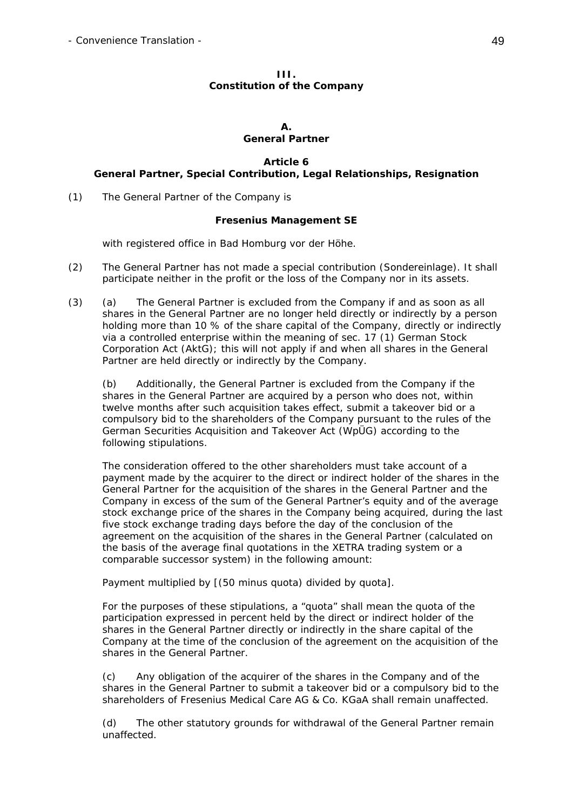#### **III. Constitution of the Company**

#### **A. General Partner**

### **Article 6 General Partner, Special Contribution, Legal Relationships, Resignation**

(1) The General Partner of the Company is

# **Fresenius Management SE**

with registered office in Bad Homburg vor der Höhe.

- (2) The General Partner has not made a special contribution (Sondereinlage). It shall participate neither in the profit or the loss of the Company nor in its assets.
- (3) (a) The General Partner is excluded from the Company if and as soon as all shares in the General Partner are no longer held directly or indirectly by a person holding more than 10 % of the share capital of the Company, directly or indirectly via a controlled enterprise within the meaning of sec. 17 (1) German Stock Corporation Act (AktG); this will not apply if and when all shares in the General Partner are held directly or indirectly by the Company.

 (b) Additionally, the General Partner is excluded from the Company if the shares in the General Partner are acquired by a person who does not, within twelve months after such acquisition takes effect, submit a takeover bid or a compulsory bid to the shareholders of the Company pursuant to the rules of the German Securities Acquisition and Takeover Act (WpÜG) according to the following stipulations.

 The consideration offered to the other shareholders must take account of a payment made by the acquirer to the direct or indirect holder of the shares in the General Partner for the acquisition of the shares in the General Partner and the Company in excess of the sum of the General Partner's equity and of the average stock exchange price of the shares in the Company being acquired, during the last five stock exchange trading days before the day of the conclusion of the agreement on the acquisition of the shares in the General Partner (calculated on the basis of the average final quotations in the XETRA trading system or a comparable successor system) in the following amount:

Payment multiplied by [(50 minus quota) divided by quota].

 For the purposes of these stipulations, a "quota" shall mean the quota of the participation expressed in percent held by the direct or indirect holder of the shares in the General Partner directly or indirectly in the share capital of the Company at the time of the conclusion of the agreement on the acquisition of the shares in the General Partner.

 (c) Any obligation of the acquirer of the shares in the Company and of the shares in the General Partner to submit a takeover bid or a compulsory bid to the shareholders of Fresenius Medical Care AG & Co. KGaA shall remain unaffected.

 (d) The other statutory grounds for withdrawal of the General Partner remain unaffected.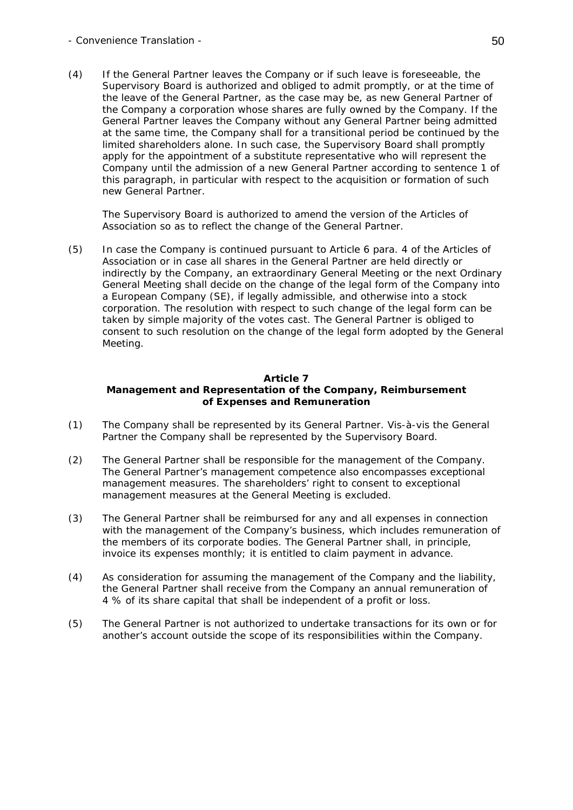(4) If the General Partner leaves the Company or if such leave is foreseeable, the Supervisory Board is authorized and obliged to admit promptly, or at the time of the leave of the General Partner, as the case may be, as new General Partner of the Company a corporation whose shares are fully owned by the Company. If the General Partner leaves the Company without any General Partner being admitted at the same time, the Company shall for a transitional period be continued by the limited shareholders alone. In such case, the Supervisory Board shall promptly apply for the appointment of a substitute representative who will represent the Company until the admission of a new General Partner according to sentence 1 of this paragraph, in particular with respect to the acquisition or formation of such new General Partner.

 The Supervisory Board is authorized to amend the version of the Articles of Association so as to reflect the change of the General Partner.

(5) In case the Company is continued pursuant to Article 6 para. 4 of the Articles of Association or in case all shares in the General Partner are held directly or indirectly by the Company, an extraordinary General Meeting or the next Ordinary General Meeting shall decide on the change of the legal form of the Company into a European Company (SE), if legally admissible, and otherwise into a stock corporation. The resolution with respect to such change of the legal form can be taken by simple majority of the votes cast. The General Partner is obliged to consent to such resolution on the change of the legal form adopted by the General Meeting.

# **Article 7 Management and Representation of the Company, Reimbursement of Expenses and Remuneration**

- (1) The Company shall be represented by its General Partner. Vis-à-vis the General Partner the Company shall be represented by the Supervisory Board.
- (2) The General Partner shall be responsible for the management of the Company. The General Partner's management competence also encompasses exceptional management measures. The shareholders' right to consent to exceptional management measures at the General Meeting is excluded.
- (3) The General Partner shall be reimbursed for any and all expenses in connection with the management of the Company's business, which includes remuneration of the members of its corporate bodies. The General Partner shall, in principle, invoice its expenses monthly; it is entitled to claim payment in advance.
- (4) As consideration for assuming the management of the Company and the liability, the General Partner shall receive from the Company an annual remuneration of 4 % of its share capital that shall be independent of a profit or loss.
- (5) The General Partner is not authorized to undertake transactions for its own or for another's account outside the scope of its responsibilities within the Company.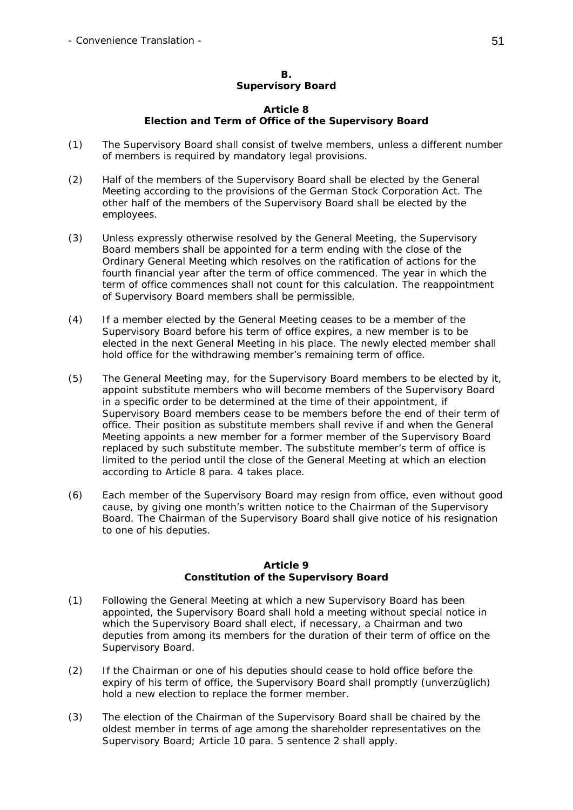### **B. Supervisory Board**

### **Article 8 Election and Term of Office of the Supervisory Board**

- (1) The Supervisory Board shall consist of twelve members, unless a different number of members is required by mandatory legal provisions.
- (2) Half of the members of the Supervisory Board shall be elected by the General Meeting according to the provisions of the German Stock Corporation Act. The other half of the members of the Supervisory Board shall be elected by the employees.
- (3) Unless expressly otherwise resolved by the General Meeting, the Supervisory Board members shall be appointed for a term ending with the close of the Ordinary General Meeting which resolves on the ratification of actions for the fourth financial year after the term of office commenced. The year in which the term of office commences shall not count for this calculation. The reappointment of Supervisory Board members shall be permissible.
- (4) If a member elected by the General Meeting ceases to be a member of the Supervisory Board before his term of office expires, a new member is to be elected in the next General Meeting in his place. The newly elected member shall hold office for the withdrawing member's remaining term of office.
- (5) The General Meeting may, for the Supervisory Board members to be elected by it, appoint substitute members who will become members of the Supervisory Board in a specific order to be determined at the time of their appointment, if Supervisory Board members cease to be members before the end of their term of office. Their position as substitute members shall revive if and when the General Meeting appoints a new member for a former member of the Supervisory Board replaced by such substitute member. The substitute member's term of office is limited to the period until the close of the General Meeting at which an election according to Article 8 para. 4 takes place.
- (6) Each member of the Supervisory Board may resign from office, even without good cause, by giving one month's written notice to the Chairman of the Supervisory Board. The Chairman of the Supervisory Board shall give notice of his resignation to one of his deputies.

### **Article 9 Constitution of the Supervisory Board**

- (1) Following the General Meeting at which a new Supervisory Board has been appointed, the Supervisory Board shall hold a meeting without special notice in which the Supervisory Board shall elect, if necessary, a Chairman and two deputies from among its members for the duration of their term of office on the Supervisory Board.
- (2) If the Chairman or one of his deputies should cease to hold office before the expiry of his term of office, the Supervisory Board shall promptly (*unverzüglich*) hold a new election to replace the former member.
- (3) The election of the Chairman of the Supervisory Board shall be chaired by the oldest member in terms of age among the shareholder representatives on the Supervisory Board; Article 10 para. 5 sentence 2 shall apply.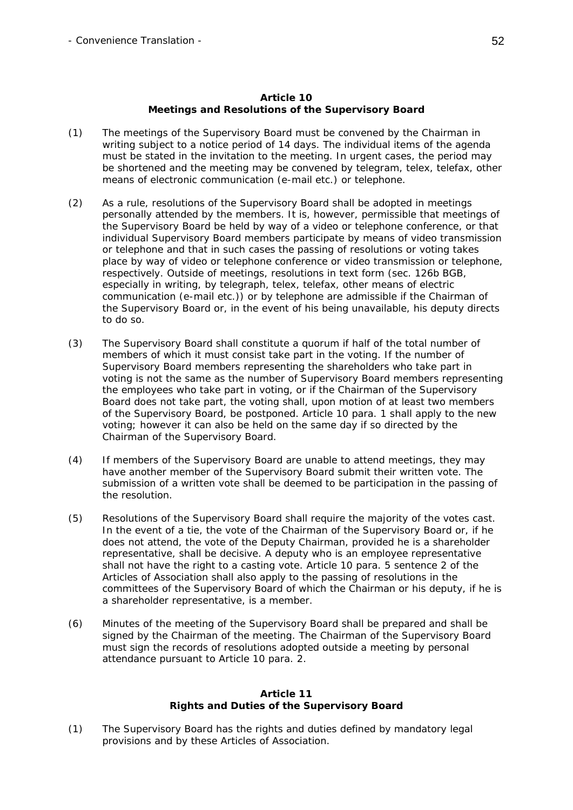### **Article 10 Meetings and Resolutions of the Supervisory Board**

- (1) The meetings of the Supervisory Board must be convened by the Chairman in writing subject to a notice period of 14 days. The individual items of the agenda must be stated in the invitation to the meeting. In urgent cases, the period may be shortened and the meeting may be convened by telegram, telex, telefax, other means of electronic communication (e-mail etc.) or telephone.
- (2) As a rule, resolutions of the Supervisory Board shall be adopted in meetings personally attended by the members. It is, however, permissible that meetings of the Supervisory Board be held by way of a video or telephone conference, or that individual Supervisory Board members participate by means of video transmission or telephone and that in such cases the passing of resolutions or voting takes place by way of video or telephone conference or video transmission or telephone, respectively. Outside of meetings, resolutions in text form (sec. 126b BGB, especially in writing, by telegraph, telex, telefax, other means of electric communication (e-mail etc.)) or by telephone are admissible if the Chairman of the Supervisory Board or, in the event of his being unavailable, his deputy directs to do so.
- (3) The Supervisory Board shall constitute a quorum if half of the total number of members of which it must consist take part in the voting. If the number of Supervisory Board members representing the shareholders who take part in voting is not the same as the number of Supervisory Board members representing the employees who take part in voting, or if the Chairman of the Supervisory Board does not take part, the voting shall, upon motion of at least two members of the Supervisory Board, be postponed. Article 10 para. 1 shall apply to the new voting; however it can also be held on the same day if so directed by the Chairman of the Supervisory Board.
- (4) If members of the Supervisory Board are unable to attend meetings, they may have another member of the Supervisory Board submit their written vote. The submission of a written vote shall be deemed to be participation in the passing of the resolution.
- (5) Resolutions of the Supervisory Board shall require the majority of the votes cast. In the event of a tie, the vote of the Chairman of the Supervisory Board or, if he does not attend, the vote of the Deputy Chairman, provided he is a shareholder representative, shall be decisive. A deputy who is an employee representative shall not have the right to a casting vote. Article 10 para. 5 sentence 2 of the Articles of Association shall also apply to the passing of resolutions in the committees of the Supervisory Board of which the Chairman or his deputy, if he is a shareholder representative, is a member.
- (6) Minutes of the meeting of the Supervisory Board shall be prepared and shall be signed by the Chairman of the meeting. The Chairman of the Supervisory Board must sign the records of resolutions adopted outside a meeting by personal attendance pursuant to Article 10 para. 2.

### **Article 11 Rights and Duties of the Supervisory Board**

(1) The Supervisory Board has the rights and duties defined by mandatory legal provisions and by these Articles of Association.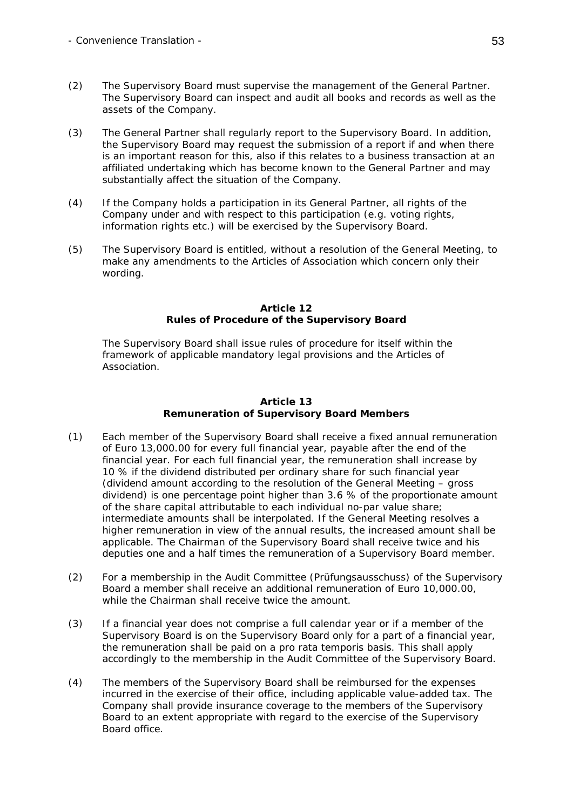- (2) The Supervisory Board must supervise the management of the General Partner. The Supervisory Board can inspect and audit all books and records as well as the assets of the Company.
- (3) The General Partner shall regularly report to the Supervisory Board. In addition, the Supervisory Board may request the submission of a report if and when there is an important reason for this, also if this relates to a business transaction at an affiliated undertaking which has become known to the General Partner and may substantially affect the situation of the Company.
- (4) If the Company holds a participation in its General Partner, all rights of the Company under and with respect to this participation (e.g. voting rights, information rights etc.) will be exercised by the Supervisory Board.
- (5) The Supervisory Board is entitled, without a resolution of the General Meeting, to make any amendments to the Articles of Association which concern only their wording.

#### **Article 12 Rules of Procedure of the Supervisory Board**

 The Supervisory Board shall issue rules of procedure for itself within the framework of applicable mandatory legal provisions and the Articles of Association.

### **Article 13 Remuneration of Supervisory Board Members**

- (1) Each member of the Supervisory Board shall receive a fixed annual remuneration of Euro 13,000.00 for every full financial year, payable after the end of the financial year. For each full financial year, the remuneration shall increase by 10 % if the dividend distributed per ordinary share for such financial year (dividend amount according to the resolution of the General Meeting – gross dividend) is one percentage point higher than 3.6 % of the proportionate amount of the share capital attributable to each individual no-par value share; intermediate amounts shall be interpolated. If the General Meeting resolves a higher remuneration in view of the annual results, the increased amount shall be applicable. The Chairman of the Supervisory Board shall receive twice and his deputies one and a half times the remuneration of a Supervisory Board member.
- (2) For a membership in the Audit Committee *(Prüfungsausschuss)* of the Supervisory Board a member shall receive an additional remuneration of Euro 10,000.00, while the Chairman shall receive twice the amount.
- (3) If a financial year does not comprise a full calendar year or if a member of the Supervisory Board is on the Supervisory Board only for a part of a financial year, the remuneration shall be paid on a *pro rata temporis* basis. This shall apply accordingly to the membership in the Audit Committee of the Supervisory Board.
- (4) The members of the Supervisory Board shall be reimbursed for the expenses incurred in the exercise of their office, including applicable value-added tax. The Company shall provide insurance coverage to the members of the Supervisory Board to an extent appropriate with regard to the exercise of the Supervisory Board office.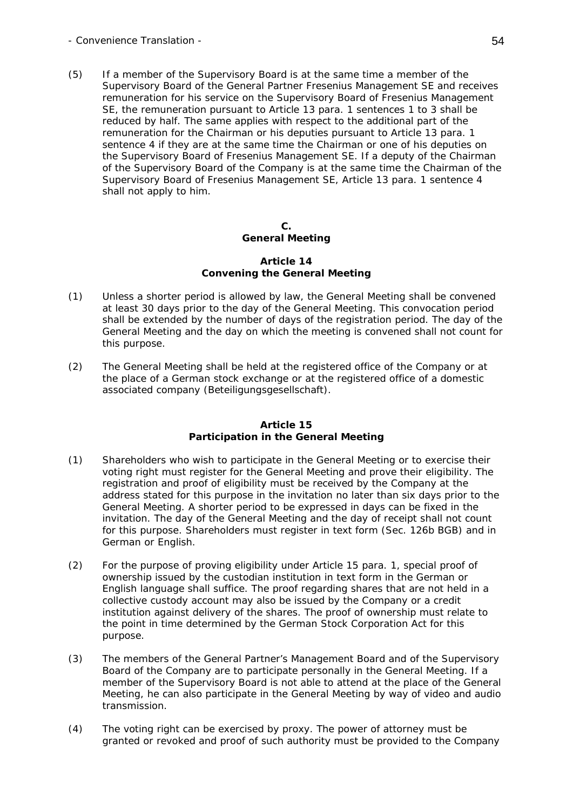(5) If a member of the Supervisory Board is at the same time a member of the Supervisory Board of the General Partner Fresenius Management SE and receives remuneration for his service on the Supervisory Board of Fresenius Management SE, the remuneration pursuant to Article 13 para. 1 sentences 1 to 3 shall be reduced by half. The same applies with respect to the additional part of the remuneration for the Chairman or his deputies pursuant to Article 13 para. 1 sentence 4 if they are at the same time the Chairman or one of his deputies on the Supervisory Board of Fresenius Management SE. If a deputy of the Chairman of the Supervisory Board of the Company is at the same time the Chairman of the Supervisory Board of Fresenius Management SE, Article 13 para. 1 sentence 4 shall not apply to him.

### **C. General Meeting**

### **Article 14 Convening the General Meeting**

- (1) Unless a shorter period is allowed by law, the General Meeting shall be convened at least 30 days prior to the day of the General Meeting. This convocation period shall be extended by the number of days of the registration period. The day of the General Meeting and the day on which the meeting is convened shall not count for this purpose.
- (2) The General Meeting shall be held at the registered office of the Company or at the place of a German stock exchange or at the registered office of a domestic associated company (*Beteiligungsgesellschaft*).

# **Article 15 Participation in the General Meeting**

- (1) Shareholders who wish to participate in the General Meeting or to exercise their voting right must register for the General Meeting and prove their eligibility. The registration and proof of eligibility must be received by the Company at the address stated for this purpose in the invitation no later than six days prior to the General Meeting. A shorter period to be expressed in days can be fixed in the invitation. The day of the General Meeting and the day of receipt shall not count for this purpose. Shareholders must register in text form (Sec. 126b BGB) and in German or English.
- (2) For the purpose of proving eligibility under Article 15 para. 1, special proof of ownership issued by the custodian institution in text form in the German or English language shall suffice. The proof regarding shares that are not held in a collective custody account may also be issued by the Company or a credit institution against delivery of the shares. The proof of ownership must relate to the point in time determined by the German Stock Corporation Act for this purpose.
- (3) The members of the General Partner's Management Board and of the Supervisory Board of the Company are to participate personally in the General Meeting. If a member of the Supervisory Board is not able to attend at the place of the General Meeting, he can also participate in the General Meeting by way of video and audio transmission.
- (4) The voting right can be exercised by proxy. The power of attorney must be granted or revoked and proof of such authority must be provided to the Company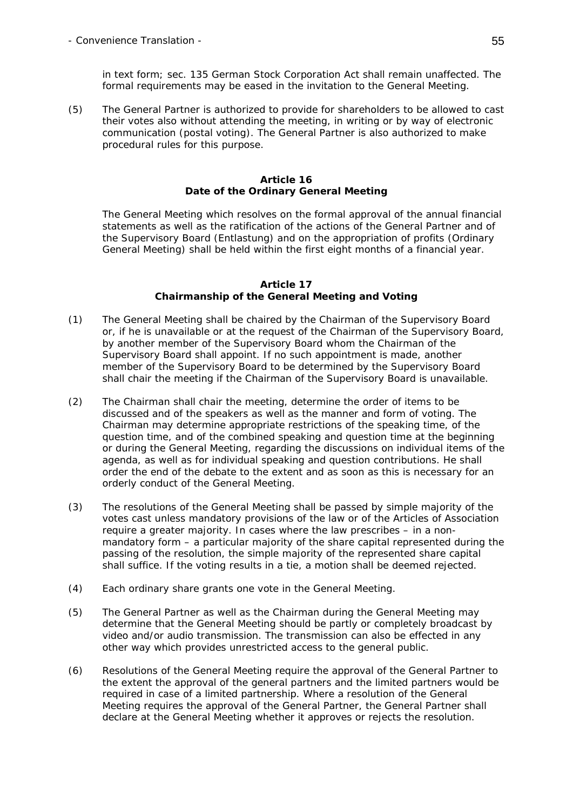in text form; sec. 135 German Stock Corporation Act shall remain unaffected. The formal requirements may be eased in the invitation to the General Meeting.

(5) The General Partner is authorized to provide for shareholders to be allowed to cast their votes also without attending the meeting, in writing or by way of electronic communication (postal voting). The General Partner is also authorized to make procedural rules for this purpose.

### **Article 16 Date of the Ordinary General Meeting**

The General Meeting which resolves on the formal approval of the annual financial statements as well as the ratification of the actions of the General Partner and of the Supervisory Board (*Entlastung*) and on the appropriation of profits (Ordinary General Meeting) shall be held within the first eight months of a financial year.

#### **Article 17 Chairmanship of the General Meeting and Voting**

- (1) The General Meeting shall be chaired by the Chairman of the Supervisory Board or, if he is unavailable or at the request of the Chairman of the Supervisory Board, by another member of the Supervisory Board whom the Chairman of the Supervisory Board shall appoint. If no such appointment is made, another member of the Supervisory Board to be determined by the Supervisory Board shall chair the meeting if the Chairman of the Supervisory Board is unavailable.
- (2) The Chairman shall chair the meeting, determine the order of items to be discussed and of the speakers as well as the manner and form of voting. The Chairman may determine appropriate restrictions of the speaking time, of the question time, and of the combined speaking and question time at the beginning or during the General Meeting, regarding the discussions on individual items of the agenda, as well as for individual speaking and question contributions. He shall order the end of the debate to the extent and as soon as this is necessary for an orderly conduct of the General Meeting.
- (3) The resolutions of the General Meeting shall be passed by simple majority of the votes cast unless mandatory provisions of the law or of the Articles of Association require a greater majority. In cases where the law prescribes – in a nonmandatory form – a particular majority of the share capital represented during the passing of the resolution, the simple majority of the represented share capital shall suffice. If the voting results in a tie, a motion shall be deemed rejected.
- (4) Each ordinary share grants one vote in the General Meeting.
- (5) The General Partner as well as the Chairman during the General Meeting may determine that the General Meeting should be partly or completely broadcast by video and/or audio transmission. The transmission can also be effected in any other way which provides unrestricted access to the general public.
- (6) Resolutions of the General Meeting require the approval of the General Partner to the extent the approval of the general partners and the limited partners would be required in case of a limited partnership. Where a resolution of the General Meeting requires the approval of the General Partner, the General Partner shall declare at the General Meeting whether it approves or rejects the resolution.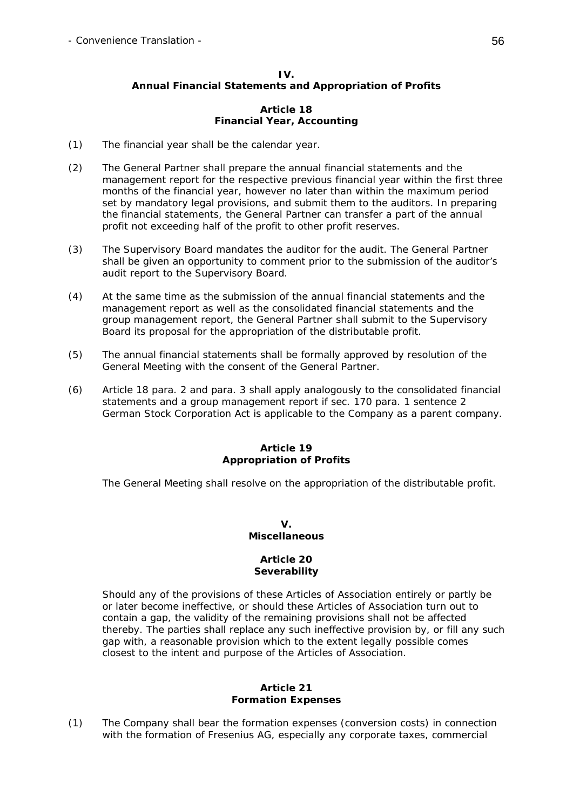### **IV. Annual Financial Statements and Appropriation of Profits**

### **Article 18 Financial Year, Accounting**

- (1) The financial year shall be the calendar year.
- (2) The General Partner shall prepare the annual financial statements and the management report for the respective previous financial year within the first three months of the financial year, however no later than within the maximum period set by mandatory legal provisions, and submit them to the auditors. In preparing the financial statements, the General Partner can transfer a part of the annual profit not exceeding half of the profit to other profit reserves.
- (3) The Supervisory Board mandates the auditor for the audit. The General Partner shall be given an opportunity to comment prior to the submission of the auditor's audit report to the Supervisory Board.
- (4) At the same time as the submission of the annual financial statements and the management report as well as the consolidated financial statements and the group management report, the General Partner shall submit to the Supervisory Board its proposal for the appropriation of the distributable profit.
- (5) The annual financial statements shall be formally approved by resolution of the General Meeting with the consent of the General Partner.
- (6) Article 18 para. 2 and para. 3 shall apply analogously to the consolidated financial statements and a group management report if sec. 170 para. 1 sentence 2 German Stock Corporation Act is applicable to the Company as a parent company.

### **Article 19 Appropriation of Profits**

The General Meeting shall resolve on the appropriation of the distributable profit.

# **V. Miscellaneous**

### **Article 20 Severability**

 Should any of the provisions of these Articles of Association entirely or partly be or later become ineffective, or should these Articles of Association turn out to contain a gap, the validity of the remaining provisions shall not be affected thereby. The parties shall replace any such ineffective provision by, or fill any such gap with, a reasonable provision which to the extent legally possible comes closest to the intent and purpose of the Articles of Association.

### **Article 21 Formation Expenses**

(1) The Company shall bear the formation expenses (conversion costs) in connection with the formation of Fresenius AG, especially any corporate taxes, commercial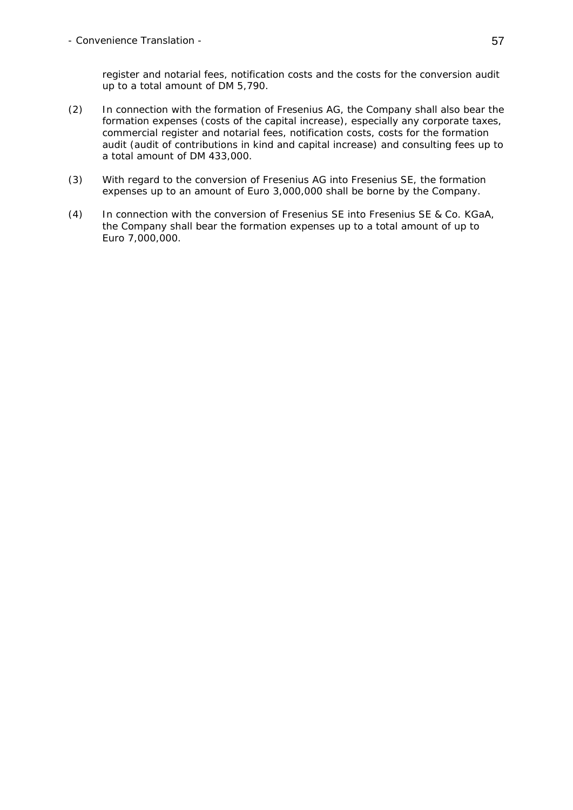register and notarial fees, notification costs and the costs for the conversion audit up to a total amount of DM 5,790.

- (2) In connection with the formation of Fresenius AG, the Company shall also bear the formation expenses (costs of the capital increase), especially any corporate taxes, commercial register and notarial fees, notification costs, costs for the formation audit (audit of contributions in kind and capital increase) and consulting fees up to a total amount of DM 433,000.
- (3) With regard to the conversion of Fresenius AG into Fresenius SE, the formation expenses up to an amount of Euro 3,000,000 shall be borne by the Company.
- (4) In connection with the conversion of Fresenius SE into Fresenius SE & Co. KGaA, the Company shall bear the formation expenses up to a total amount of up to Euro 7,000,000.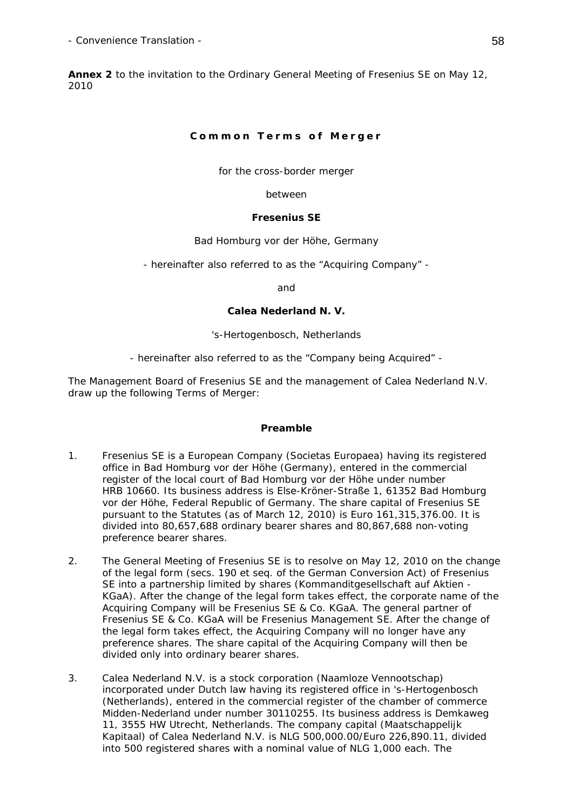**Annex 2** to the invitation to the Ordinary General Meeting of Fresenius SE on May 12, 2010

# **Common Terms of Merger**

for the cross-border merger

between

# **Fresenius SE**

Bad Homburg vor der Höhe, Germany

- hereinafter also referred to as the "Acquiring Company" -

and

# **Calea Nederland N. V.**

's-Hertogenbosch, Netherlands

- hereinafter also referred to as the "Company being Acquired" -

The Management Board of Fresenius SE and the management of Calea Nederland N.V. draw up the following Terms of Merger:

# **Preamble**

- 1. Fresenius SE is a European Company (*Societas Europaea*) having its registered office in Bad Homburg vor der Höhe (Germany), entered in the commercial register of the local court of Bad Homburg vor der Höhe under number HRB 10660. Its business address is Else-Kröner-Straße 1, 61352 Bad Homburg vor der Höhe, Federal Republic of Germany. The share capital of Fresenius SE pursuant to the Statutes (as of March 12, 2010) is Euro 161,315,376.00. It is divided into 80,657,688 ordinary bearer shares and 80,867,688 non-voting preference bearer shares.
- 2. The General Meeting of Fresenius SE is to resolve on May 12, 2010 on the change of the legal form (secs. 190 et seq. of the German Conversion Act) of Fresenius SE into a partnership limited by shares (*Kommanditgesellschaft auf Aktien - KGaA*). After the change of the legal form takes effect, the corporate name of the Acquiring Company will be Fresenius SE & Co. KGaA. The general partner of Fresenius SE & Co. KGaA will be Fresenius Management SE. After the change of the legal form takes effect, the Acquiring Company will no longer have any preference shares. The share capital of the Acquiring Company will then be divided only into ordinary bearer shares.
- 3. Calea Nederland N.V. is a stock corporation (*Naamloze Vennootschap*) incorporated under Dutch law having its registered office in 's-Hertogenbosch (Netherlands), entered in the commercial register of the chamber of commerce Midden-Nederland under number 30110255. Its business address is Demkaweg 11, 3555 HW Utrecht, Netherlands. The company capital (*Maatschappelijk Kapitaal*) of Calea Nederland N.V. is NLG 500,000.00/Euro 226,890.11, divided into 500 registered shares with a nominal value of NLG 1,000 each. The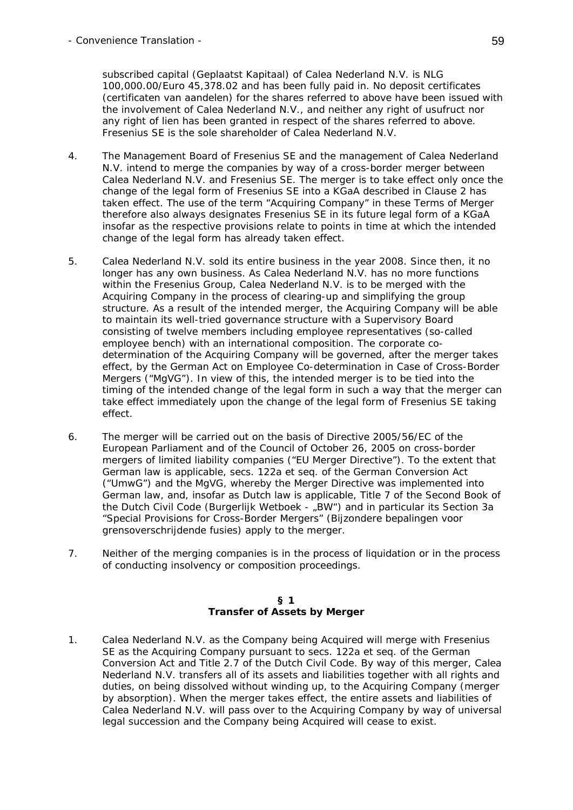subscribed capital (*Geplaatst Kapitaal*) of Calea Nederland N.V. is NLG 100,000.00/Euro 45,378.02 and has been fully paid in. No deposit certificates (*certificaten van aandelen*) for the shares referred to above have been issued with the involvement of Calea Nederland N.V., and neither any right of usufruct nor any right of lien has been granted in respect of the shares referred to above. Fresenius SE is the sole shareholder of Calea Nederland N.V.

- 4. The Management Board of Fresenius SE and the management of Calea Nederland N.V. intend to merge the companies by way of a cross-border merger between Calea Nederland N.V. and Fresenius SE. The merger is to take effect only once the change of the legal form of Fresenius SE into a KGaA described in Clause 2 has taken effect. The use of the term "Acquiring Company" in these Terms of Merger therefore also always designates Fresenius SE in its future legal form of a KGaA insofar as the respective provisions relate to points in time at which the intended change of the legal form has already taken effect.
- 5. Calea Nederland N.V. sold its entire business in the year 2008. Since then, it no longer has any own business. As Calea Nederland N.V. has no more functions within the Fresenius Group, Calea Nederland N.V. is to be merged with the Acquiring Company in the process of clearing-up and simplifying the group structure. As a result of the intended merger, the Acquiring Company will be able to maintain its well-tried governance structure with a Supervisory Board consisting of twelve members including employee representatives (so-called employee bench) with an international composition. The corporate codetermination of the Acquiring Company will be governed, after the merger takes effect, by the German Act on Employee Co-determination in Case of Cross-Border Mergers ("*MgVG*"). In view of this, the intended merger is to be tied into the timing of the intended change of the legal form in such a way that the merger can take effect immediately upon the change of the legal form of Fresenius SE taking effect.
- 6. The merger will be carried out on the basis of Directive 2005/56/EC of the European Parliament and of the Council of October 26, 2005 on cross-border mergers of limited liability companies ("*EU Merger Directive*"). To the extent that German law is applicable, secs. 122a et seq. of the German Conversion Act ("*UmwG*") and the MgVG, whereby the Merger Directive was implemented into German law, and, insofar as Dutch law is applicable, Title 7 of the Second Book of the Dutch Civil Code (*Burgerlijk Wetboek - "BW*") and in particular its Section 3a "Special Provisions for Cross-Border Mergers" (*Bijzondere bepalingen voor grensoverschrijdende fusies*) apply to the merger.
- 7. Neither of the merging companies is in the process of liquidation or in the process of conducting insolvency or composition proceedings.

#### **§ 1 Transfer of Assets by Merger**

1. Calea Nederland N.V. as the Company being Acquired will merge with Fresenius SE as the Acquiring Company pursuant to secs. 122a et seq. of the German Conversion Act and Title 2.7 of the Dutch Civil Code. By way of this merger, Calea Nederland N.V. transfers all of its assets and liabilities together with all rights and duties, on being dissolved without winding up, to the Acquiring Company (merger by absorption). When the merger takes effect, the entire assets and liabilities of Calea Nederland N.V. will pass over to the Acquiring Company by way of universal legal succession and the Company being Acquired will cease to exist.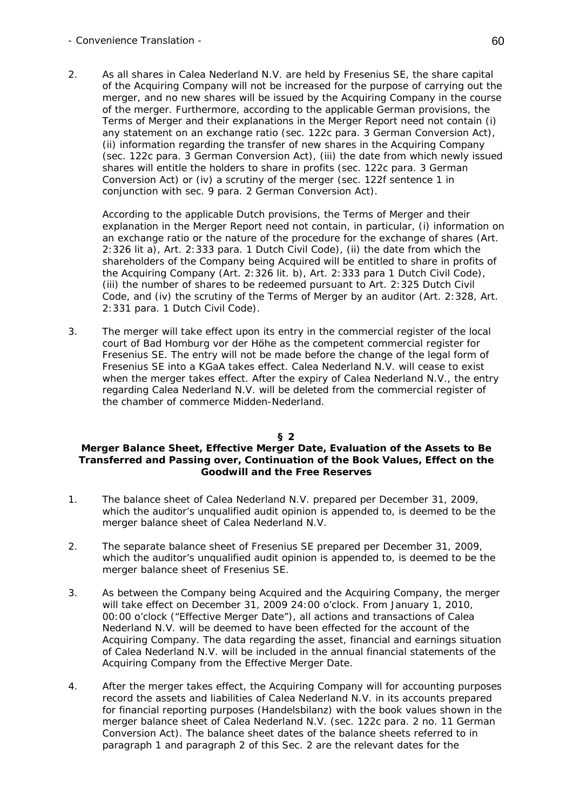### - Convenience Translation - 60

2. As all shares in Calea Nederland N.V. are held by Fresenius SE, the share capital of the Acquiring Company will not be increased for the purpose of carrying out the merger, and no new shares will be issued by the Acquiring Company in the course of the merger. Furthermore, according to the applicable German provisions, the Terms of Merger and their explanations in the Merger Report need not contain (i) any statement on an exchange ratio (sec. 122c para. 3 German Conversion Act), (ii) information regarding the transfer of new shares in the Acquiring Company (sec. 122c para. 3 German Conversion Act), (iii) the date from which newly issued shares will entitle the holders to share in profits (sec. 122c para. 3 German Conversion Act) or (iv) a scrutiny of the merger (sec. 122f sentence 1 in conjunction with sec. 9 para. 2 German Conversion Act).

 According to the applicable Dutch provisions, the Terms of Merger and their explanation in the Merger Report need not contain, in particular, (i) information on an exchange ratio or the nature of the procedure for the exchange of shares (Art. 2:326 lit a), Art. 2:333 para. 1 Dutch Civil Code), (ii) the date from which the shareholders of the Company being Acquired will be entitled to share in profits of the Acquiring Company (Art. 2:326 lit. b), Art. 2:333 para 1 Dutch Civil Code), (iii) the number of shares to be redeemed pursuant to Art. 2:325 Dutch Civil Code, and (iv) the scrutiny of the Terms of Merger by an auditor (Art. 2:328, Art. 2:331 para. 1 Dutch Civil Code).

3. The merger will take effect upon its entry in the commercial register of the local court of Bad Homburg vor der Höhe as the competent commercial register for Fresenius SE. The entry will not be made before the change of the legal form of Fresenius SE into a KGaA takes effect. Calea Nederland N.V. will cease to exist when the merger takes effect. After the expiry of Calea Nederland N.V., the entry regarding Calea Nederland N.V. will be deleted from the commercial register of the chamber of commerce Midden-Nederland.

### **§ 2**

### **Merger Balance Sheet, Effective Merger Date, Evaluation of the Assets to Be Transferred and Passing over, Continuation of the Book Values, Effect on the Goodwill and the Free Reserves**

- 1. The balance sheet of Calea Nederland N.V. prepared per December 31, 2009, which the auditor's unqualified audit opinion is appended to, is deemed to be the merger balance sheet of Calea Nederland N.V.
- 2. The separate balance sheet of Fresenius SE prepared per December 31, 2009, which the auditor's unqualified audit opinion is appended to, is deemed to be the merger balance sheet of Fresenius SE.
- 3. As between the Company being Acquired and the Acquiring Company, the merger will take effect on December 31, 2009 24:00 o'clock. From January 1, 2010, 00:00 o'clock ("*Effective Merger Date*"), all actions and transactions of Calea Nederland N.V. will be deemed to have been effected for the account of the Acquiring Company. The data regarding the asset, financial and earnings situation of Calea Nederland N.V. will be included in the annual financial statements of the Acquiring Company from the Effective Merger Date.
- 4. After the merger takes effect, the Acquiring Company will for accounting purposes record the assets and liabilities of Calea Nederland N.V. in its accounts prepared for financial reporting purposes (*Handelsbilanz*) with the book values shown in the merger balance sheet of Calea Nederland N.V. (sec. 122c para. 2 no. 11 German Conversion Act). The balance sheet dates of the balance sheets referred to in paragraph 1 and paragraph 2 of this Sec. 2 are the relevant dates for the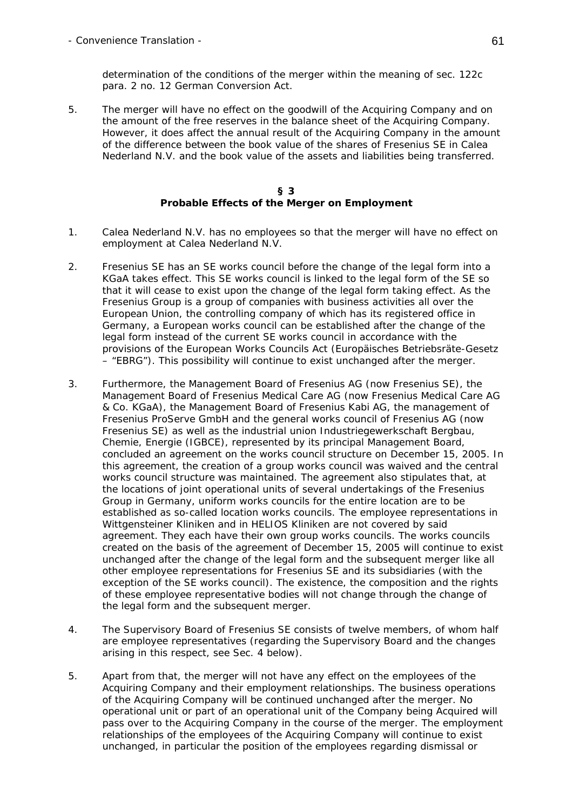determination of the conditions of the merger within the meaning of sec. 122c para. 2 no. 12 German Conversion Act.

5. The merger will have no effect on the goodwill of the Acquiring Company and on the amount of the free reserves in the balance sheet of the Acquiring Company. However, it does affect the annual result of the Acquiring Company in the amount of the difference between the book value of the shares of Fresenius SE in Calea Nederland N.V. and the book value of the assets and liabilities being transferred.

#### **§ 3 Probable Effects of the Merger on Employment**

- 1. Calea Nederland N.V. has no employees so that the merger will have no effect on employment at Calea Nederland N.V.
- 2. Fresenius SE has an SE works council before the change of the legal form into a KGaA takes effect. This SE works council is linked to the legal form of the SE so that it will cease to exist upon the change of the legal form taking effect. As the Fresenius Group is a group of companies with business activities all over the European Union, the controlling company of which has its registered office in Germany, a European works council can be established after the change of the legal form instead of the current SE works council in accordance with the provisions of the European Works Councils Act *(Europäisches Betriebsräte-Gesetz* – "*EBRG*"). This possibility will continue to exist unchanged after the merger.
- 3. Furthermore, the Management Board of Fresenius AG (now Fresenius SE), the Management Board of Fresenius Medical Care AG (now Fresenius Medical Care AG & Co. KGaA), the Management Board of Fresenius Kabi AG, the management of Fresenius ProServe GmbH and the general works council of Fresenius AG (now Fresenius SE) as well as the industrial union Industriegewerkschaft Bergbau, Chemie, Energie (IGBCE), represented by its principal Management Board, concluded an agreement on the works council structure on December 15, 2005. In this agreement, the creation of a group works council was waived and the central works council structure was maintained. The agreement also stipulates that, at the locations of joint operational units of several undertakings of the Fresenius Group in Germany, uniform works councils for the entire location are to be established as so-called location works councils. The employee representations in Wittgensteiner Kliniken and in HELIOS Kliniken are not covered by said agreement. They each have their own group works councils. The works councils created on the basis of the agreement of December 15, 2005 will continue to exist unchanged after the change of the legal form and the subsequent merger like all other employee representations for Fresenius SE and its subsidiaries (with the exception of the SE works council). The existence, the composition and the rights of these employee representative bodies will not change through the change of the legal form and the subsequent merger.
- 4. The Supervisory Board of Fresenius SE consists of twelve members, of whom half are employee representatives (regarding the Supervisory Board and the changes arising in this respect, see Sec. 4 below).
- 5. Apart from that, the merger will not have any effect on the employees of the Acquiring Company and their employment relationships. The business operations of the Acquiring Company will be continued unchanged after the merger. No operational unit or part of an operational unit of the Company being Acquired will pass over to the Acquiring Company in the course of the merger. The employment relationships of the employees of the Acquiring Company will continue to exist unchanged, in particular the position of the employees regarding dismissal or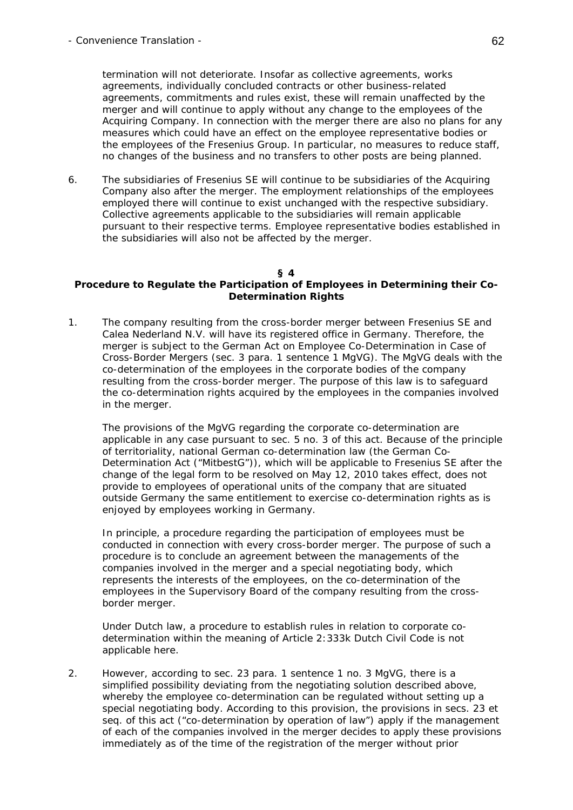termination will not deteriorate. Insofar as collective agreements, works agreements, individually concluded contracts or other business-related agreements, commitments and rules exist, these will remain unaffected by the merger and will continue to apply without any change to the employees of the Acquiring Company. In connection with the merger there are also no plans for any measures which could have an effect on the employee representative bodies or the employees of the Fresenius Group. In particular, no measures to reduce staff, no changes of the business and no transfers to other posts are being planned.

6. The subsidiaries of Fresenius SE will continue to be subsidiaries of the Acquiring Company also after the merger. The employment relationships of the employees employed there will continue to exist unchanged with the respective subsidiary. Collective agreements applicable to the subsidiaries will remain applicable pursuant to their respective terms. Employee representative bodies established in the subsidiaries will also not be affected by the merger.

### **§ 4**

# **Procedure to Regulate the Participation of Employees in Determining their Co-Determination Rights**

1. The company resulting from the cross-border merger between Fresenius SE and Calea Nederland N.V. will have its registered office in Germany. Therefore, the merger is subject to the German Act on Employee Co-Determination in Case of Cross-Border Mergers (sec. 3 para. 1 sentence 1 MgVG). The MgVG deals with the co-determination of the employees in the corporate bodies of the company resulting from the cross-border merger. The purpose of this law is to safeguard the co-determination rights acquired by the employees in the companies involved in the merger.

 The provisions of the MgVG regarding the corporate co-determination are applicable in any case pursuant to sec. 5 no. 3 of this act. Because of the principle of territoriality, national German co-determination law (the German Co-Determination Act ("*MitbestG*")), which will be applicable to Fresenius SE after the change of the legal form to be resolved on May 12, 2010 takes effect, does not provide to employees of operational units of the company that are situated outside Germany the same entitlement to exercise co-determination rights as is enjoyed by employees working in Germany.

 In principle, a procedure regarding the participation of employees must be conducted in connection with every cross-border merger. The purpose of such a procedure is to conclude an agreement between the managements of the companies involved in the merger and a special negotiating body, which represents the interests of the employees, on the co-determination of the employees in the Supervisory Board of the company resulting from the crossborder merger.

 Under Dutch law, a procedure to establish rules in relation to corporate codetermination within the meaning of Article 2:333k Dutch Civil Code is not applicable here.

2. However, according to sec. 23 para. 1 sentence 1 no. 3 MgVG, there is a simplified possibility deviating from the negotiating solution described above, whereby the employee co-determination can be regulated without setting up a special negotiating body. According to this provision, the provisions in secs. 23 et seq. of this act ("*co-determination by operation of law*") apply if the management of each of the companies involved in the merger decides to apply these provisions immediately as of the time of the registration of the merger without prior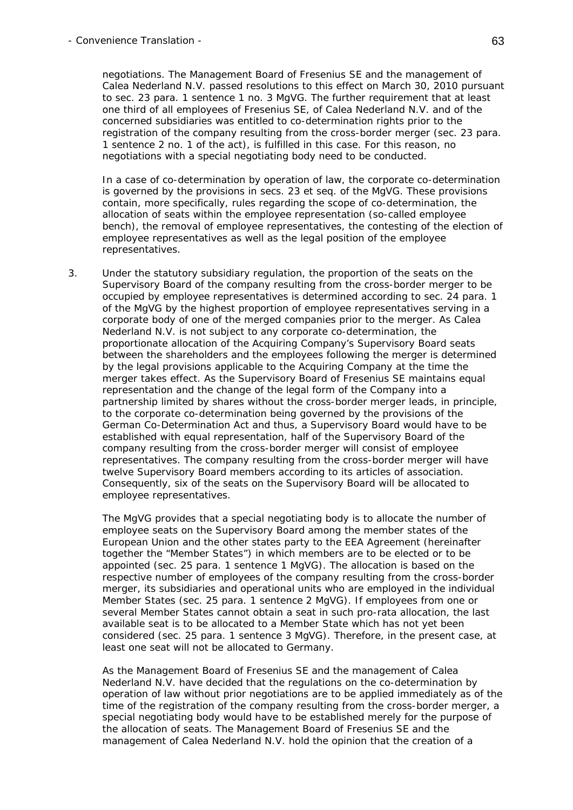negotiations. The Management Board of Fresenius SE and the management of Calea Nederland N.V. passed resolutions to this effect on March 30, 2010 pursuant to sec. 23 para. 1 sentence 1 no. 3 MgVG. The further requirement that at least one third of all employees of Fresenius SE, of Calea Nederland N.V. and of the concerned subsidiaries was entitled to co-determination rights prior to the registration of the company resulting from the cross-border merger (sec. 23 para. 1 sentence 2 no. 1 of the act), is fulfilled in this case. For this reason, no negotiations with a special negotiating body need to be conducted.

 In a case of co-determination by operation of law, the corporate co-determination is governed by the provisions in secs. 23 et seq. of the MgVG. These provisions contain, more specifically, rules regarding the scope of co-determination, the allocation of seats within the employee representation (so-called employee bench), the removal of employee representatives, the contesting of the election of employee representatives as well as the legal position of the employee representatives.

3. Under the statutory subsidiary regulation, the proportion of the seats on the Supervisory Board of the company resulting from the cross-border merger to be occupied by employee representatives is determined according to sec. 24 para. 1 of the MgVG by the highest proportion of employee representatives serving in a corporate body of one of the merged companies prior to the merger. As Calea Nederland N.V. is not subject to any corporate co-determination, the proportionate allocation of the Acquiring Company's Supervisory Board seats between the shareholders and the employees following the merger is determined by the legal provisions applicable to the Acquiring Company at the time the merger takes effect. As the Supervisory Board of Fresenius SE maintains equal representation and the change of the legal form of the Company into a partnership limited by shares without the cross-border merger leads, in principle, to the corporate co-determination being governed by the provisions of the German Co-Determination Act and thus, a Supervisory Board would have to be established with equal representation, half of the Supervisory Board of the company resulting from the cross-border merger will consist of employee representatives. The company resulting from the cross-border merger will have twelve Supervisory Board members according to its articles of association. Consequently, six of the seats on the Supervisory Board will be allocated to employee representatives.

 The MgVG provides that a special negotiating body is to allocate the number of employee seats on the Supervisory Board among the member states of the European Union and the other states party to the EEA Agreement (hereinafter together the "*Member States*") in which members are to be elected or to be appointed (sec. 25 para. 1 sentence 1 MgVG). The allocation is based on the respective number of employees of the company resulting from the cross-border merger, its subsidiaries and operational units who are employed in the individual Member States (sec. 25 para. 1 sentence 2 MgVG). If employees from one or several Member States cannot obtain a seat in such pro-rata allocation, the last available seat is to be allocated to a Member State which has not yet been considered (sec. 25 para. 1 sentence 3 MgVG). Therefore, in the present case, at least one seat will not be allocated to Germany.

 As the Management Board of Fresenius SE and the management of Calea Nederland N.V. have decided that the regulations on the co-determination by operation of law without prior negotiations are to be applied immediately as of the time of the registration of the company resulting from the cross-border merger, a special negotiating body would have to be established merely for the purpose of the allocation of seats. The Management Board of Fresenius SE and the management of Calea Nederland N.V. hold the opinion that the creation of a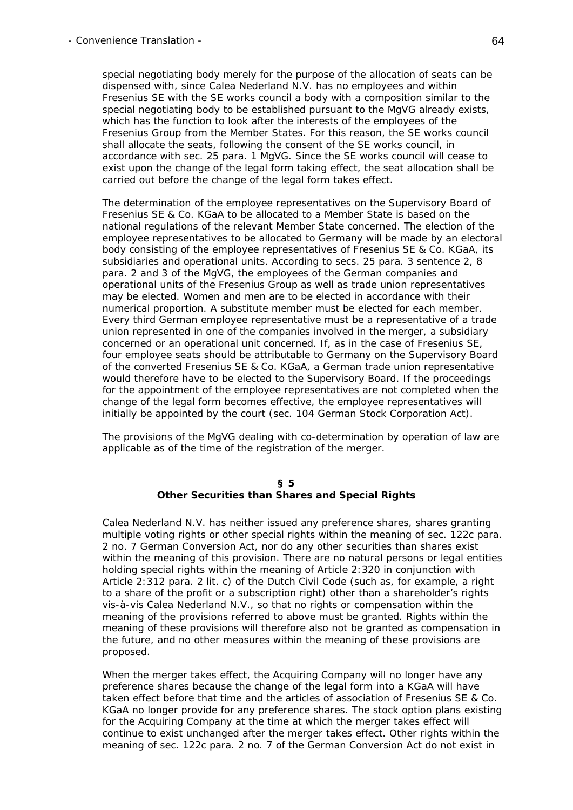special negotiating body merely for the purpose of the allocation of seats can be dispensed with, since Calea Nederland N.V. has no employees and within Fresenius SE with the SE works council a body with a composition similar to the special negotiating body to be established pursuant to the MgVG already exists, which has the function to look after the interests of the employees of the Fresenius Group from the Member States. For this reason, the SE works council shall allocate the seats, following the consent of the SE works council, in accordance with sec. 25 para. 1 MgVG. Since the SE works council will cease to exist upon the change of the legal form taking effect, the seat allocation shall be carried out before the change of the legal form takes effect.

 The determination of the employee representatives on the Supervisory Board of Fresenius SE & Co. KGaA to be allocated to a Member State is based on the national regulations of the relevant Member State concerned. The election of the employee representatives to be allocated to Germany will be made by an electoral body consisting of the employee representatives of Fresenius SE & Co. KGaA, its subsidiaries and operational units. According to secs. 25 para. 3 sentence 2, 8 para. 2 and 3 of the MgVG, the employees of the German companies and operational units of the Fresenius Group as well as trade union representatives may be elected. Women and men are to be elected in accordance with their numerical proportion. A substitute member must be elected for each member. Every third German employee representative must be a representative of a trade union represented in one of the companies involved in the merger, a subsidiary concerned or an operational unit concerned. If, as in the case of Fresenius SE, four employee seats should be attributable to Germany on the Supervisory Board of the converted Fresenius SE & Co. KGaA, a German trade union representative would therefore have to be elected to the Supervisory Board. If the proceedings for the appointment of the employee representatives are not completed when the change of the legal form becomes effective, the employee representatives will initially be appointed by the court (sec. 104 German Stock Corporation Act).

 The provisions of the MgVG dealing with co-determination by operation of law are applicable as of the time of the registration of the merger.

#### **§ 5 Other Securities than Shares and Special Rights**

 Calea Nederland N.V. has neither issued any preference shares, shares granting multiple voting rights or other special rights within the meaning of sec. 122c para. 2 no. 7 German Conversion Act, nor do any other securities than shares exist within the meaning of this provision. There are no natural persons or legal entities holding special rights within the meaning of Article 2:320 in conjunction with Article 2:312 para. 2 lit. c) of the Dutch Civil Code (such as, for example, a right to a share of the profit or a subscription right) other than a shareholder's rights vis-à-vis Calea Nederland N.V., so that no rights or compensation within the meaning of the provisions referred to above must be granted. Rights within the meaning of these provisions will therefore also not be granted as compensation in the future, and no other measures within the meaning of these provisions are proposed.

 When the merger takes effect, the Acquiring Company will no longer have any preference shares because the change of the legal form into a KGaA will have taken effect before that time and the articles of association of Fresenius SE & Co. KGaA no longer provide for any preference shares. The stock option plans existing for the Acquiring Company at the time at which the merger takes effect will continue to exist unchanged after the merger takes effect. Other rights within the meaning of sec. 122c para. 2 no. 7 of the German Conversion Act do not exist in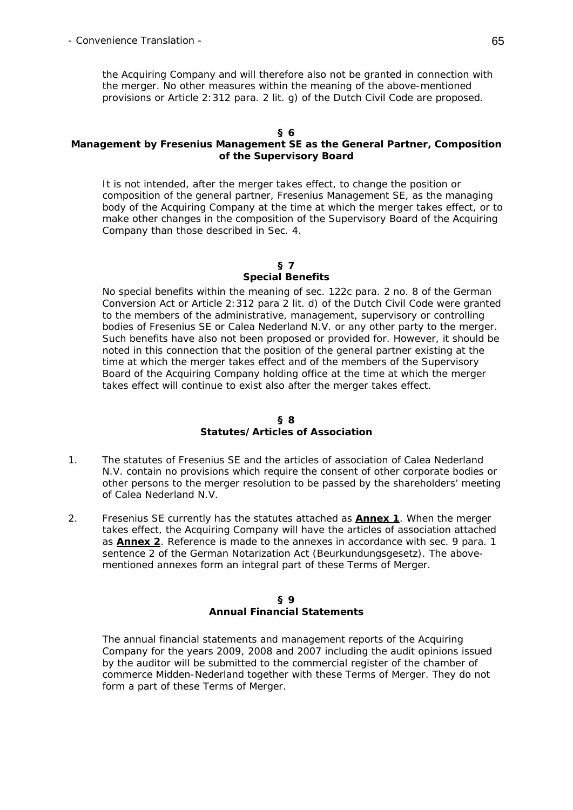the Acquiring Company and will therefore also not be granted in connection with the merger. No other measures within the meaning of the above-mentioned provisions or Article 2:312 para. 2 lit. g) of the Dutch Civil Code are proposed.

#### **§ 6**

# **Management by Fresenius Management SE as the General Partner, Composition of the Supervisory Board**

 It is not intended, after the merger takes effect, to change the position or composition of the general partner, Fresenius Management SE, as the managing body of the Acquiring Company at the time at which the merger takes effect, or to make other changes in the composition of the Supervisory Board of the Acquiring Company than those described in Sec. 4.

#### **§ 7 Special Benefits**

 No special benefits within the meaning of sec. 122c para. 2 no. 8 of the German Conversion Act or Article 2:312 para 2 lit. d) of the Dutch Civil Code were granted to the members of the administrative, management, supervisory or controlling bodies of Fresenius SE or Calea Nederland N.V. or any other party to the merger. Such benefits have also not been proposed or provided for. However, it should be noted in this connection that the position of the general partner existing at the time at which the merger takes effect and of the members of the Supervisory Board of the Acquiring Company holding office at the time at which the merger takes effect will continue to exist also after the merger takes effect.

#### **§ 8 Statutes/Articles of Association**

- 1. The statutes of Fresenius SE and the articles of association of Calea Nederland N.V. contain no provisions which require the consent of other corporate bodies or other persons to the merger resolution to be passed by the shareholders' meeting of Calea Nederland N.V.
- 2. Fresenius SE currently has the statutes attached as **Annex 1**. When the merger takes effect, the Acquiring Company will have the articles of association attached as **Annex 2**. Reference is made to the annexes in accordance with sec. 9 para. 1 sentence 2 of the German Notarization Act (*Beurkundungsgesetz*). The abovementioned annexes form an integral part of these Terms of Merger.

#### **§ 9 Annual Financial Statements**

 The annual financial statements and management reports of the Acquiring Company for the years 2009, 2008 and 2007 including the audit opinions issued by the auditor will be submitted to the commercial register of the chamber of commerce Midden-Nederland together with these Terms of Merger. They do not form a part of these Terms of Merger.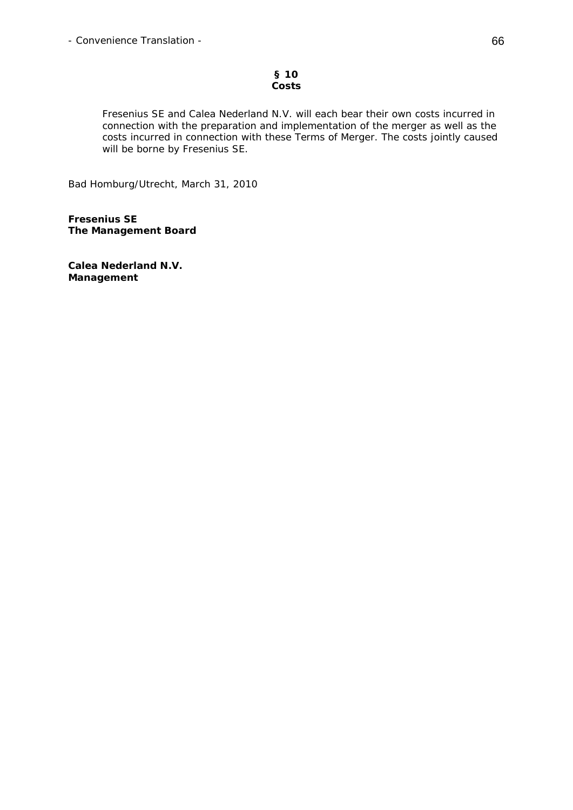### **§ 10 Costs**

 Fresenius SE and Calea Nederland N.V. will each bear their own costs incurred in connection with the preparation and implementation of the merger as well as the costs incurred in connection with these Terms of Merger. The costs jointly caused will be borne by Fresenius SE.

Bad Homburg/Utrecht, March 31, 2010

**Fresenius SE The Management Board** 

**Calea Nederland N.V. Management**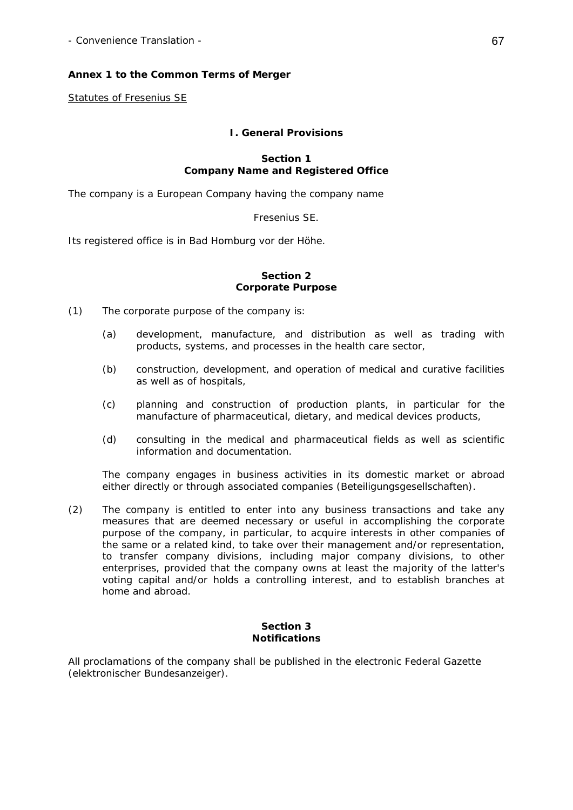# **Annex 1 to the Common Terms of Merger**

Statutes of Fresenius SE

## **I. General Provisions**

### **Section 1 Company Name and Registered Office**

The company is a European Company having the company name

Fresenius SE.

Its registered office is in Bad Homburg vor der Höhe.

#### **Section 2 Corporate Purpose**

- (1) The corporate purpose of the company is:
	- (a) development, manufacture, and distribution as well as trading with products, systems, and processes in the health care sector,
	- (b) construction, development, and operation of medical and curative facilities as well as of hospitals,
	- (c) planning and construction of production plants, in particular for the manufacture of pharmaceutical, dietary, and medical devices products,
	- (d) consulting in the medical and pharmaceutical fields as well as scientific information and documentation.

 The company engages in business activities in its domestic market or abroad either directly or through associated companies (*Beteiligungsgesellschaften*).

(2) The company is entitled to enter into any business transactions and take any measures that are deemed necessary or useful in accomplishing the corporate purpose of the company, in particular, to acquire interests in other companies of the same or a related kind, to take over their management and/or representation, to transfer company divisions, including major company divisions, to other enterprises, provided that the company owns at least the majority of the latter's voting capital and/or holds a controlling interest, and to establish branches at home and abroad.

### **Section 3 Notifications**

All proclamations of the company shall be published in the electronic Federal Gazette (*elektronischer Bundesanzeiger*).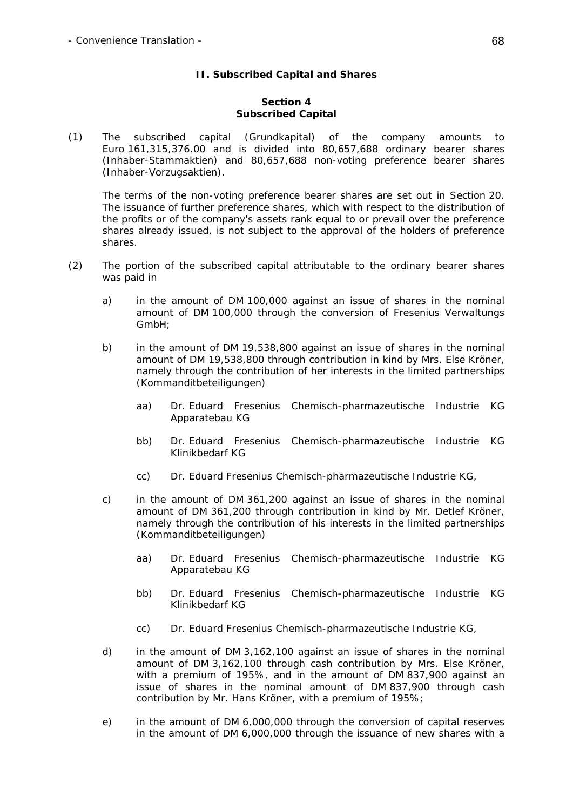# **II. Subscribed Capital and Shares**

### **Section 4 Subscribed Capital**

(1) The subscribed capital (*Grundkapital*) of the company amounts to Euro 161,315,376.00 and is divided into 80,657,688 ordinary bearer shares (*Inhaber-Stammaktien*) and 80,657,688 non-voting preference bearer shares (*Inhaber-Vorzugsaktien*).

 The terms of the non-voting preference bearer shares are set out in Section 20. The issuance of further preference shares, which with respect to the distribution of the profits or of the company's assets rank equal to or prevail over the preference shares already issued, is not subject to the approval of the holders of preference shares.

- (2) The portion of the subscribed capital attributable to the ordinary bearer shares was paid in
	- a) in the amount of DM 100,000 against an issue of shares in the nominal amount of DM 100,000 through the conversion of Fresenius Verwaltungs GmbH;
	- b) in the amount of DM 19,538,800 against an issue of shares in the nominal amount of DM 19,538,800 through contribution in kind by Mrs. Else Kröner, namely through the contribution of her interests in the limited partnerships (*Kommanditbeteiligungen*)
		- aa) Dr. Eduard Fresenius Chemisch-pharmazeutische Industrie KG Apparatebau KG
		- bb) Dr. Eduard Fresenius Chemisch-pharmazeutische Industrie KG Klinikbedarf KG
		- cc) Dr. Eduard Fresenius Chemisch-pharmazeutische Industrie KG,
	- c) in the amount of DM 361,200 against an issue of shares in the nominal amount of DM 361,200 through contribution in kind by Mr. Detlef Kröner, namely through the contribution of his interests in the limited partnerships (*Kommanditbeteiligungen*)
		- aa) Dr. Eduard Fresenius Chemisch-pharmazeutische Industrie KG Apparatebau KG
		- bb) Dr. Eduard Fresenius Chemisch-pharmazeutische Industrie KG Klinikbedarf KG
		- cc) Dr. Eduard Fresenius Chemisch-pharmazeutische Industrie KG,
	- d) in the amount of DM 3,162,100 against an issue of shares in the nominal amount of DM 3,162,100 through cash contribution by Mrs. Else Kröner, with a premium of 195%, and in the amount of DM 837,900 against an issue of shares in the nominal amount of DM 837,900 through cash contribution by Mr. Hans Kröner, with a premium of 195%;
	- e) in the amount of DM 6,000,000 through the conversion of capital reserves in the amount of DM 6,000,000 through the issuance of new shares with a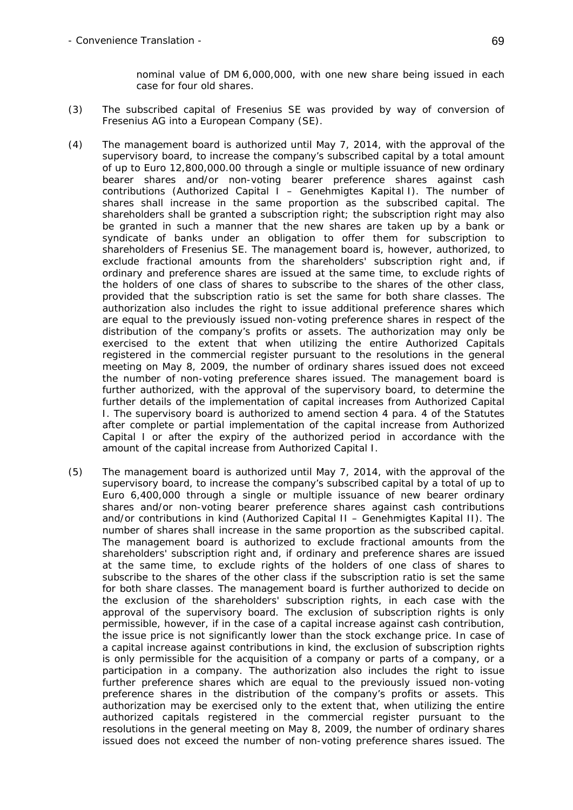nominal value of DM 6,000,000, with one new share being issued in each case for four old shares.

- (3) The subscribed capital of Fresenius SE was provided by way of conversion of Fresenius AG into a European Company (SE).
- (4) The management board is authorized until May 7, 2014, with the approval of the supervisory board, to increase the company's subscribed capital by a total amount of up to Euro 12,800,000.00 through a single or multiple issuance of new ordinary bearer shares and/or non-voting bearer preference shares against cash contributions (Authorized Capital I – *Genehmigtes Kapital I*). The number of shares shall increase in the same proportion as the subscribed capital. The shareholders shall be granted a subscription right; the subscription right may also be granted in such a manner that the new shares are taken up by a bank or syndicate of banks under an obligation to offer them for subscription to shareholders of Fresenius SE. The management board is, however, authorized, to exclude fractional amounts from the shareholders' subscription right and, if ordinary and preference shares are issued at the same time, to exclude rights of the holders of one class of shares to subscribe to the shares of the other class, provided that the subscription ratio is set the same for both share classes. The authorization also includes the right to issue additional preference shares which are equal to the previously issued non-voting preference shares in respect of the distribution of the company's profits or assets. The authorization may only be exercised to the extent that when utilizing the entire Authorized Capitals registered in the commercial register pursuant to the resolutions in the general meeting on May 8, 2009, the number of ordinary shares issued does not exceed the number of non-voting preference shares issued. The management board is further authorized, with the approval of the supervisory board, to determine the further details of the implementation of capital increases from Authorized Capital I. The supervisory board is authorized to amend section 4 para. 4 of the Statutes after complete or partial implementation of the capital increase from Authorized Capital I or after the expiry of the authorized period in accordance with the amount of the capital increase from Authorized Capital I.
- (5) The management board is authorized until May 7, 2014, with the approval of the supervisory board, to increase the company's subscribed capital by a total of up to Euro 6,400,000 through a single or multiple issuance of new bearer ordinary shares and/or non-voting bearer preference shares against cash contributions and/or contributions in kind (Authorized Capital II – *Genehmigtes Kapital II*). The number of shares shall increase in the same proportion as the subscribed capital. The management board is authorized to exclude fractional amounts from the shareholders' subscription right and, if ordinary and preference shares are issued at the same time, to exclude rights of the holders of one class of shares to subscribe to the shares of the other class if the subscription ratio is set the same for both share classes. The management board is further authorized to decide on the exclusion of the shareholders' subscription rights, in each case with the approval of the supervisory board. The exclusion of subscription rights is only permissible, however, if in the case of a capital increase against cash contribution, the issue price is not significantly lower than the stock exchange price. In case of a capital increase against contributions in kind, the exclusion of subscription rights is only permissible for the acquisition of a company or parts of a company, or a participation in a company. The authorization also includes the right to issue further preference shares which are equal to the previously issued non-voting preference shares in the distribution of the company's profits or assets. This authorization may be exercised only to the extent that, when utilizing the entire authorized capitals registered in the commercial register pursuant to the resolutions in the general meeting on May 8, 2009, the number of ordinary shares issued does not exceed the number of non-voting preference shares issued. The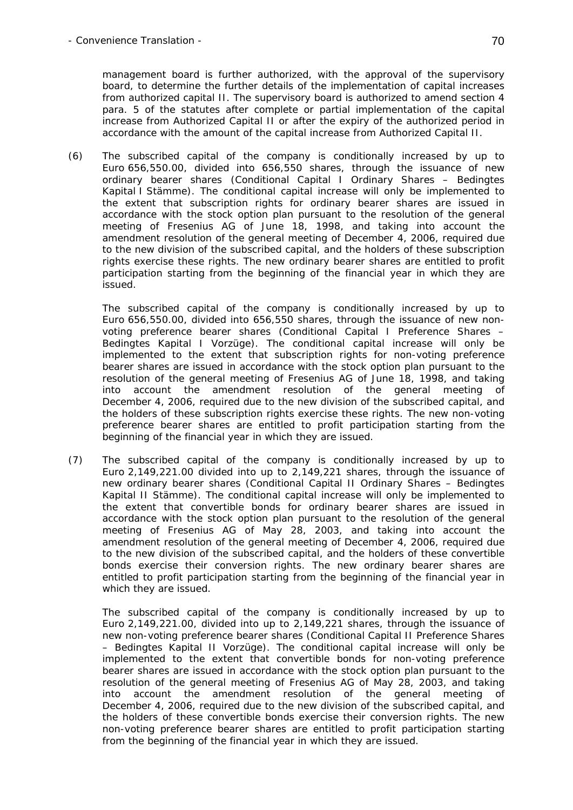management board is further authorized, with the approval of the supervisory board, to determine the further details of the implementation of capital increases from authorized capital II. The supervisory board is authorized to amend section 4 para. 5 of the statutes after complete or partial implementation of the capital increase from Authorized Capital II or after the expiry of the authorized period in accordance with the amount of the capital increase from Authorized Capital II.

(6) The subscribed capital of the company is conditionally increased by up to Euro 656,550.00, divided into 656,550 shares, through the issuance of new ordinary bearer shares (Conditional Capital I Ordinary Shares – *Bedingtes Kapital I Stämme*). The conditional capital increase will only be implemented to the extent that subscription rights for ordinary bearer shares are issued in accordance with the stock option plan pursuant to the resolution of the general meeting of Fresenius AG of June 18, 1998, and taking into account the amendment resolution of the general meeting of December 4, 2006, required due to the new division of the subscribed capital, and the holders of these subscription rights exercise these rights. The new ordinary bearer shares are entitled to profit participation starting from the beginning of the financial year in which they are issued.

 The subscribed capital of the company is conditionally increased by up to Euro 656,550.00, divided into 656,550 shares, through the issuance of new nonvoting preference bearer shares (Conditional Capital I Preference Shares – *Bedingtes Kapital I Vorzüge*). The conditional capital increase will only be implemented to the extent that subscription rights for non-voting preference bearer shares are issued in accordance with the stock option plan pursuant to the resolution of the general meeting of Fresenius AG of June 18, 1998, and taking into account the amendment resolution of the general meeting of December 4, 2006, required due to the new division of the subscribed capital, and the holders of these subscription rights exercise these rights. The new non-voting preference bearer shares are entitled to profit participation starting from the beginning of the financial year in which they are issued.

(7) The subscribed capital of the company is conditionally increased by up to Euro 2,149,221.00 divided into up to 2,149,221 shares, through the issuance of new ordinary bearer shares (Conditional Capital II Ordinary Shares – *Bedingtes Kapital II Stämme*). The conditional capital increase will only be implemented to the extent that convertible bonds for ordinary bearer shares are issued in accordance with the stock option plan pursuant to the resolution of the general meeting of Fresenius AG of May 28, 2003, and taking into account the amendment resolution of the general meeting of December 4, 2006, required due to the new division of the subscribed capital, and the holders of these convertible bonds exercise their conversion rights. The new ordinary bearer shares are entitled to profit participation starting from the beginning of the financial year in which they are issued.

 The subscribed capital of the company is conditionally increased by up to Euro 2,149,221.00, divided into up to 2,149,221 shares, through the issuance of new non-voting preference bearer shares (Conditional Capital II Preference Shares – *Bedingtes Kapital II Vorzüge*). The conditional capital increase will only be implemented to the extent that convertible bonds for non-voting preference bearer shares are issued in accordance with the stock option plan pursuant to the resolution of the general meeting of Fresenius AG of May 28, 2003, and taking into account the amendment resolution of the general meeting of December 4, 2006, required due to the new division of the subscribed capital, and the holders of these convertible bonds exercise their conversion rights. The new non-voting preference bearer shares are entitled to profit participation starting from the beginning of the financial year in which they are issued.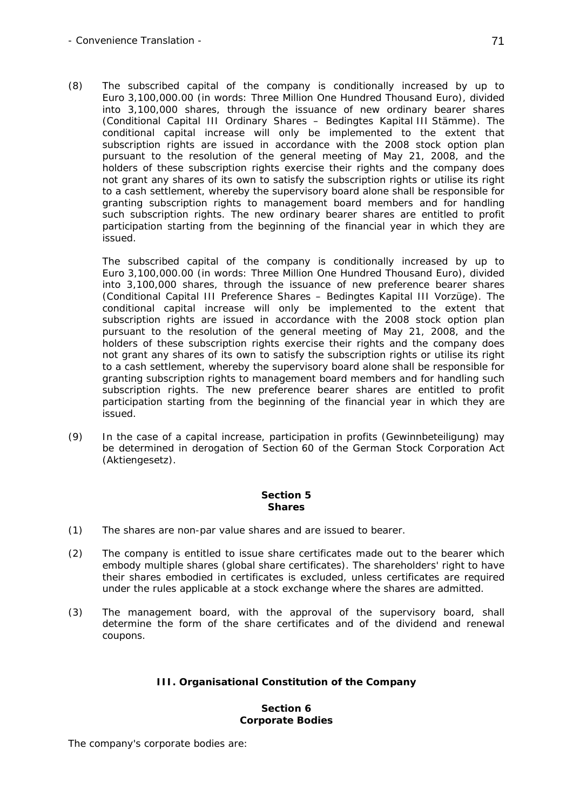(8) The subscribed capital of the company is conditionally increased by up to Euro 3,100,000.00 (in words: Three Million One Hundred Thousand Euro), divided into 3,100,000 shares, through the issuance of new ordinary bearer shares (Conditional Capital III Ordinary Shares – *Bedingtes Kapital III Stämme*). The conditional capital increase will only be implemented to the extent that subscription rights are issued in accordance with the 2008 stock option plan pursuant to the resolution of the general meeting of May 21, 2008, and the holders of these subscription rights exercise their rights and the company does not grant any shares of its own to satisfy the subscription rights or utilise its right to a cash settlement, whereby the supervisory board alone shall be responsible for granting subscription rights to management board members and for handling such subscription rights. The new ordinary bearer shares are entitled to profit participation starting from the beginning of the financial year in which they are issued.

 The subscribed capital of the company is conditionally increased by up to Euro 3,100,000.00 (in words: Three Million One Hundred Thousand Euro), divided into 3,100,000 shares, through the issuance of new preference bearer shares (Conditional Capital III Preference Shares – *Bedingtes Kapital III Vorzüge*). The conditional capital increase will only be implemented to the extent that subscription rights are issued in accordance with the 2008 stock option plan pursuant to the resolution of the general meeting of May 21, 2008, and the holders of these subscription rights exercise their rights and the company does not grant any shares of its own to satisfy the subscription rights or utilise its right to a cash settlement, whereby the supervisory board alone shall be responsible for granting subscription rights to management board members and for handling such subscription rights. The new preference bearer shares are entitled to profit participation starting from the beginning of the financial year in which they are issued.

(9) In the case of a capital increase, participation in profits (*Gewinnbeteiligung*) may be determined in derogation of Section 60 of the German Stock Corporation Act (*Aktiengesetz*).

# **Section 5 Shares**

- (1) The shares are non-par value shares and are issued to bearer.
- (2) The company is entitled to issue share certificates made out to the bearer which embody multiple shares (global share certificates). The shareholders' right to have their shares embodied in certificates is excluded, unless certificates are required under the rules applicable at a stock exchange where the shares are admitted.
- (3) The management board, with the approval of the supervisory board, shall determine the form of the share certificates and of the dividend and renewal coupons.

# **III. Organisational Constitution of the Company**

#### **Section 6 Corporate Bodies**

The company's corporate bodies are: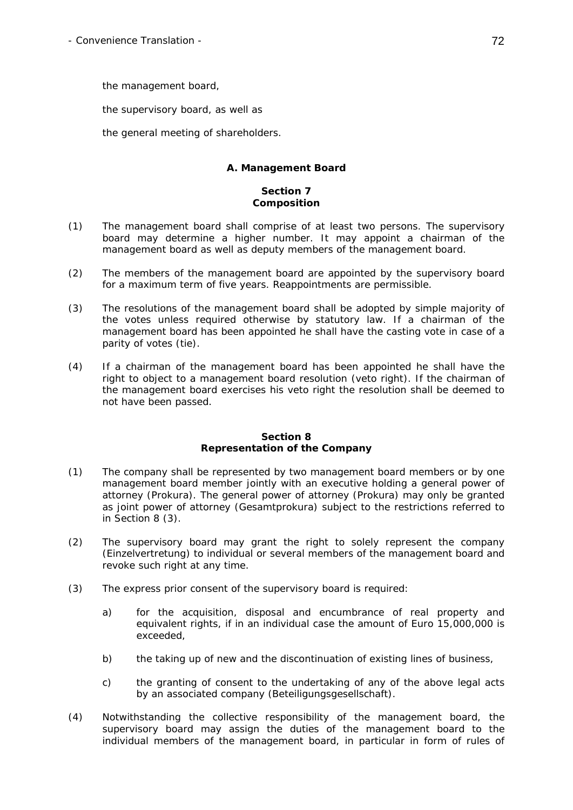the management board,

the supervisory board, as well as

the general meeting of shareholders.

# **A. Management Board**

# **Section 7 Composition**

- (1) The management board shall comprise of at least two persons. The supervisory board may determine a higher number. It may appoint a chairman of the management board as well as deputy members of the management board.
- (2) The members of the management board are appointed by the supervisory board for a maximum term of five years. Reappointments are permissible.
- (3) The resolutions of the management board shall be adopted by simple majority of the votes unless required otherwise by statutory law. If a chairman of the management board has been appointed he shall have the casting vote in case of a parity of votes (tie).
- (4) If a chairman of the management board has been appointed he shall have the right to object to a management board resolution (veto right). If the chairman of the management board exercises his veto right the resolution shall be deemed to not have been passed.

### **Section 8 Representation of the Company**

- (1) The company shall be represented by two management board members or by one management board member jointly with an executive holding a general power of attorney (*Prokura*). The general power of attorney (*Prokura*) may only be granted as joint power of attorney (*Gesamtprokura*) subject to the restrictions referred to in Section 8 (3).
- (2) The supervisory board may grant the right to solely represent the company (*Einzelvertretung*) to individual or several members of the management board and revoke such right at any time.
- (3) The express prior consent of the supervisory board is required:
	- a) for the acquisition, disposal and encumbrance of real property and equivalent rights, if in an individual case the amount of Euro 15,000,000 is exceeded,
	- b) the taking up of new and the discontinuation of existing lines of business,
	- c) the granting of consent to the undertaking of any of the above legal acts by an associated company (*Beteiligungsgesellschaft*).
- (4) Notwithstanding the collective responsibility of the management board, the supervisory board may assign the duties of the management board to the individual members of the management board, in particular in form of rules of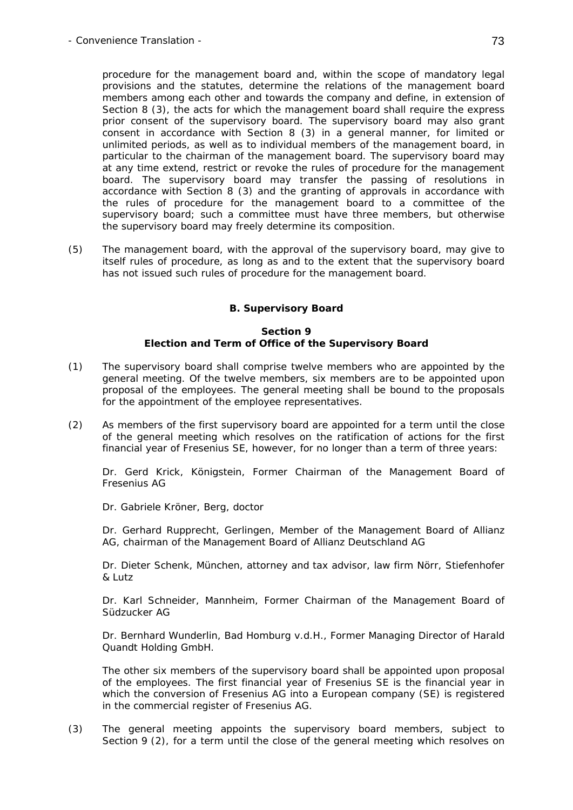procedure for the management board and, within the scope of mandatory legal provisions and the statutes, determine the relations of the management board members among each other and towards the company and define, in extension of Section 8 (3), the acts for which the management board shall require the express prior consent of the supervisory board. The supervisory board may also grant consent in accordance with Section 8 (3) in a general manner, for limited or unlimited periods, as well as to individual members of the management board, in particular to the chairman of the management board. The supervisory board may at any time extend, restrict or revoke the rules of procedure for the management board. The supervisory board may transfer the passing of resolutions in accordance with Section 8 (3) and the granting of approvals in accordance with the rules of procedure for the management board to a committee of the supervisory board; such a committee must have three members, but otherwise the supervisory board may freely determine its composition.

(5) The management board, with the approval of the supervisory board, may give to itself rules of procedure, as long as and to the extent that the supervisory board has not issued such rules of procedure for the management board.

# **B. Supervisory Board**

#### **Section 9 Election and Term of Office of the Supervisory Board**

- (1) The supervisory board shall comprise twelve members who are appointed by the general meeting. Of the twelve members, six members are to be appointed upon proposal of the employees. The general meeting shall be bound to the proposals for the appointment of the employee representatives.
- (2) As members of the first supervisory board are appointed for a term until the close of the general meeting which resolves on the ratification of actions for the first financial year of Fresenius SE, however, for no longer than a term of three years:

 Dr. Gerd Krick, Königstein, Former Chairman of the Management Board of Fresenius AG

Dr. Gabriele Kröner, Berg, doctor

 Dr. Gerhard Rupprecht, Gerlingen, Member of the Management Board of Allianz AG, chairman of the Management Board of Allianz Deutschland AG

 Dr. Dieter Schenk, München, attorney and tax advisor, law firm Nörr, Stiefenhofer & Lutz

 Dr. Karl Schneider, Mannheim, Former Chairman of the Management Board of Südzucker AG

 Dr. Bernhard Wunderlin, Bad Homburg v.d.H., Former Managing Director of Harald Quandt Holding GmbH.

 The other six members of the supervisory board shall be appointed upon proposal of the employees. The first financial year of Fresenius SE is the financial year in which the conversion of Fresenius AG into a European company (SE) is registered in the commercial register of Fresenius AG.

(3) The general meeting appoints the supervisory board members, subject to Section 9 (2), for a term until the close of the general meeting which resolves on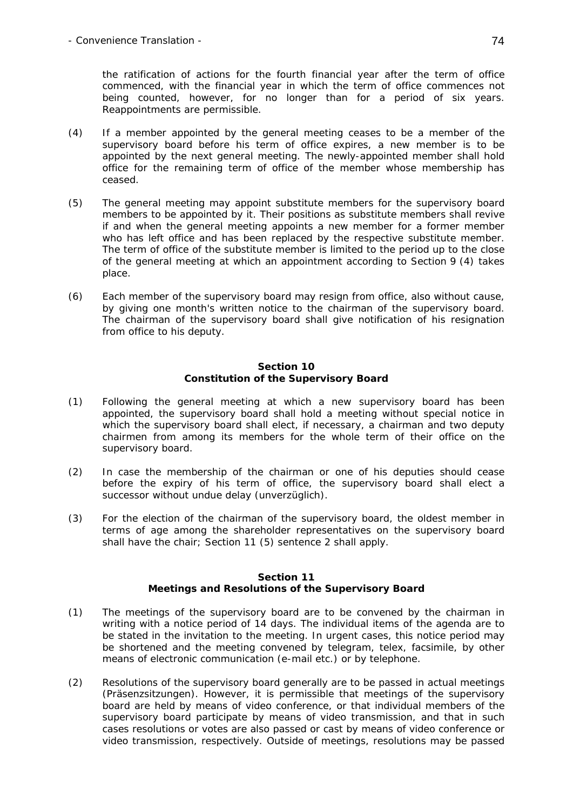the ratification of actions for the fourth financial year after the term of office commenced, with the financial year in which the term of office commences not being counted, however, for no longer than for a period of six years. Reappointments are permissible.

- (4) If a member appointed by the general meeting ceases to be a member of the supervisory board before his term of office expires, a new member is to be appointed by the next general meeting. The newly-appointed member shall hold office for the remaining term of office of the member whose membership has ceased.
- (5) The general meeting may appoint substitute members for the supervisory board members to be appointed by it. Their positions as substitute members shall revive if and when the general meeting appoints a new member for a former member who has left office and has been replaced by the respective substitute member. The term of office of the substitute member is limited to the period up to the close of the general meeting at which an appointment according to Section 9 (4) takes place.
- (6) Each member of the supervisory board may resign from office, also without cause, by giving one month's written notice to the chairman of the supervisory board. The chairman of the supervisory board shall give notification of his resignation from office to his deputy.

#### **Section 10 Constitution of the Supervisory Board**

- (1) Following the general meeting at which a new supervisory board has been appointed, the supervisory board shall hold a meeting without special notice in which the supervisory board shall elect, if necessary, a chairman and two deputy chairmen from among its members for the whole term of their office on the supervisory board.
- (2) In case the membership of the chairman or one of his deputies should cease before the expiry of his term of office, the supervisory board shall elect a successor without undue delay (*unverzüglich*).
- (3) For the election of the chairman of the supervisory board, the oldest member in terms of age among the shareholder representatives on the supervisory board shall have the chair; Section 11 (5) sentence 2 shall apply.

## **Section 11 Meetings and Resolutions of the Supervisory Board**

- (1) The meetings of the supervisory board are to be convened by the chairman in writing with a notice period of 14 days. The individual items of the agenda are to be stated in the invitation to the meeting. In urgent cases, this notice period may be shortened and the meeting convened by telegram, telex, facsimile, by other means of electronic communication (e-mail etc.) or by telephone.
- (2) Resolutions of the supervisory board generally are to be passed in actual meetings (*Präsenzsitzungen*). However, it is permissible that meetings of the supervisory board are held by means of video conference, or that individual members of the supervisory board participate by means of video transmission, and that in such cases resolutions or votes are also passed or cast by means of video conference or video transmission, respectively. Outside of meetings, resolutions may be passed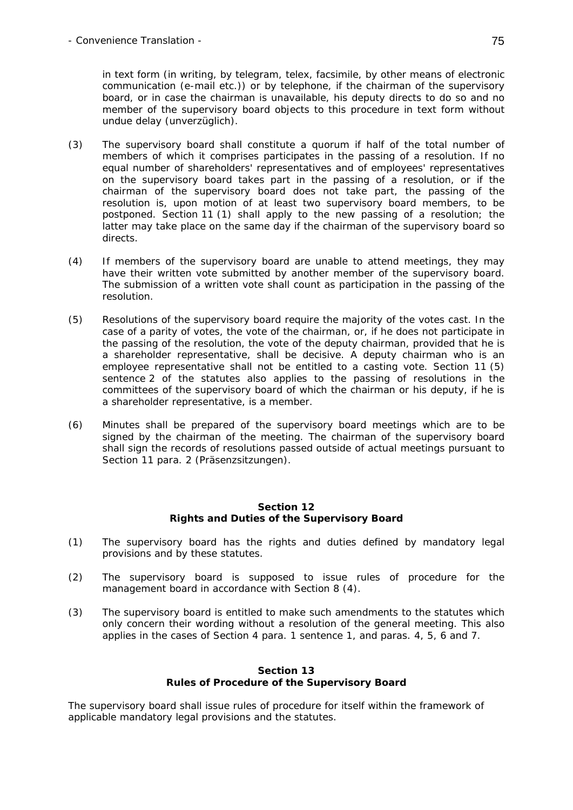- Convenience Translation - 75

in text form (in writing, by telegram, telex, facsimile, by other means of electronic communication (e-mail etc.)) or by telephone, if the chairman of the supervisory board, or in case the chairman is unavailable, his deputy directs to do so and no member of the supervisory board objects to this procedure in text form without undue delay (*unverzüglich*).

- (3) The supervisory board shall constitute a quorum if half of the total number of members of which it comprises participates in the passing of a resolution. If no equal number of shareholders' representatives and of employees' representatives on the supervisory board takes part in the passing of a resolution, or if the chairman of the supervisory board does not take part, the passing of the resolution is, upon motion of at least two supervisory board members, to be postponed. Section 11 (1) shall apply to the new passing of a resolution; the latter may take place on the same day if the chairman of the supervisory board so directs.
- (4) If members of the supervisory board are unable to attend meetings, they may have their written vote submitted by another member of the supervisory board. The submission of a written vote shall count as participation in the passing of the resolution.
- (5) Resolutions of the supervisory board require the majority of the votes cast. In the case of a parity of votes, the vote of the chairman, or, if he does not participate in the passing of the resolution, the vote of the deputy chairman, provided that he is a shareholder representative, shall be decisive. A deputy chairman who is an employee representative shall not be entitled to a casting vote. Section 11 (5) sentence 2 of the statutes also applies to the passing of resolutions in the committees of the supervisory board of which the chairman or his deputy, if he is a shareholder representative, is a member.
- (6) Minutes shall be prepared of the supervisory board meetings which are to be signed by the chairman of the meeting. The chairman of the supervisory board shall sign the records of resolutions passed outside of actual meetings pursuant to Section 11 para. 2 (*Präsenzsitzungen*).

## **Section 12 Rights and Duties of the Supervisory Board**

- (1) The supervisory board has the rights and duties defined by mandatory legal provisions and by these statutes.
- (2) The supervisory board is supposed to issue rules of procedure for the management board in accordance with Section 8 (4).
- (3) The supervisory board is entitled to make such amendments to the statutes which only concern their wording without a resolution of the general meeting. This also applies in the cases of Section 4 para. 1 sentence 1, and paras. 4, 5, 6 and 7.

## **Section 13 Rules of Procedure of the Supervisory Board**

The supervisory board shall issue rules of procedure for itself within the framework of applicable mandatory legal provisions and the statutes.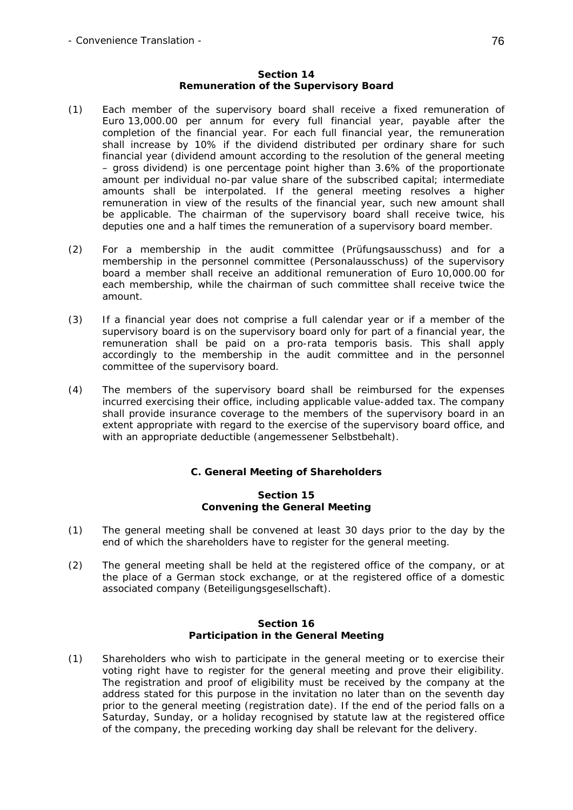#### **Section 14 Remuneration of the Supervisory Board**

- (1) Each member of the supervisory board shall receive a fixed remuneration of Euro 13,000.00 per annum for every full financial year, payable after the completion of the financial year. For each full financial year, the remuneration shall increase by 10% if the dividend distributed per ordinary share for such financial year (dividend amount according to the resolution of the general meeting – gross dividend) is one percentage point higher than 3.6% of the proportionate amount per individual no-par value share of the subscribed capital; intermediate amounts shall be interpolated. If the general meeting resolves a higher remuneration in view of the results of the financial year, such new amount shall be applicable. The chairman of the supervisory board shall receive twice, his deputies one and a half times the remuneration of a supervisory board member.
- (2) For a membership in the audit committee (*Prüfungsausschuss*) and for a membership in the personnel committee (*Personalausschuss*) of the supervisory board a member shall receive an additional remuneration of Euro 10,000.00 for each membership, while the chairman of such committee shall receive twice the amount.
- (3) If a financial year does not comprise a full calendar year or if a member of the supervisory board is on the supervisory board only for part of a financial year, the remuneration shall be paid on a *pro-rata temporis* basis. This shall apply accordingly to the membership in the audit committee and in the personnel committee of the supervisory board.
- (4) The members of the supervisory board shall be reimbursed for the expenses incurred exercising their office, including applicable value-added tax. The company shall provide insurance coverage to the members of the supervisory board in an extent appropriate with regard to the exercise of the supervisory board office, and with an appropriate deductible (*angemessener Selbstbehalt*).

## **C. General Meeting of Shareholders**

## **Section 15 Convening the General Meeting**

- (1) The general meeting shall be convened at least 30 days prior to the day by the end of which the shareholders have to register for the general meeting.
- (2) The general meeting shall be held at the registered office of the company, or at the place of a German stock exchange, or at the registered office of a domestic associated company (*Beteiligungsgesellschaft*).

#### **Section 16 Participation in the General Meeting**

(1) Shareholders who wish to participate in the general meeting or to exercise their voting right have to register for the general meeting and prove their eligibility. The registration and proof of eligibility must be received by the company at the address stated for this purpose in the invitation no later than on the seventh day prior to the general meeting (registration date). If the end of the period falls on a Saturday, Sunday, or a holiday recognised by statute law at the registered office of the company, the preceding working day shall be relevant for the delivery.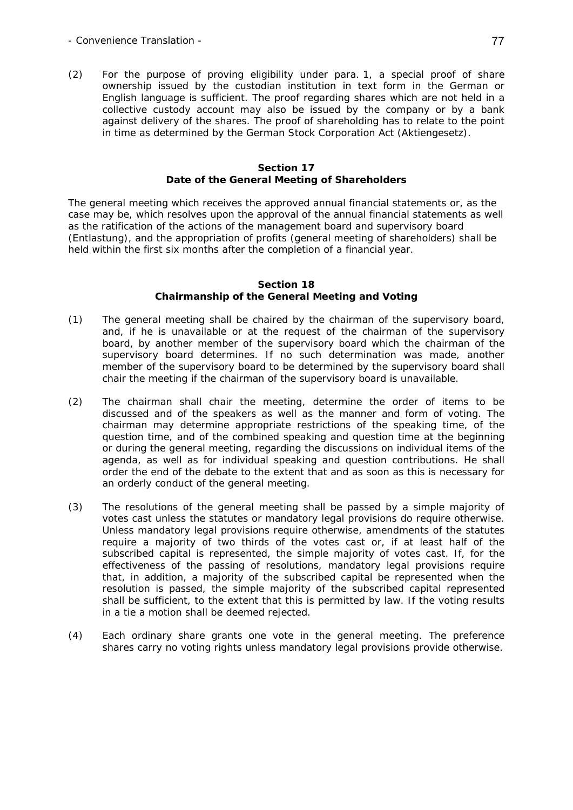(2) For the purpose of proving eligibility under para. 1, a special proof of share ownership issued by the custodian institution in text form in the German or English language is sufficient. The proof regarding shares which are not held in a collective custody account may also be issued by the company or by a bank against delivery of the shares. The proof of shareholding has to relate to the point in time as determined by the German Stock Corporation Act (*Aktiengesetz*).

#### **Section 17 Date of the General Meeting of Shareholders**

The general meeting which receives the approved annual financial statements or, as the case may be, which resolves upon the approval of the annual financial statements as well as the ratification of the actions of the management board and supervisory board (*Entlastung*), and the appropriation of profits (general meeting of shareholders) shall be held within the first six months after the completion of a financial year.

#### **Section 18 Chairmanship of the General Meeting and Voting**

- (1) The general meeting shall be chaired by the chairman of the supervisory board, and, if he is unavailable or at the request of the chairman of the supervisory board, by another member of the supervisory board which the chairman of the supervisory board determines. If no such determination was made, another member of the supervisory board to be determined by the supervisory board shall chair the meeting if the chairman of the supervisory board is unavailable.
- (2) The chairman shall chair the meeting, determine the order of items to be discussed and of the speakers as well as the manner and form of voting. The chairman may determine appropriate restrictions of the speaking time, of the question time, and of the combined speaking and question time at the beginning or during the general meeting, regarding the discussions on individual items of the agenda, as well as for individual speaking and question contributions. He shall order the end of the debate to the extent that and as soon as this is necessary for an orderly conduct of the general meeting.
- (3) The resolutions of the general meeting shall be passed by a simple majority of votes cast unless the statutes or mandatory legal provisions do require otherwise. Unless mandatory legal provisions require otherwise, amendments of the statutes require a majority of two thirds of the votes cast or, if at least half of the subscribed capital is represented, the simple majority of votes cast. If, for the effectiveness of the passing of resolutions, mandatory legal provisions require that, in addition, a majority of the subscribed capital be represented when the resolution is passed, the simple majority of the subscribed capital represented shall be sufficient, to the extent that this is permitted by law. If the voting results in a tie a motion shall be deemed rejected.
- (4) Each ordinary share grants one vote in the general meeting. The preference shares carry no voting rights unless mandatory legal provisions provide otherwise.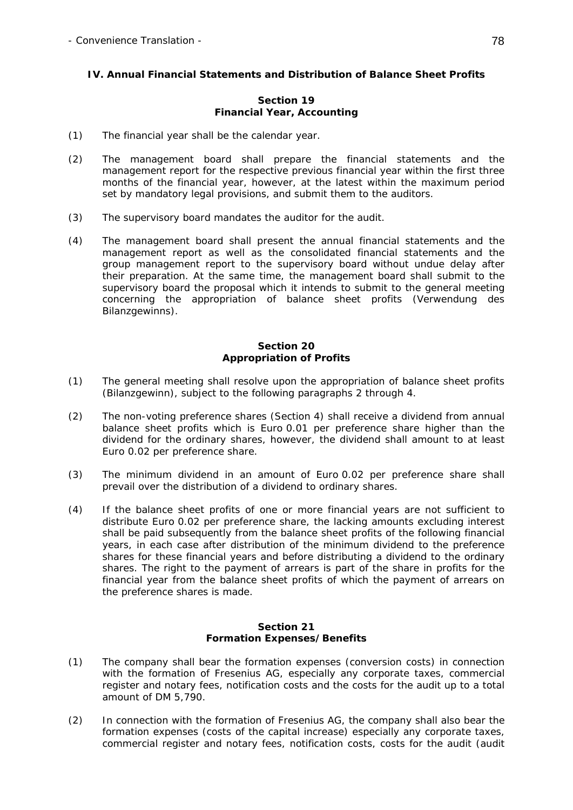# **IV. Annual Financial Statements and Distribution of Balance Sheet Profits**

## **Section 19 Financial Year, Accounting**

- (1) The financial year shall be the calendar year.
- (2) The management board shall prepare the financial statements and the management report for the respective previous financial year within the first three months of the financial year, however, at the latest within the maximum period set by mandatory legal provisions, and submit them to the auditors.
- (3) The supervisory board mandates the auditor for the audit.
- (4) The management board shall present the annual financial statements and the management report as well as the consolidated financial statements and the group management report to the supervisory board without undue delay after their preparation. At the same time, the management board shall submit to the supervisory board the proposal which it intends to submit to the general meeting concerning the appropriation of balance sheet profits (*Verwendung des Bilanzgewinns*).

## **Section 20 Appropriation of Profits**

- (1) The general meeting shall resolve upon the appropriation of balance sheet profits (*Bilanzgewinn*), subject to the following paragraphs 2 through 4.
- (2) The non-voting preference shares (Section 4) shall receive a dividend from annual balance sheet profits which is Euro 0.01 per preference share higher than the dividend for the ordinary shares, however, the dividend shall amount to at least Euro 0.02 per preference share.
- (3) The minimum dividend in an amount of Euro 0.02 per preference share shall prevail over the distribution of a dividend to ordinary shares.
- (4) If the balance sheet profits of one or more financial years are not sufficient to distribute Euro 0.02 per preference share, the lacking amounts excluding interest shall be paid subsequently from the balance sheet profits of the following financial years, in each case after distribution of the minimum dividend to the preference shares for these financial years and before distributing a dividend to the ordinary shares. The right to the payment of arrears is part of the share in profits for the financial year from the balance sheet profits of which the payment of arrears on the preference shares is made.

## **Section 21 Formation Expenses/Benefits**

- (1) The company shall bear the formation expenses (conversion costs) in connection with the formation of Fresenius AG, especially any corporate taxes, commercial register and notary fees, notification costs and the costs for the audit up to a total amount of DM 5,790.
- (2) In connection with the formation of Fresenius AG, the company shall also bear the formation expenses (costs of the capital increase) especially any corporate taxes, commercial register and notary fees, notification costs, costs for the audit (audit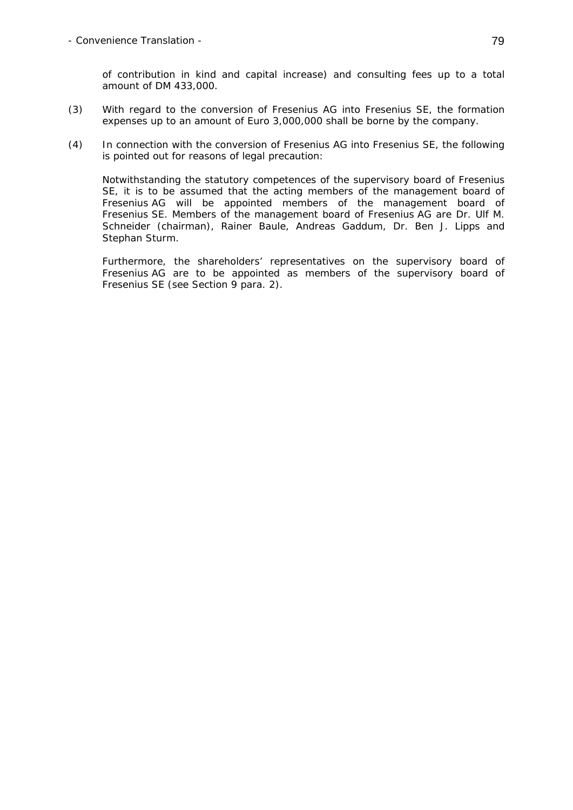of contribution in kind and capital increase) and consulting fees up to a total amount of DM 433,000.

- (3) With regard to the conversion of Fresenius AG into Fresenius SE, the formation expenses up to an amount of Euro 3,000,000 shall be borne by the company.
- (4) In connection with the conversion of Fresenius AG into Fresenius SE, the following is pointed out for reasons of legal precaution:

 Notwithstanding the statutory competences of the supervisory board of Fresenius SE, it is to be assumed that the acting members of the management board of Fresenius AG will be appointed members of the management board of Fresenius SE. Members of the management board of Fresenius AG are Dr. Ulf M. Schneider (chairman), Rainer Baule, Andreas Gaddum, Dr. Ben J. Lipps and Stephan Sturm.

 Furthermore, the shareholders' representatives on the supervisory board of Fresenius AG are to be appointed as members of the supervisory board of Fresenius SE (see Section 9 para. 2).